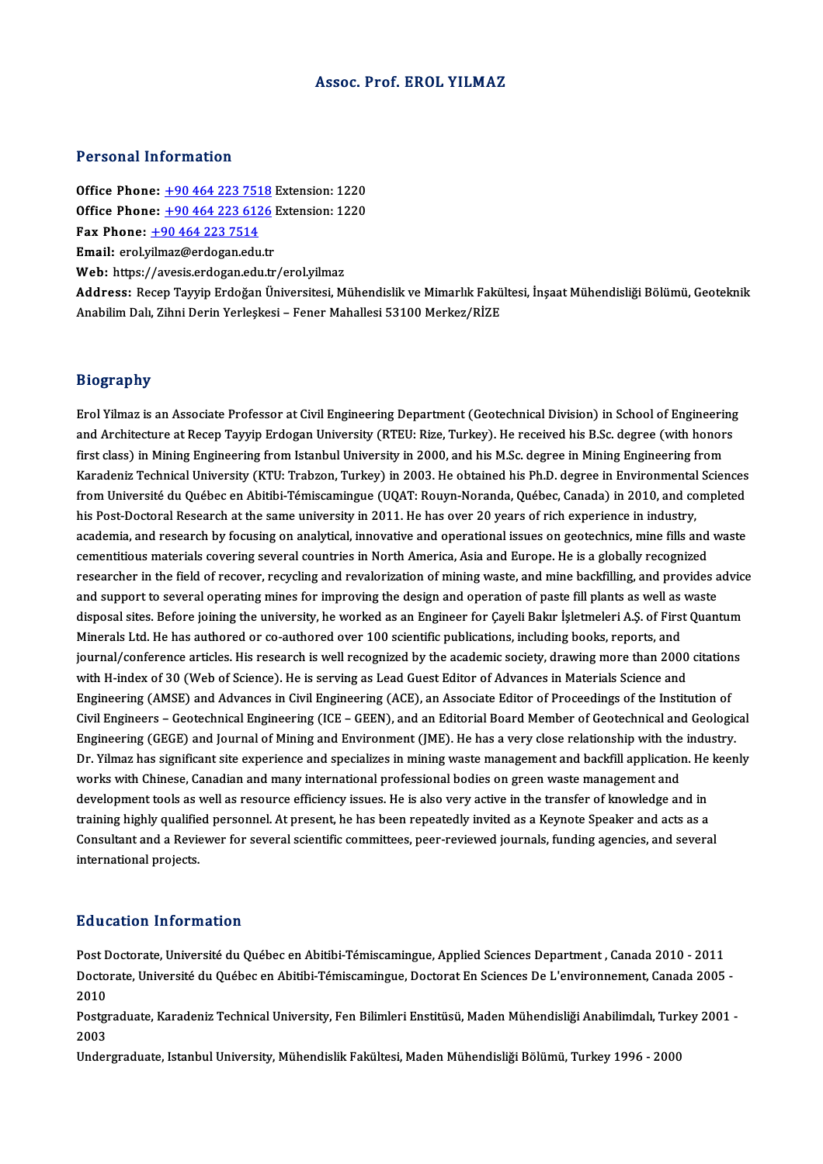### Assoc. Prof. EROL YILMAZ

### Personal Information

Office Phone: +90 464 223 7518Extension:1220 **Office Phone:** +90 464 223 7518 Extension: 1220<br>Office Phone: +90 464 223 6126 Extension: 1220<br>Eav Phone: +90 464 223 7514 Office Phone: <u>+90 464 223 751</u><br>Office Phone: <u>+90 464 223 612</u><br>Fax Phone: <u>+90 464 223 7514</u><br>Email: erel.vilmaz@erdegan.edu Office Phone: <u>+90 464 223 6126</u> 1<br>Fax Phone: <u>+90 464 223 7514</u><br>Email: erol.[yilmaz@erdogan.ed](tel:+90 464 223 7514)[u.tr](tel:+90 464 223 6126) Fax Phone: <u>+90 464 223 7514</u><br>Email: erol.yilmaz@erdogan.edu.tr<br>Web: https://avesis.erdogan.edu.tr/erol.yilmaz

Email: erol.yilmaz@erdogan.edu.tr<br>Web: https://avesis.erdogan.edu.tr/erol.yilmaz<br>Address: Recep Tayyip Erdoğan Üniversitesi, Mühendislik ve Mimarlık Fakültesi, İnşaat Mühendisliği Bölümü, Geoteknik Web: https://avesis.erdogan.edu.tr/erol.yilmaz<br>Address: Recep Tayyip Erdoğan Üniversitesi, Mühendislik ve Mimarlık Fakü<br>Anabilim Dalı, Zihni Derin Yerleşkesi – Fener Mahallesi 53100 Merkez/RİZE

#### Biography

Bi<mark>ography</mark><br>Erol Yilmaz is an Associate Professor at Civil Engineering Department (Geotechnical Division) in School of Engineering<br>and Architecture at Beson Taurin Endegan University (BTEU-Bige Turkey). He reseived his B.S and Yilmaz is an Associate Professor at Civil Engineering Department (Geotechnical Division) in School of Engineering<br>and Architecture at Recep Tayyip Erdogan University (RTEU: Rize, Turkey). He received his B.Sc. degree ( Erol Yilmaz is an Associate Professor at Civil Engineering Department (Geotechnical Division) in School of Engineerin<br>and Architecture at Recep Tayyip Erdogan University (RTEU: Rize, Turkey). He received his B.Sc. degree ( and Architecture at Recep Tayyip Erdogan University (RTEU: Rize, Turkey). He received his B.Sc. degree (with honors<br>first class) in Mining Engineering from Istanbul University in 2000, and his M.Sc. degree in Mining Engine first class) in Mining Engineering from Istanbul University in 2000, and his M.Sc. degree in Mining Engineering from<br>Karadeniz Technical University (KTU: Trabzon, Turkey) in 2003. He obtained his Ph.D. degree in Environmen Karadeniz Technical University (KTU: Trabzon, Turkey) in 2003. He obtained his Ph.D. degree in Environmental<br>from Université du Québec en Abitibi-Témiscamingue (UQAT: Rouyn-Noranda, Québec, Canada) in 2010, and co<br>his Post from Université du Québec en Abitibi-Témiscamingue (UQAT: Rouyn-Noranda, Québec, Canada) in 2010, and completed<br>his Post-Doctoral Research at the same university in 2011. He has over 20 years of rich experience in industry his Post-Doctoral Research at the same university in 2011. He has over 20 years of rich experience in industry,<br>academia, and research by focusing on analytical, innovative and operational issues on geotechnics, mine fills academia, and research by focusing on analytical, innovative and operational issues on geotechnics, mine fills and waste<br>cementitious materials covering several countries in North America, Asia and Europe. He is a globally cementitious materials covering several countries in North America, Asia and Europe. He is a globally recognized<br>researcher in the field of recover, recycling and revalorization of mining waste, and mine backfilling, and p researcher in the field of recover, recycling and revalorization of mining waste, and mine backfilling, and provides advice<br>and support to several operating mines for improving the design and operation of paste fill plants and support to several operating mines for improving the design and operation of paste fill plants as well as waste<br>disposal sites. Before joining the university, he worked as an Engineer for Çayeli Bakır İşletmeleri A.Ş. disposal sites. Before joining the university, he worked as an Engineer for Çayeli Bakır İşletmeleri A.Ş. of First Quantum<br>Minerals Ltd. He has authored or co-authored over 100 scientific publications, including books, rep Minerals Ltd. He has authored or co-authored over 100 scientific publications, including books, reports, and<br>journal/conference articles. His research is well recognized by the academic society, drawing more than 2000<br>with journal/conference articles. His research is well recognized by the academic society, drawing more than 2000 citation<br>with H-index of 30 (Web of Science). He is serving as Lead Guest Editor of Advances in Materials Science with H-index of 30 (Web of Science). He is serving as Lead Guest Editor of Advances in Materials Science and<br>Engineering (AMSE) and Advances in Civil Engineering (ACE), an Associate Editor of Proceedings of the Institution Engineering (AMSE) and Advances in Civil Engineering (ACE), an Associate Editor of Proceedings of the Institution of<br>Civil Engineers – Geotechnical Engineering (ICE – GEEN), and an Editorial Board Member of Geotechnical an Civil Engineers – Geotechnical Engineering (ICE – GEEN), and an Editorial Board Member of Geotechnical and Geological<br>Engineering (GEGE) and Journal of Mining and Environment (JME). He has a very close relationship with th Engineering (GEGE) and Journal of Mining and Environment (JME). He has a very close relationship with the industry.<br>Dr. Yilmaz has significant site experience and specializes in mining waste management and backfill applica development tools as well as resource efficiency issues. He is also very active in the transfer of knowledge and in works with Chinese, Canadian and many international professional bodies on green waste management and<br>development tools as well as resource efficiency issues. He is also very active in the transfer of knowledge and in<br>trai Consultant and a Reviewer for several scientific committees, peer-reviewed journals, funding agencies, and several<br>international projects. training highly qualifie<br>Consultant and a Revie<br>international projects.

### Education Information

Post Doctorate, Université du Québec en Abitibi-Témiscamingue, Applied Sciences Department, Canada 2010 - 2011 Buticulari IIII of Interon<br>Post Doctorate, Université du Québec en Abitibi-Témiscamingue, Applied Sciences Department , Canada 2010 - 2011<br>Doctorate, Université du Québec en Abitibi-Témiscamingue, Doctorat En Sciences De L Post <mark>L</mark><br>Docto<br>2010<br>Post**a** Doctorate, Université du Québec en Abitibi-Témiscamingue, Doctorat En Sciences De L'environnement, Canada 2005<br>2010<br>Postgraduate, Karadeniz Technical University, Fen Bilimleri Enstitüsü, Maden Mühendisliği Anabilimdalı, Tu

2010<br>Postgraduate, Karadeniz Technical University, Fen Bilimleri Enstitüsü, Maden Mühendisliği Anabilimdalı, Turkey 2001 -<br>2003

Undergraduate, Istanbul University, Mühendislik Fakültesi, Maden Mühendisliği Bölümü, Turkey 1996 - 2000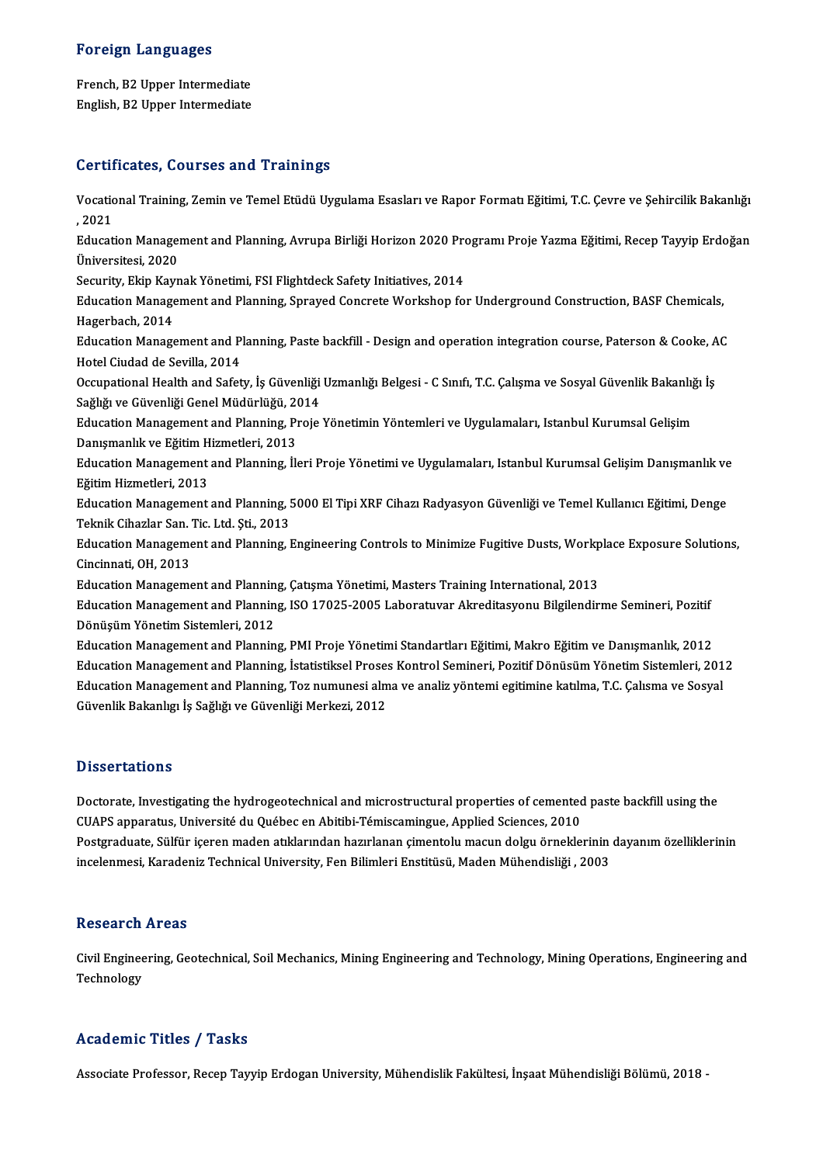### Foreign Languages

Foreign Languages<br>French, B2 Upper Intermediate<br>English, B2 Upper Intermediate French, B2 Upper Intermediate<br>English, B2 Upper Intermediate

# English, B2 Upper Intermediate<br>Certificates, Courses and Trainings

Certificates, Courses and Trainings<br>Vocational Training, Zemin ve Temel Etüdü Uygulama Esasları ve Rapor Formatı Eğitimi, T.C. Çevre ve Şehircilik Bakanlığı<br>2021 UST EM<br>Vocatic<br>, 2021 Vocational Training, Zemin ve Temel Etüdü Uygulama Esasları ve Rapor Formatı Eğitimi, T.C. Çevre ve Şehircilik Bakanlığı<br>, 2021<br>Education Management and Planning, Avrupa Birliği Horizon 2020 Programı Proje Yazma Eğitimi, R , 2021<br>Education Manager<br>Üniversitesi, 2020<br>Segurity, Elsin Kayn Education Management and Planning, Avrupa Birliği Horizon 2020 Pre<br>Üniversitesi, 2020<br>Security, Ekip Kaynak Yönetimi, FSI Flightdeck Safety Initiatives, 2014<br>Education Management and Planning, Sanaved Congrate Workshop fo Üniversitesi, 2020<br>Security, Ekip Kaynak Yönetimi, FSI Flightdeck Safety Initiatives, 2014<br>Education Management and Planning, Sprayed Concrete Workshop for Underground Construction, BASF Chemicals,<br>Hagerbach, 2014 Security, Ekip Kaynak Yönetimi, FSI Flightdeck Safety Initiatives, 2014 Education Management and Planning, Sprayed Concrete Workshop for Underground Construction, BASF Chemicals,<br>Hagerbach, 2014<br>Education Management and Planning, Paste backfill - Design and operation integration course, Paters Hagerbach, 2014<br>Education Management and P<br>Hotel Ciudad de Sevilla, 2014<br>Occupational Hoalth and Sefet Education Management and Planning, Paste backfill - Design and operation integration course, Paterson & Cooke, A<br>Hotel Ciudad de Sevilla, 2014<br>Occupational Health and Safety, İş Güvenliği Uzmanlığı Belgesi - C Sınıfı, T.C. Hotel Ciudad de Sevilla, 2014<br>Occupational Health and Safety, İş Güvenliği<br>Sağlığı ve Güvenliği Genel Müdürlüğü, 2014<br>Education Management and Blanning, Preje Occupational Health and Safety, İş Güvenliği Uzmanlığı Belgesi - C Sınıfı, T.C. Çalışma ve Sosyal Güvenlik Bakanlığ<br>Sağlığı ve Güvenliği Genel Müdürlüğü, 2014<br>Education Management and Planning, Proje Yönetimin Yöntemleri v Sağlığı ve Güvenliği Genel Müdürlüğü, 2014<br>Education Management and Planning, Proje Yönetimin Yöntemleri ve Uygulamaları, Istanbul Kurumsal Gelişim<br>Danışmanlık ve Eğitim Hizmetleri, 2013 Education Management and Planning, Proje Yönetimin Yöntemleri ve Uygulamaları, Istanbul Kurumsal Gelişim<br>Danışmanlık ve Eğitim Hizmetleri, 2013<br>Education Management and Planning, İleri Proje Yönetimi ve Uygulamaları, Istan Danışmanlık ve Eğitim H<br>Education Management<br>Eğitim Hizmetleri, 2013<br>Education Management Education Management and Planning, İleri Proje Yönetimi ve Uygulamaları, Istanbul Kurumsal Gelişim Danışmanlık ve<br>Eğitim Hizmetleri, 2013<br>Education Management and Planning, 5000 El Tipi XRF Cihazı Radyasyon Güvenliği ve Te Eğitim Hizmetleri, 2013<br>Education Management and Planning, !<br>Teknik Cihazlar San. Tic. Ltd. Şti., 2013<br>Education Management and Planning. I Education Management and Planning, 5000 El Tipi XRF Cihazı Radyasyon Güvenliği ve Temel Kullanıcı Eğitimi, Denge<br>Teknik Cihazlar San. Tic. Ltd. Şti., 2013<br>Education Management and Planning, Engineering Controls to Minimize Teknik Cihazlar San.<br>Education Manageme<br>Cincinnati, OH, 2013<br>Education Manageme Education Management and Planning, Engineering Controls to Minimize Fugitive Dusts, Workp<br>Cincinnati, OH, 2013<br>Education Management and Planning, Çatışma Yönetimi, Masters Training International, 2013<br>Education Management Cincinnati, OH, 2013<br>Education Management and Planning, Çatışma Yönetimi, Masters Training International, 2013<br>Education Management and Planning, ISO 17025-2005 Laboratuvar Akreditasyonu Bilgilendirme Semineri, Pozitif<br>Dön Education Management and Planning, Çatışma Yönetimi, Masters Training International, 2013 Education Management and Planning, ISO 17025-2005 Laboratuvar Akreditasyonu Bilgilendirme Semineri, Pozitif<br>Dönüşüm Yönetim Sistemleri, 2012<br>Education Management and Planning, PMI Proje Yönetimi Standartları Eğitimi, Makro Dönüşüm Yönetim Sistemleri, 2012<br>Education Management and Planning, PMI Proje Yönetimi Standartları Eğitimi, Makro Eğitim ve Danışmanlık, 2012<br>Education Management and Planning, İstatistiksel Proses Kontrol Semineri, Pozit Education Management and Planning, PMI Proje Yönetimi Standartları Eğitimi, Makro Eğitim ve Danışmanlık, 2012<br>Education Management and Planning, İstatistiksel Proses Kontrol Semineri, Pozitif Dönüsüm Yönetim Sistemleri, 20 Education Management and Planning, İstatistiksel Proses Kontrol Semineri, Pozitif Dönüsüm Yönetim Sistemleri, 2012<br>Education Management and Planning, Toz numunesi alma ve analiz yöntemi egitimine katılma, T.C. Çalısma ve S

### **Dissertations**

Dissertations<br>Doctorate, Investigating the hydrogeotechnical and microstructural properties of cemented paste backfill using the<br>CUAPS apparatus Université du Québes en Abitibi Témissemingue, Applied Sciences, 2010. Cubber carrons<br>Doctorate, Investigating the hydrogeotechnical and microstructural properties of cemented<br>CUAPS apparatus, Université du Québec en Abitibi-Témiscamingue, Applied Sciences, 2010<br>Postavaduate, Sülfür iseren me Doctorate, Investigating the hydrogeotechnical and microstructural properties of cemented paste backfill using the<br>CUAPS apparatus, Université du Québec en Abitibi-Témiscamingue, Applied Sciences, 2010<br>Postgraduate, Sülfür CUAPS apparatus, Université du Québec en Abitibi-Témiscamingue, Applied Sciences, 2010<br>Postgraduate, Sülfür içeren maden atıklarından hazırlanan çimentolu macun dolgu örneklerinin<br>incelenmesi, Karadeniz Technical Universit incelenmesi, Karadeniz Technical University, Fen Bilimleri Enstitüsü, Maden Mühendisliği , 2003<br>Research Areas

Research Areas<br>Civil Engineering, Geotechnical, Soil Mechanics, Mining Engineering and Technology, Mining Operations, Engineering and<br>Technology Technology<br>Technology Technology<br>Academic Titles / Tasks

Associate Professor, Recep Tayyip Erdogan University, Mühendislik Fakültesi, İnşaat Mühendisliği Bölümü, 2018 -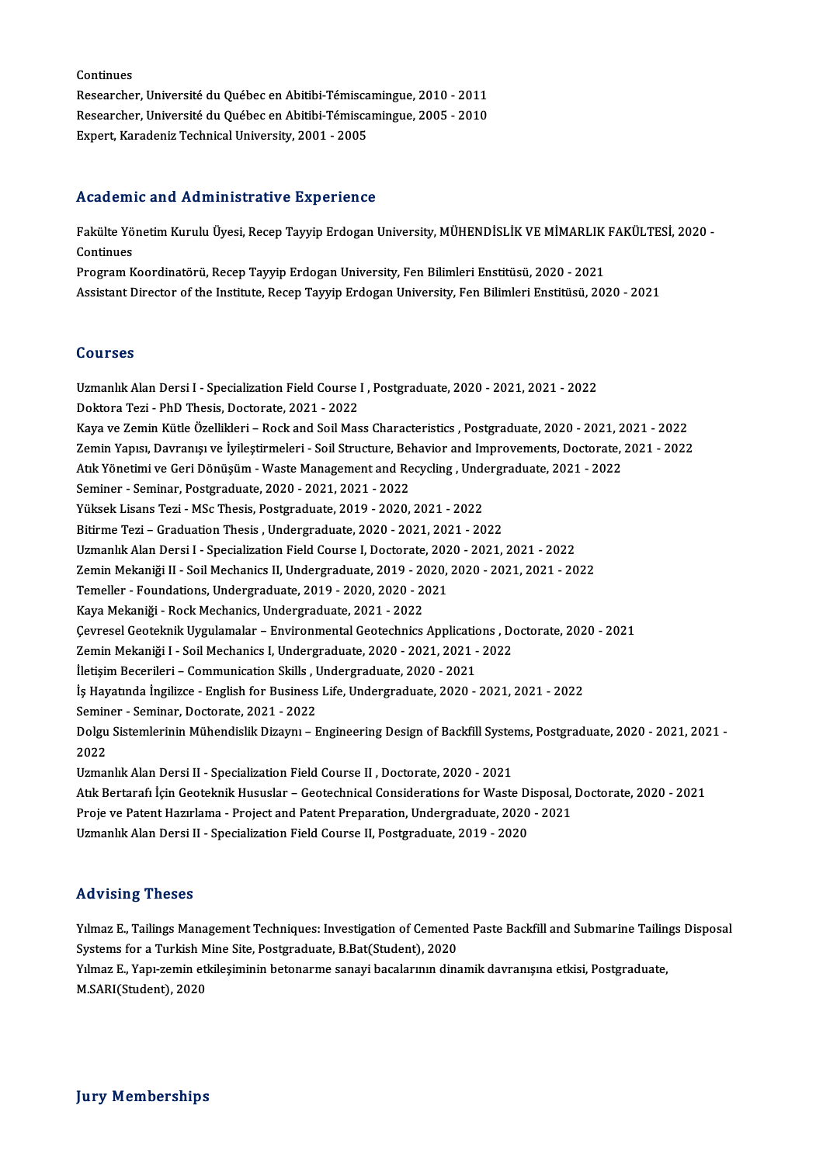Continues Continues<br>Researcher, Université du Québec en Abitibi-Témiscamingue, 2010 - 2011<br>Researcher, Université du Québec en Abitibi Témiscamingue, 2005 - 2010 Continues<br>Researcher, Université du Québec en Abitibi-Témiscamingue, 2010 - 2011<br>Researcher, Université du Québec en Abitibi-Témiscamingue, 2005 - 2010<br>Eunert, Kanadoniz Technicel University, 2001 - 2005 Researcher, Université du Québec en Abitibi-Témiscamingue, 2005 - 2010<br>Expert, Karadeniz Technical University, 2001 - 2005

### Academic and Administrative Experience

Academic and Administrative Experience<br>Fakülte Yönetim Kurulu Üyesi, Recep Tayyip Erdogan University, MÜHENDİSLİK VE MİMARLIK FAKÜLTESİ, 2020 -<br>Centinues Fakülte Yö<br>Fakülte Yö<br>Program K Fakülte Yönetim Kurulu Üyesi, Recep Tayyip Erdogan University, MÜHENDİSLİK VE MİMARLIK<br>Continues<br>Program Koordinatörü, Recep Tayyip Erdogan University, Fen Bilimleri Enstitüsü, 2020 - 2021<br>Assistant Dinastor of the Institu

Continues<br>Program Koordinatörü, Recep Tayyip Erdogan University, Fen Bilimleri Enstitüsü, 2020 - 2021<br>Assistant Director of the Institute, Recep Tayyip Erdogan University, Fen Bilimleri Enstitüsü, 2020 - 2021

### Courses

Courses<br>Uzmanlık Alan Dersi I - Specialization Field Course I , Postgraduate, 2020 - 2021, 2021 - 2022<br>Pelttera Teri , PhD Thesis Destersta 2021, 2022 Uzmanlık Alan Dersi I - Specialization Field Course )<br>Doktora Tezi - PhD Thesis, Doctorate, 2021 - 2022<br>Kava ve Zomin Kütle Örellikleri - Besk and Seil Mes Uzmanlık Alan Dersi I - Specialization Field Course I , Postgraduate, 2020 - 2021, 2021 - 2022<br>Doktora Tezi - PhD Thesis, Doctorate, 2021 - 2022<br>Kaya ve Zemin Kütle Özellikleri – Rock and Soil Mass Characteristics , Postgr Doktora Tezi - PhD Thesis, Doctorate, 2021 - 2022<br>Kaya ve Zemin Kütle Özellikleri – Rock and Soil Mass Characteristics , Postgraduate, 2020 - 2021, 2021 - 2022<br>Zemin Yapısı, Davranışı ve İyileştirmeleri - Soil Structure, B Kaya ve Zemin Kütle Özellikleri – Rock and Soil Mass Characteristics , Postgraduate, 2020 - 2021, 2<br>Zemin Yapısı, Davranışı ve İyileştirmeleri - Soil Structure, Behavior and Improvements, Doctorate, .<br>Atık Yönetimi ve Geri Zemin Yapısı, Davranışı ve İyileştirmeleri - Soil Structure, Behavior and Improvements, Doctorate, 2021 - 2022<br>Atık Yönetimi ve Geri Dönüşüm - Waste Management and Recycling , Undergraduate, 2021 - 2022<br>Seminer - Seminar, YüksekLisansTezi -MScThesis,Postgraduate,2019 -2020,2021 -2022 Bitirme Tezi - Graduation Thesis, Undergraduate, 2020 - 2021, 2021 - 2022 Yüksek Lisans Tezi - MSc Thesis, Postgraduate, 2019 - 2020, 2021 - 2022<br>Bitirme Tezi – Graduation Thesis , Undergraduate, 2020 - 2021, 2021 - 2022<br>Uzmanlık Alan Dersi I - Specialization Field Course I, Doctorate, 2020 - 20 Bitirme Tezi – Graduation Thesis , Undergraduate, 2020 - 2021, 2021 - 2022<br>Uzmanlık Alan Dersi I - Specialization Field Course I, Doctorate, 2020 - 2021, 2021 - 2022<br>Zemin Mekaniği II - Soil Mechanics II, Undergraduate, 20 Uzmanlık Alan Dersi I - Specialization Field Course I, Doctorate, 202<br>Zemin Mekaniği II - Soil Mechanics II, Undergraduate, 2019 - 2020,<br>Temeller - Foundations, Undergraduate, 2019 - 2020, 2020 - 2021<br>Kava Mekaniği - Boek Zemin Mekaniği II - Soil Mechanics II, Undergraduate, 2019 - 2020, 2020 - 2021, 2021 - 2022<br>Temeller - Foundations, Undergraduate, 2019 - 2020, 2020 - 2021<br>Kaya Mekaniği - Rock Mechanics, Undergraduate, 2021 - 2022 Temeller - Foundations, Undergraduate, 2019 - 2020, 2020 - 2021<br>Kaya Mekaniği - Rock Mechanics, Undergraduate, 2021 - 2022<br>Çevresel Geoteknik Uygulamalar – Environmental Geotechnics Applications , Doctorate, 2020 - 2021<br>Za Kaya Mekaniği - Rock Mechanics, Undergraduate, 2021 - 2022<br>Çevresel Geoteknik Uygulamalar – Environmental Geotechnics Applications , Do<br>Zemin Mekaniği I - Soil Mechanics I, Undergraduate, 2020 - 2021, 2021 - 2022<br>İlstisim Çevresel Geoteknik Uygulamalar – Environmental Geotechnics Application<br>Zemin Mekaniği I - Soil Mechanics I, Undergraduate, 2020 - 2021, 2021<br>İletişim Becerileri – Communication Skills , Undergraduate, 2020 - 2021<br>İs Havatn Zemin Mekaniği I - Soil Mechanics I, Undergraduate, 2020 - 2021, 2021 - 2022<br>İletişim Becerileri – Communication Skills , Undergraduate, 2020 - 2021<br>İş Hayatında İngilizce - English for Business Life, Undergraduate, 2020 iletişim Becerileri – Communication Skills , I<br>İş Hayatında İngilizce - English for Business<br>Seminer - Seminar, Doctorate, 2021 - 2022<br>Dolgu Sistemlerinin Mühandialik Direvnu İş Hayatında İngilizce - English for Business Life, Undergraduate, 2020 - 2021, 2021 - 2022<br>Seminer - Seminar, Doctorate, 2021 - 2022<br>Dolgu Sistemlerinin Mühendislik Dizaynı – Engineering Design of Backfill Systems, Postgr Semin<br>Dolgu<br>2022<br><sup>Hrma1</sup> Dolgu Sistemlerinin Mühendislik Dizaynı – Engineering Design of Backfill System<br>2022<br>Uzmanlık Alan Dersi II - Specialization Field Course II , Doctorate, 2020 - 2021<br>Atık Bertarafı İsin Ceetelmik Hususlar – Geotechnical Co 2022<br>Uzmanlık Alan Dersi II - Specialization Field Course II , Doctorate, 2020 - 2021<br>Atık Bertarafı İçin Geoteknik Hususlar – Geotechnical Considerations for Waste Disposal, Doctorate, 2020 - 2021<br>Preja ve Patent Hagyrlam Uzmanlık Alan Dersi II - Specialization Field Course II , Doctorate, 2020 - 2021<br>Atık Bertarafı İçin Geoteknik Hususlar – Geotechnical Considerations for Waste Disposal,<br>Proje ve Patent Hazırlama - Project and Patent Prepa Atık Bertarafı İçin Geoteknik Hususlar – Geotechnical Considerations for Waste D<br>Proje ve Patent Hazırlama - Project and Patent Preparation, Undergraduate, 2020<br>Uzmanlık Alan Dersi II - Specialization Field Course II, Post Uzmanlık Alan Dersi II - Specialization Field Course II, Postgraduate, 2019 - 2020<br>Advising Theses

Advising Theses<br>Yılmaz E., Tailings Management Techniques: Investigation of Cemented Paste Backfill and Submarine Tailings Disposal<br>Systems for a Turkish Mine Site Postsvaduate B Bat(Student), 2020 THE VISING TIRBERS<br>Tilmaz E., Tailings Management Techniques: Investigation of Cemente<br>Systems for a Turkish Mine Site, Postgraduate, B.Bat(Student), 2020<br>Vilmag E. Vont gemin ethilosiminin betonorme sensui beselerunut din Yılmaz E., Tailings Management Techniques: Investigation of Cemented Paste Backfill and Submarine Tailin<br>Systems for a Turkish Mine Site, Postgraduate, B.Bat(Student), 2020<br>Yılmaz E., Yapı-zemin etkileşiminin betonarme san Systems for a Turkish Mine Site, Postgraduate, B.Bat(Student), 2020<br>Yılmaz E., Yapı-zemin etkileşiminin betonarme sanayi bacalarının dinamik davranışına etkisi, Postgraduate,<br>M.SARI(Student), 2020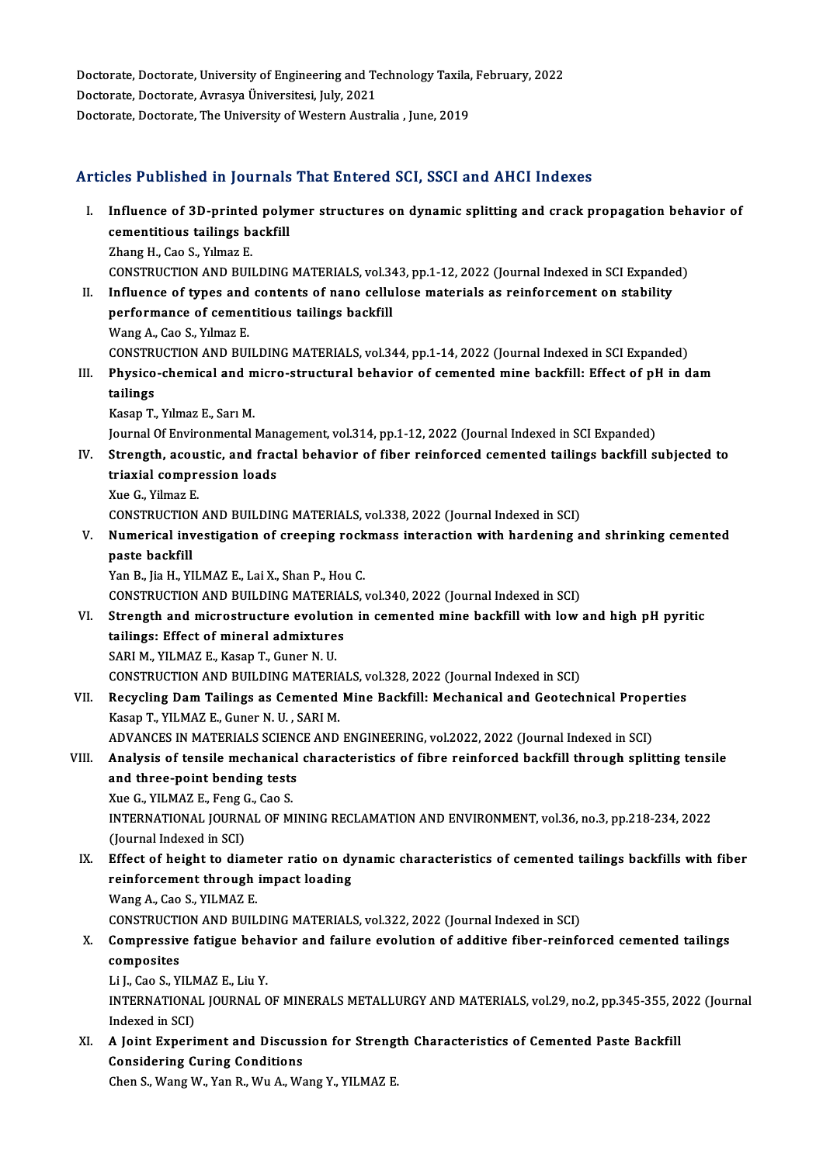Doctorate, Doctorate, University of Engineering and Technology Taxila, February, 2022<br>Destarate, Doctorate, Ayrasya Universitesi, July 2021 Doctorate, Doctorate, University of Engineering and Te<br>Doctorate, Doctorate, Avrasya Üniversitesi, July, 2021<br>Doctorate, Doctorate, The University of Western, Austr Doctorate, Doctorate, University of Engineering and Technology Taxila,<br>Doctorate, Doctorate, Avrasya Üniversitesi, July, 2021<br>Doctorate, Doctorate, The University of Western Australia , June, 2019

# Doctorate, Doctorate, The University of Western Australia , June, 2019<br>Articles Published in Journals That Entered SCI, SSCI and AHCI Indexes

- rticles Published in Journals That Entered SCI, SSCI and AHCI Indexes<br>I. Influence of 3D-printed polymer structures on dynamic splitting and crack propagation behavior of chose a distincted in Journals<br>Influence of 3D-printed poly<br>Thang H. Coo S. Vilmag E Influence of 3D-printec<br>cementitious tailings ba<br>Zhang H., Cao S., Yılmaz E.<br>CONSTRUCTION AND RUU cementitious tailings backfill<br>Zhang H., Cao S., Yılmaz E.<br>CONSTRUCTION AND BUILDING MATERIALS, vol.343, pp.1-12, 2022 (Journal Indexed in SCI Expanded)<br>Influence of types and contents of nano sollulose materials as reinfo
	-

Zhang H., Cao S., Yılmaz E.<br>CONSTRUCTION AND BUILDING MATERIALS, vol.343, pp.1-12, 2022 (Journal Indexed in SCI Expande<br>II. Influence of types and contents of nano cellulose materials as reinforcement on stability<br>norforma CONSTRUCTION AND BUILDING MATERIALS, vol.3<br>Influence of types and contents of nano celly<br>performance of cementitious tailings backfill<br>Wang A. Cao S. Vilmer E II. Influence of types and contents of nano cellulose materials as reinforcement on stability performance of cementitious tailings backfill<br>Wang A., Cao S., Yılmaz E. performance of cementitious tailings backfill<br>Wang A., Cao S., Yılmaz E.<br>CONSTRUCTION AND BUILDING MATERIALS, vol.344, pp.1-14, 2022 (Journal Indexed in SCI Expanded)<br>Physise, chamisel and misre structural behavior of seme

III. Physico-chemical and micro-structural behavior of cemented mine backfill: Effect of pH in dam<br>tailings CONSTRI<br>Physico<br>tailings<br><sup>Koson T</sup>

KasapT.,YılmazE.,SarıM.

Journal Of Environmental Management, vol.314, pp.1-12, 2022 (Journal Indexed in SCI Expanded)

Kasap T., Yılmaz E., Sarı M.<br>Journal Of Environmental Management, vol.314, pp.1-12, 2022 (Journal Indexed in SCI Expanded)<br>IV. Strength, acoustic, and fractal behavior of fiber reinforced cemented tailings backfill sub Journal Of Environmental Man<br>Strength, acoustic, and frac<br>triaxial compression loads<br><sup>Yuo C</sup> Vilmaz F Strength, acou<br>triaxial compre<br>Xue G., Yilmaz E.<br>CONSTRUCTION

triaxial compression loads<br>Xue G., Yilmaz E.<br>CONSTRUCTION AND BUILDING MATERIALS, vol.338, 2022 (Journal Indexed in SCI)

Xue G., Yilmaz E.<br>CONSTRUCTION AND BUILDING MATERIALS, vol.338, 2022 (Journal Indexed in SCI)<br>V. Numerical investigation of creeping rockmass interaction with hardening and shrinking cemented<br>naste baskfill CONSTRUCTIO<br>Numerical in<br>paste backfill<br>Yan P. Jio H. Y paste backfill<br>Yan B., Jia H., YILMAZ E., Lai X., Shan P., Hou C.<br>CONSTRUCTION AND BUILDING MATERIALS, vol.340, 2022 (Journal Indexed in SCI)<br>Strength and migrestructure evolution in comented mine backfill with low.

paste backfill<br>Yan B., Jia H., YILMAZ E., Lai X., Shan P., Hou C.

VI. Strength and microstructure evolution in cemented mine backfill with low and high pH pyritic tailings: Effect of mineral admixtures CONSTRUCTION AND BUILDING MATERIA<br>Strength and microstructure evolution<br>tailings: Effect of mineral admixtures<br>SARLM, VILMAZE, Kesen T. Guner N. H SARI M., YILMAZ E., Kasap T., Guner N. U. tailings: Effect of mineral admixtures<br>SARI M., YILMAZ E., Kasap T., Guner N. U.<br>CONSTRUCTION AND BUILDING MATERIALS, vol.328, 2022 (Journal Indexed in SCI)<br>Bequaling Dam Tailings as Comanted Mine Backfill: Mechanical and

SARI M., YILMAZ E., Kasap T., Guner N. U.<br>CONSTRUCTION AND BUILDING MATERIALS, vol.328, 2022 (Journal Indexed in SCI)<br>VII. Recycling Dam Tailings as Cemented Mine Backfill: Mechanical and Geotechnical Properties<br>Vosen CONSTRUCTION AND BUILDING MATERIA<br>Recycling Dam Tailings as Cemented<br>Kasap T., YILMAZ E., Guner N. U. , SARI M.<br>ADVANCES IN MATERIALS SCIENCE AND Recycling Dam Tailings as Cemented Mine Backfill: Mechanical and Geotechnical Prope<br>Kasap T., YILMAZ E., Guner N. U. , SARI M.<br>ADVANCES IN MATERIALS SCIENCE AND ENGINEERING, vol.2022, 2022 (Journal Indexed in SCI)<br>Analysis

Kasap T., YILMAZ E., Guner N. U. , SARI M.<br>ADVANCES IN MATERIALS SCIENCE AND ENGINEERING, vol.2022, 2022 (Journal Indexed in SCI)<br>VIII. Analysis of tensile mechanical characteristics of fibre reinforced backfill through sp ADVANCES IN MATERIALS SCIENO<br>Analysis of tensile mechanical<br>and three-point bending tests<br>Yue C. YU MAZE, Fong C. Coo S. Analysis of tensile mechanica<br>and three-point bending tests<br>Xue G., YILMAZ E., Feng G., Cao S.<br>INTERNATIONAL JOURNAL OF M

and three-point bending tests<br>INTERNATIONAL E., Feng G., Cao S.<br>INTERNATIONAL JOURNAL OF MINING RECLAMATION AND ENVIRONMENT, vol.36, no.3, pp.218-234, 2022<br>(Journal Indexed in SCI) Xue G., YILMAZ E., Feng G., Cao S. INTERNATIONAL JOURNAL OF MINING RECLAMATION AND ENVIRONMENT, vol.36, no.3, pp.218-234, 2022<br>(Journal Indexed in SCI)<br>IX. Effect of height to diameter ratio on dynamic characteristics of cemented tailings backfills with fib

(Journal Indexed in SCI)<br>Effect of height to diameter ratio on dy<br>reinforcement through impact loading<br>Wang A. Cas S. YU MAZ E reinforcement through impact loading<br>Wang A., Cao S., YILMAZ E.

CONSTRUCTION AND BUILDING MATERIALS, vol.322, 2022 (Journal Indexed in SCI)

### Wang A., Cao S., YILMAZ E.<br>CONSTRUCTION AND BUILDING MATERIALS, vol.322, 2022 (Journal Indexed in SCI)<br>X. Compressive fatigue behavior and failure evolution of additive fiber-reinforced cemented tailings<br>composites CONSTRUCTI<br>Compressiv<br>composites Compressive fatigue beha<br>composites<br>Li J., Cao S., YILMAZ E., Liu Y.<br>INTERNATIONAL JOURNAL C

composites<br>Li J., Cao S., YILMAZ E., Liu Y.<br>INTERNATIONAL JOURNAL OF MINERALS METALLURGY AND MATERIALS, vol.29, no.2, pp.345-355, 2022 (Journal Li J., Cao S., YILN<br>INTERNATIONA<br>Indexed in SCI)<br>A Joint Export INTERNATIONAL JOURNAL OF MINERALS METALLURGY AND MATERIALS, vol.29, no.2, pp.345-355, 2<br>Indexed in SCI)<br>XI. A Joint Experiment and Discussion for Strength Characteristics of Cemented Paste Backfill<br>Considering Curing Condi

Indexed in SCI)<br>A Joint Experiment and Discuss<br>Considering Curing Conditions<br>Chan S. Wang W. Yan B. Wit A. Wa A Joint Experiment and Discussion for Streng<br>Considering Curing Conditions<br>Chen S., Wang W., Yan R., Wu A., Wang Y., YILMAZ E.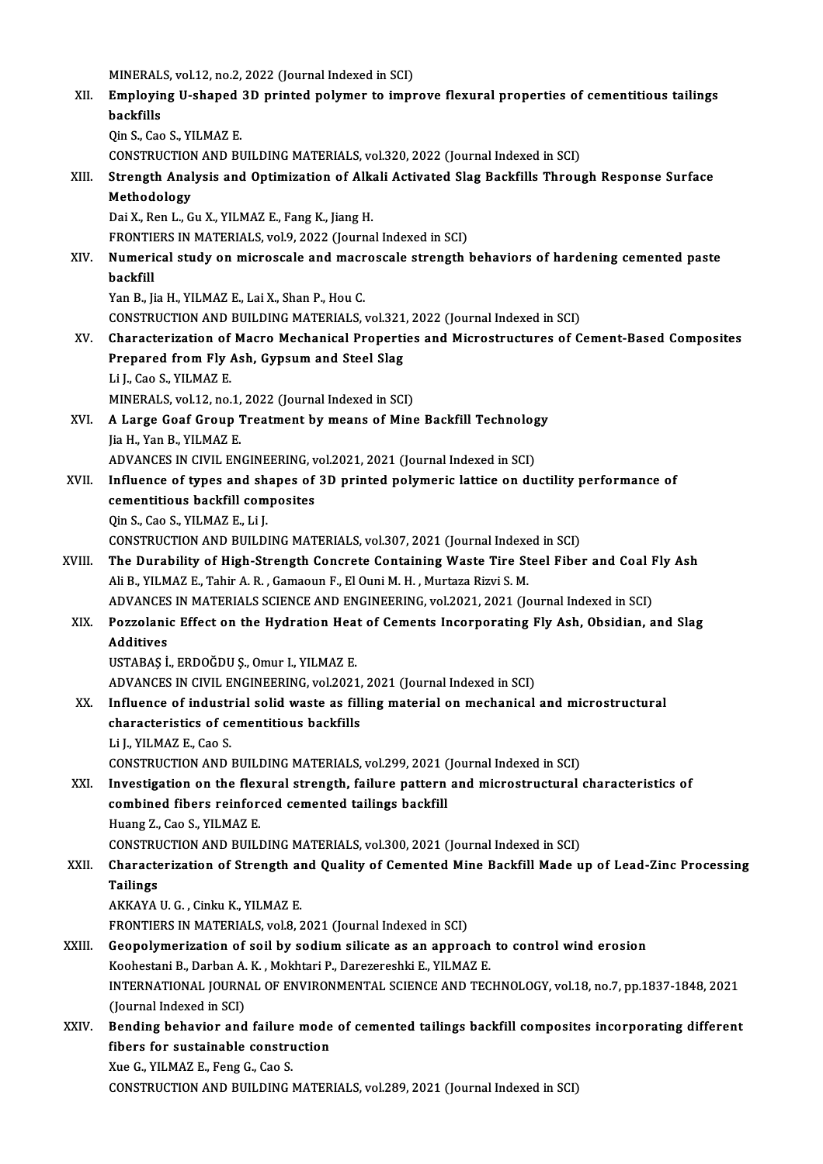- MINERALS, vol.12, no.2, 2022 (Journal Indexed in SCI)<br>Employing II shaned 2D printed polymer to impr MINERALS, vol.12, no.2, 2022 (Journal Indexed in SCI)<br>XII. Employing U-shaped 3D printed polymer to improve flexural properties of cementitious tailings<br>hackfills MINERAL<br>**Employir**<br>backfills<br><sup>Oin S.</sup> See Employing U-shaped<br>backfills<br>Qin S., Cao S., YILMAZ E.<br>CONSTRUCTION AND BI backfills<br>Qin S., Cao S., YILMAZ E.<br>CONSTRUCTION AND BUILDING MATERIALS, vol.320, 2022 (Journal Indexed in SCI)<br>Strongth Analysis and Ontimization of Alkali Astivated Slag Baskfills Throw Qin S., Cao S., YILMAZ E.<br>CONSTRUCTION AND BUILDING MATERIALS, vol.320, 2022 (Journal Indexed in SCI)<br>XIII. Strength Analysis and Optimization of Alkali Activated Slag Backfills Through Response Surface<br>Methodology CONSTRUCTION<br>Strength Anal<br>Methodology<br>Dai<sup>v Bon L</sup> C Dai X., Ren L., Gu X., YILMAZ E., Fang K., Jiang H. Methodology<br>Dai X., Ren L., Gu X., YILMAZ E., Fang K., Jiang H.<br>FRONTIERS IN MATERIALS, vol.9, 2022 (Journal Indexed in SCI)<br>Numerisel study on misrossele and masrossele strength l Dai X., Ren L., Gu X., YILMAZ E., Fang K., Jiang H.<br>FRONTIERS IN MATERIALS, vol.9, 2022 (Journal Indexed in SCI)<br>XIV. Numerical study on microscale and macroscale strength behaviors of hardening cemented paste<br>hackfill FRONTI<br><mark>Numer</mark><br>backfill Numerical study on microscale and macr<br>backfill<br>Yan B., Jia H., YILMAZ E., Lai X., Shan P., Hou C.<br>CONSTRUCTION AND RUU DINC MATERIALS backfill<br>Yan B., Jia H., YILMAZ E., Lai X., Shan P., Hou C.<br>CONSTRUCTION AND BUILDING MATERIALS, vol.321, 2022 (Journal Indexed in SCI) Yan B., Jia H., YILMAZ E., Lai X., Shan P., Hou C.<br>CONSTRUCTION AND BUILDING MATERIALS, vol.321, 2022 (Journal Indexed in SCI)<br>XV. Characterization of Macro Mechanical Properties and Microstructures of Cement-Based Composi CONSTRUCTION AND BUILDING MATERIALS, vol.321<br>Characterization of Macro Mechanical Properti<br>Prepared from Fly Ash, Gypsum and Steel Slag<br>Lil Cee S XU MAZE Characterization of<br>Prepared from Fly<br>Li J., Cao S., YILMAZ E.<br>MINERALS vol.12, no. Prepared from Fly Ash, Gypsum and Steel Slag<br>Li J., Cao S., YILMAZ E.<br>MINERALS, vol.12, no.1, 2022 (Journal Indexed in SCI) Li J., Cao S., YILMAZ E.<br>MINERALS, vol.12, no.1, 2022 (Journal Indexed in SCI)<br>XVI. A Large Goaf Group Treatment by means of Mine Backfill Technology MINERALS, vol.12, no.1,<br>A Large Goaf Group 1<br>Jia H., Yan B., YILMAZ E.<br>ADVANGES IN CIVIL EN. A Large Goaf Group Treatment by means of Mine Backfill Technolog<br>Jia H., Yan B., YILMAZ E.<br>ADVANCES IN CIVIL ENGINEERING, vol.2021, 2021 (Journal Indexed in SCI)<br>Influence of tunes and shapes of 2D printed polymenic lattic Jia H., Yan B., YILMAZ E.<br>ADVANCES IN CIVIL ENGINEERING, vol.2021, 2021 (Journal Indexed in SCI)<br>XVII. Influence of types and shapes of 3D printed polymeric lattice on ductility performance of<br>comentitious backfill composi ADVANCES IN CIVIL ENGINEERING, vol.2021, 2021 (Journal Indexed in SCI)<br>Influence of types and shapes of 3D printed polymeric lattice on du<br>cementitious backfill composites<br>Qin S., Cao S., YILMAZ E., Li J. Influence of types and sh<br>cementitious backfill com<br>Qin S., Cao S., YILMAZ E., Li J.<br>CONSTRUCTION AND RUILD. cementitious backfill composites<br>Qin S., Cao S., YILMAZ E., Li J.<br>CONSTRUCTION AND BUILDING MATERIALS, vol.307, 2021 (Journal Indexed in SCI)<br>The Durability of High Strength Congrate Containing Waste Tire Steel Eiber XVIII. The Durability of High-Strength Concrete Containing Waste Tire Steel Fiber and Coal Fly Ash<br>Ali B., YILMAZ E., Tahir A. R., Gamaoun F., El Ouni M. H., Murtaza Rizvi S. M. CONSTRUCTION AND BUILDING MATERIALS, vol.307, 2021 (Journal Indexergency The Durability of High-Strength Concrete Containing Waste Tire St<br>Ali B., YILMAZ E., Tahir A. R. , Gamaoun F., El Ouni M. H. , Murtaza Rizvi S. M.<br>AD The Durability of High-Strength Concrete Containing Waste Tire Steel Fiber and Coal I<br>Ali B., YILMAZ E., Tahir A. R. , Gamaoun F., El Ouni M. H. , Murtaza Rizvi S. M.<br>ADVANCES IN MATERIALS SCIENCE AND ENGINEERING, vol.2021 Ali B., YILMAZ E., Tahir A. R. , Gamaoun F., El Ouni M. H. , Murtaza Rizvi S. M.<br>ADVANCES IN MATERIALS SCIENCE AND ENGINEERING, vol.2021, 2021 (Journal Indexed in SCI)<br>XIX. Pozzolanic Effect on the Hydration Heat of Cement ADVANCES<br><mark>Pozzolani</mark><br>Additives<br>USTARAS i Pozzolanic Effect on the Hydration Hea<br>Additives<br>USTABAŞ İ., ERDOĞDU Ş., Omur I., YILMAZ E.<br>ADVANCES IN CIVIL ENCINEERING vol 2021 Additives<br>USTABAŞ İ., ERDOĞDU Ş., Omur I., YILMAZ E.<br>ADVANCES IN CIVIL ENGINEERING, vol.2021, 2021 (Journal Indexed in SCI) USTABAȘ İ., ERDOĞDU Ș., Omur I., YILMAZ E.<br>ADVANCES IN CIVIL ENGINEERING, vol.2021, 2021 (Journal Indexed in SCI)<br>XX. Influence of industrial solid waste as filling material on mechanical and microstructural<br>characteristic ADVANCES IN CIVIL ENGINEERING, vol.2021,<br>Influence of industrial solid waste as fill<br>characteristics of cementitious backfills<br>Lil VILMAZE Coos Influence of industr<br>characteristics of ce<br>Li J., YILMAZ E., Cao S.<br>CONSTRUCTION AND. characteristics of cementitious backfills<br>Li J., YILMAZ E., Cao S.<br>CONSTRUCTION AND BUILDING MATERIALS, vol.299, 2021 (Journal Indexed in SCI)<br>Investigation on the flowural strength, foilure pattern and misrostrustural Li J., YILMAZ E., Cao S.<br>CONSTRUCTION AND BUILDING MATERIALS, vol.299, 2021 (Journal Indexed in SCI)<br>XXI. Investigation on the flexural strength, failure pattern and microstructural characteristics of<br>combined fibers reinf CONSTRUCTION AND BUILDING MATERIALS, vol.299, 2021<br>Investigation on the flexural strength, failure pattern<br>combined fibers reinforced cemented tailings backfill<br>Huang 7, Cao S, VII MAZ E Huang Z., Cao S., YILMAZ E. combined fibers reinforced cemented tailings backfill<br>Huang Z., Cao S., YILMAZ E.<br>CONSTRUCTION AND BUILDING MATERIALS, vol.300, 2021 (Journal Indexed in SCI)<br>Characterization of Strongth and Quality of Comented Mine Backfi Huang Z., Cao S., YILMAZ E.<br>CONSTRUCTION AND BUILDING MATERIALS, vol.300, 2021 (Journal Indexed in SCI)<br>XXII. Characterization of Strength and Quality of Cemented Mine Backfill Made up of Lead-Zinc Processing<br>Tailings CONSTR<mark>L</mark><br>Characte<br>Tailings Characterization of Strength an<br>Tailings<br>AKKAYA U. G. , Cinku K., YILMAZ E.<br>EPONTIERS IN MATERIALS vel 2 Tailings<br>AKKAYA U. G. , Cinku K., YILMAZ E.<br>FRONTIERS IN MATERIALS, vol.8, 2021 (Journal Indexed in SCI) AKKAYA U. G., Cinku K., YILMAZ E.<br>FRONTIERS IN MATERIALS, vol.8, 2021 (Journal Indexed in SCI)<br>XXIII. Geopolymerization of soil by sodium silicate as an approach to control wind erosion FRONTIERS IN MATERIALS, vol.8, 2021 (Journal Indexed in SCI)<br>Geopolymerization of soil by sodium silicate as an approach<br>Koohestani B., Darban A. K. , Mokhtari P., Darezereshki E., YILMAZ E.<br>INTERNATIONAL JOURNAL OF ENVIRO
- Geopolymerization of soil by sodium silicate as an approach to control wind erosion<br>Koohestani B., Darban A. K. , Mokhtari P., Darezereshki E., YILMAZ E.<br>INTERNATIONAL JOURNAL OF ENVIRONMENTAL SCIENCE AND TECHNOLOGY, vol.1 Koohestani B., Darban A.<br>INTERNATIONAL JOURN.<br>(Journal Indexed in SCI)<br>Bonding behavior and INTERNATIONAL JOURNAL OF ENVIRONMENTAL SCIENCE AND TECHNOLOGY, vol.18, no.7, pp.1837-1848, 2021<br>(Journal Indexed in SCI)<br>XXIV. Bending behavior and failure mode of cemented tailings backfill composites incorporating differ
- (Journal Indexed in SCI)<br>Bending behavior and failure mode<br>fibers for sustainable construction<br>Yue G XII MAZE Fenz G Gee S Bending behavior and failure<br>fibers for sustainable constru<br>Xue G., YILMAZ E., Feng G., Cao S.<br>CONSTRUCTION AND RUU DINC I

fibers for sustainable construction<br>Xue G., YILMAZ E., Feng G., Cao S.<br>CONSTRUCTION AND BUILDING MATERIALS, vol.289, 2021 (Journal Indexed in SCI)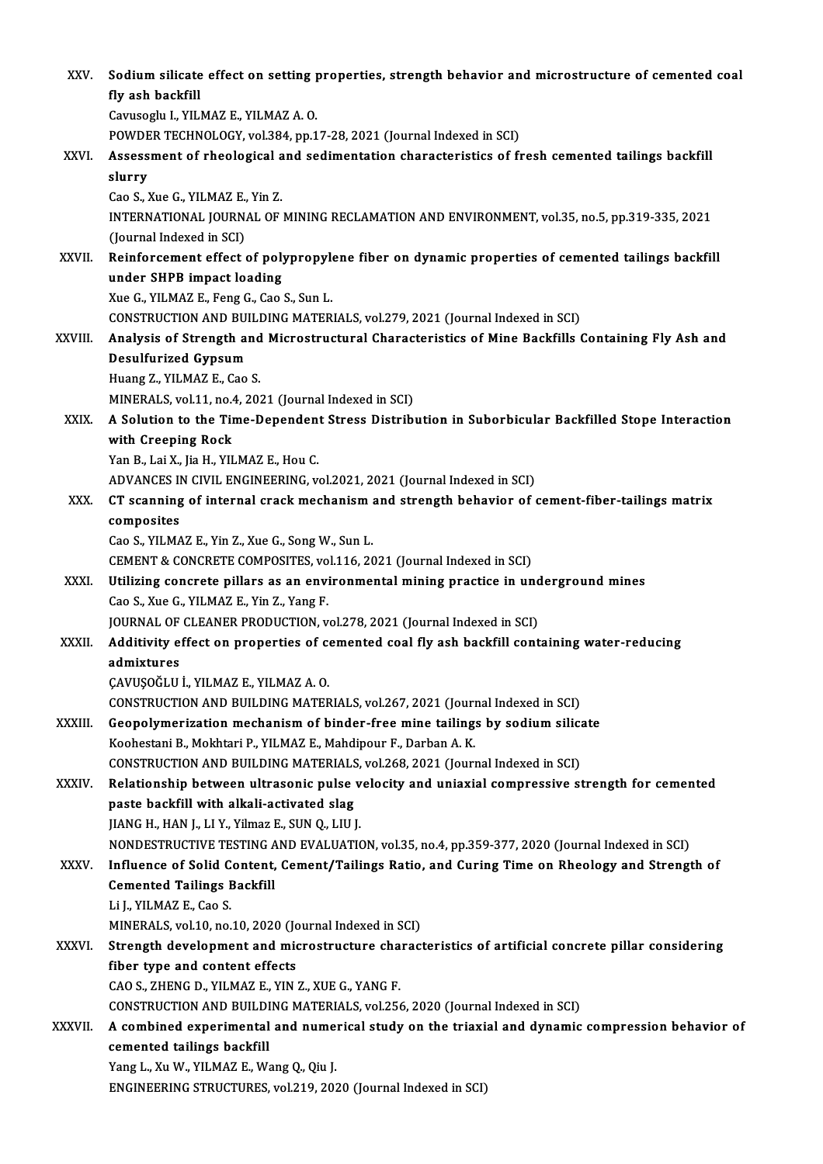| XXV.         | Sodium silicate effect on setting properties, strength behavior and microstructure of cemented coal                                 |
|--------------|-------------------------------------------------------------------------------------------------------------------------------------|
|              | fly ash backfill                                                                                                                    |
|              | Cavusoglu I., YILMAZ E., YILMAZ A. O.                                                                                               |
|              | POWDER TECHNOLOGY, vol.384, pp.17-28, 2021 (Journal Indexed in SCI)                                                                 |
| XXVI.        | Assessment of rheological and sedimentation characteristics of fresh cemented tailings backfill                                     |
|              | slurry                                                                                                                              |
|              | Cao S., Xue G., YILMAZ E., Yin Z.                                                                                                   |
|              | INTERNATIONAL JOURNAL OF MINING RECLAMATION AND ENVIRONMENT, vol.35, no.5, pp.319-335, 2021                                         |
|              | (Journal Indexed in SCI)                                                                                                            |
| XXVII.       | Reinforcement effect of polypropylene fiber on dynamic properties of cemented tailings backfill                                     |
|              | under SHPB impact loading                                                                                                           |
|              | Xue G., YILMAZ E., Feng G., Cao S., Sun L.<br>CONSTRUCTION AND BUILDING MATERIALS, vol.279, 2021 (Journal Indexed in SCI)           |
| XXVIII.      | Analysis of Strength and Microstructural Characteristics of Mine Backfills Containing Fly Ash and                                   |
|              | <b>Desulfurized Gypsum</b>                                                                                                          |
|              | Huang Z., YILMAZ E., Cao S.                                                                                                         |
|              | MINERALS, vol.11, no.4, 2021 (Journal Indexed in SCI)                                                                               |
| XXIX.        | A Solution to the Time-Dependent Stress Distribution in Suborbicular Backfilled Stope Interaction                                   |
|              | with Creeping Rock                                                                                                                  |
|              | Yan B., Lai X., Jia H., YILMAZ E., Hou C.                                                                                           |
|              | ADVANCES IN CIVIL ENGINEERING, vol.2021, 2021 (Journal Indexed in SCI)                                                              |
| XXX.         | CT scanning of internal crack mechanism and strength behavior of cement-fiber-tailings matrix                                       |
|              | composites                                                                                                                          |
|              | Cao S., YILMAZ E., Yin Z., Xue G., Song W., Sun L.                                                                                  |
|              | CEMENT & CONCRETE COMPOSITES, vol.116, 2021 (Journal Indexed in SCI)                                                                |
| XXXI.        | Utilizing concrete pillars as an environmental mining practice in underground mines                                                 |
|              | Cao S., Xue G., YILMAZ E., Yin Z., Yang F.                                                                                          |
|              | JOURNAL OF CLEANER PRODUCTION, vol.278, 2021 (Journal Indexed in SCI)                                                               |
| XXXII        | Additivity effect on properties of cemented coal fly ash backfill containing water-reducing                                         |
|              | admixtures                                                                                                                          |
|              | ÇAVUŞOĞLU İ., YILMAZ E., YILMAZ A. O.                                                                                               |
|              | CONSTRUCTION AND BUILDING MATERIALS, vol.267, 2021 (Journal Indexed in SCI)                                                         |
| XXXIII.      | Geopolymerization mechanism of binder-free mine tailings by sodium silicate                                                         |
|              | Koohestani B., Mokhtari P., YILMAZ E., Mahdipour F., Darban A.K.                                                                    |
|              | CONSTRUCTION AND BUILDING MATERIALS, vol.268, 2021 (Journal Indexed in SCI)                                                         |
| XXXIV.       | Relationship between ultrasonic pulse velocity and uniaxial compressive strength for cemented                                       |
|              | paste backfill with alkali-activated slag                                                                                           |
|              | JIANG H., HAN J., LI Y., Yilmaz E., SUN Q., LIU J.                                                                                  |
|              | NONDESTRUCTIVE TESTING AND EVALUATION, vol.35, no.4, pp.359-377, 2020 (Journal Indexed in SCI)                                      |
| XXXV         | Influence of Solid Content, Cement/Tailings Ratio, and Curing Time on Rheology and Strength of                                      |
|              | <b>Cemented Tailings Backfill</b>                                                                                                   |
|              | Li J., YILMAZ E., Cao S.                                                                                                            |
|              | MINERALS, vol.10, no.10, 2020 (Journal Indexed in SCI)                                                                              |
| <b>XXXVI</b> | Strength development and microstructure characteristics of artificial concrete pillar considering                                   |
|              | fiber type and content effects                                                                                                      |
|              | CAO S., ZHENG D., YILMAZ E., YIN Z., XUE G., YANG F.<br>CONSTRUCTION AND BUILDING MATERIALS, vol.256, 2020 (Journal Indexed in SCI) |
|              | A combined experimental and numerical study on the triaxial and dynamic compression behavior of                                     |
| XXXVII.      | cemented tailings backfill                                                                                                          |
|              | Yang L., Xu W., YILMAZ E., Wang Q., Qiu J.                                                                                          |
|              | ENGINEERING STRUCTURES, vol.219, 2020 (Journal Indexed in SCI)                                                                      |
|              |                                                                                                                                     |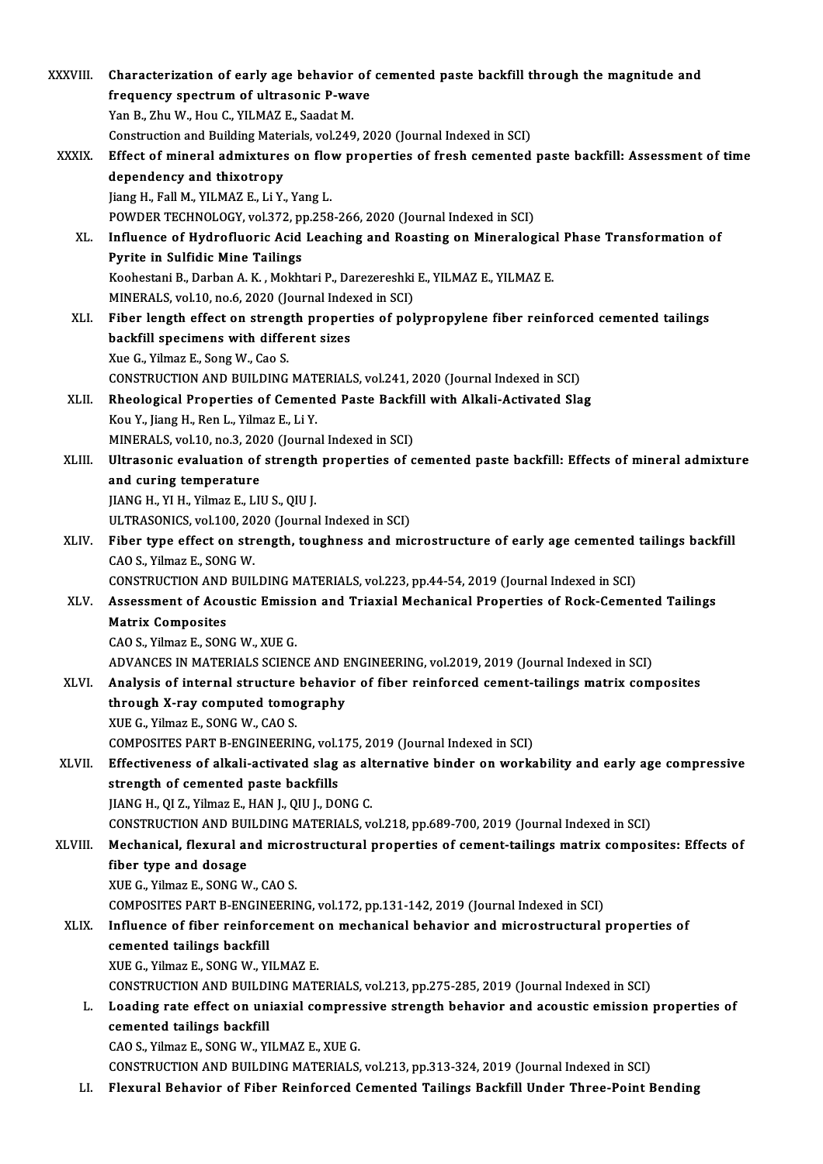| XXXVIII.     | Characterization of early age behavior of cemented paste backfill through the magnitude and           |
|--------------|-------------------------------------------------------------------------------------------------------|
|              | frequency spectrum of ultrasonic P-wave                                                               |
|              | Yan B., Zhu W., Hou C., YILMAZ E., Saadat M.                                                          |
|              | Construction and Building Materials, vol.249, 2020 (Journal Indexed in SCI)                           |
| <b>XXXIX</b> | Effect of mineral admixtures on flow properties of fresh cemented paste backfill: Assessment of time  |
|              | dependency and thixotropy                                                                             |
|              | Jiang H., Fall M., YILMAZ E., Li Y., Yang L.                                                          |
|              | POWDER TECHNOLOGY, vol.372, pp.258-266, 2020 (Journal Indexed in SCI)                                 |
| XL.          | Influence of Hydrofluoric Acid Leaching and Roasting on Mineralogical Phase Transformation of         |
|              | Pyrite in Sulfidic Mine Tailings                                                                      |
|              | Koohestani B., Darban A. K., Mokhtari P., Darezereshki E., YILMAZ E., YILMAZ E.                       |
|              | MINERALS, vol.10, no.6, 2020 (Journal Indexed in SCI)                                                 |
| XLI.         | Fiber length effect on strength properties of polypropylene fiber reinforced cemented tailings        |
|              | backfill specimens with different sizes                                                               |
|              | Xue G, Yilmaz E, Song W, Cao S.                                                                       |
|              | CONSTRUCTION AND BUILDING MATERIALS, vol.241, 2020 (Journal Indexed in SCI)                           |
| XLII.        | Rheological Properties of Cemented Paste Backfill with Alkali-Activated Slag                          |
|              | Kou Y., Jiang H., Ren L., Yilmaz E., Li Y.                                                            |
|              | MINERALS, vol.10, no.3, 2020 (Journal Indexed in SCI)                                                 |
| XLIII.       | Ultrasonic evaluation of strength properties of cemented paste backfill: Effects of mineral admixture |
|              | and curing temperature                                                                                |
|              | JIANG H., YI H., Yilmaz E., LIU S., QIU J.                                                            |
|              | ULTRASONICS, vol.100, 2020 (Journal Indexed in SCI)                                                   |
| XLIV.        | Fiber type effect on strength, toughness and microstructure of early age cemented tailings backfill   |
|              | CAO S., Yilmaz E., SONG W.                                                                            |
|              | CONSTRUCTION AND BUILDING MATERIALS, vol.223, pp.44-54, 2019 (Journal Indexed in SCI)                 |
| XLV.         | Assessment of Acoustic Emission and Triaxial Mechanical Properties of Rock-Cemented Tailings          |
|              | <b>Matrix Composites</b>                                                                              |
|              | CAO S., Yilmaz E., SONG W., XUE G.                                                                    |
|              | ADVANCES IN MATERIALS SCIENCE AND ENGINEERING, vol.2019, 2019 (Journal Indexed in SCI)                |
| XLVI.        | Analysis of internal structure behavior of fiber reinforced cement-tailings matrix composites         |
|              | through X-ray computed tomography                                                                     |
|              | XUE G., Yilmaz E., SONG W., CAO S.                                                                    |
|              | COMPOSITES PART B-ENGINEERING, vol.175, 2019 (Journal Indexed in SCI)                                 |
| XLVII.       | Effectiveness of alkali-activated slag as alternative binder on workability and early age compressive |
|              | strength of cemented paste backfills                                                                  |
|              | JIANG H., QI Z., Yilmaz E., HAN J., QIU J., DONG C.                                                   |
|              | CONSTRUCTION AND BUILDING MATERIALS, vol.218, pp.689-700, 2019 (Journal Indexed in SCI)               |
| XLVIII.      | Mechanical, flexural and microstructural properties of cement-tailings matrix composites: Effects of  |
|              | fiber type and dosage                                                                                 |
|              | XUE G., Yilmaz E., SONG W., CAO S.                                                                    |
|              | COMPOSITES PART B-ENGINEERING, vol.172, pp.131-142, 2019 (Journal Indexed in SCI)                     |
| XLIX.        | Influence of fiber reinforcement on mechanical behavior and microstructural properties of             |
|              | cemented tailings backfill                                                                            |
|              | XUE G., Yilmaz E., SONG W., YILMAZ E.                                                                 |
|              | CONSTRUCTION AND BUILDING MATERIALS, vol.213, pp.275-285, 2019 (Journal Indexed in SCI)               |
| L.           | Loading rate effect on uniaxial compressive strength behavior and acoustic emission properties of     |
|              | cemented tailings backfill                                                                            |
|              | CAO S., Yilmaz E., SONG W., YILMAZ E., XUE G.                                                         |
|              | CONSTRUCTION AND BUILDING MATERIALS, vol.213, pp.313-324, 2019 (Journal Indexed in SCI)               |
| LI.          | Flexural Behavior of Fiber Reinforced Cemented Tailings Backfill Under Three-Point Bending            |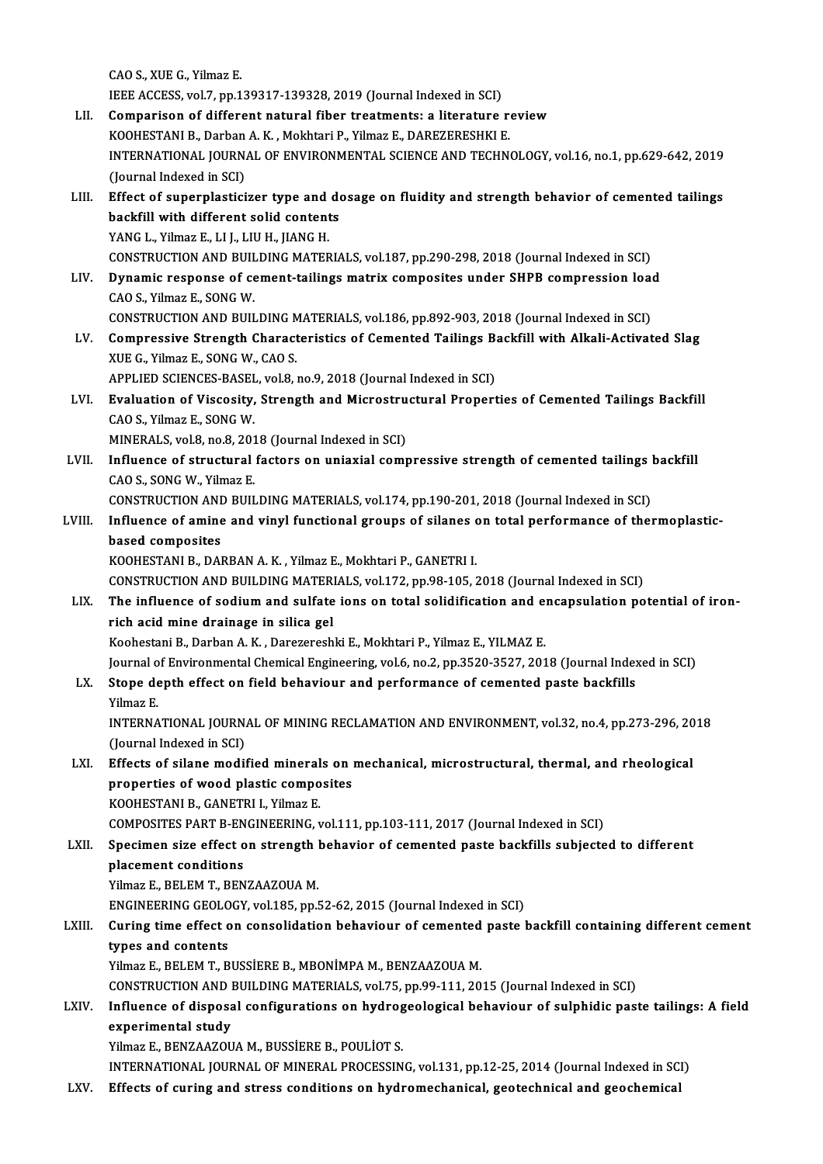CAOS.,XUEG.,YilmazE. IEEEACCESS,vol.7,pp.139317-139328,2019 (Journal Indexed inSCI) CAO S., XUE G., Yilmaz E.<br>IEEE ACCESS, vol.7, pp.139317-139328, 2019 (Journal Indexed in SCI)<br>LII. Comparison of different natural fiber treatments: a literature review<br>KOOUESTANLE, Darban A.K., Makhtari B. Vilmag E. DAREZ IEEE ACCESS, vol.7, pp.139317-139328, 2019 (Journal Indexed in SCI)<br>Comparison of different natural fiber treatments: a literature re<br>KOOHESTANI B., Darban A. K. , Mokhtari P., Yilmaz E., DAREZERESHKI E.<br>INTERNATIONAL JOUR Comparison of different natural fiber treatments: a literature review<br>KOOHESTANI B., Darban A. K. , Mokhtari P., Yilmaz E., DAREZERESHKI E.<br>INTERNATIONAL JOURNAL OF ENVIRONMENTAL SCIENCE AND TECHNOLOGY, vol.16, no.1, pp.62 KOOHESTANI B., Darban<br>INTERNATIONAL JOURN.<br>(Journal Indexed in SCI)<br>Effect of superplastici INTERNATIONAL JOURNAL OF ENVIRONMENTAL SCIENCE AND TECHNOLOGY, vol.16, no.1, pp.629-642, 2019<br>(Journal Indexed in SCI)<br>LIII. Effect of superplasticizer type and dosage on fluidity and strength behavior of cemented tailings (Journal Indexed in SCI)<br>Effect of superplasticizer type and de<br>backfill with different solid contents<br>YANG L. Vilmaz E. LLL LULH, HANG H Effect of superplasticizer type and<br>backfill with different solid content<br>YANG L., Yilmaz E., LI J., LIU H., JIANG H.<br>CONSTRUCTION AND RUU DINC MATER backfill with different solid contents<br>YANG L., Yilmaz E., LI J., LIU H., JIANG H.<br>CONSTRUCTION AND BUILDING MATERIALS, vol.187, pp.290-298, 2018 (Journal Indexed in SCI)<br>Dunamis response of sement tailings matrix semposit YANG L., Yilmaz E., LI J., LIU H., JIANG H.<br>CONSTRUCTION AND BUILDING MATERIALS, vol.187, pp.290-298, 2018 (Journal Indexed in SCI)<br>LIV. Dynamic response of cement-tailings matrix composites under SHPB compression load CONSTRUCTION AND BUIL<br>Dynamic response of ce<br>CAO S., Yilmaz E., SONG W.<br>CONSTRUCTION AND BUIL Dynamic response of cement-tailings matrix composites under SHPB compression load<br>CAO S., Yilmaz E., SONG W.<br>CONSTRUCTION AND BUILDING MATERIALS, vol.186, pp.892-903, 2018 (Journal Indexed in SCI)<br>Compressive Strepgth Char CAO S., Yilmaz E., SONG W.<br>CONSTRUCTION AND BUILDING MATERIALS, vol.186, pp.892-903, 2018 (Journal Indexed in SCI)<br>LV. Compressive Strength Characteristics of Cemented Tailings Backfill with Alkali-Activated Slag<br>VIIE C. V CONSTRUCTION AND BUILDING M<br>Compressive Strength Charact<br>XUE G., Yilmaz E., SONG W., CAO S.<br>APPLIED SCIENCES PASEL, vol.8, Compressive Strength Characteristics of Cemented Tailings B:<br>XUE G., Yilmaz E., SONG W., CAO S.<br>APPLIED SCIENCES-BASEL, vol.8, no.9, 2018 (Journal Indexed in SCI)<br>Evaluation of Viscosity, Strongth and Misrostructural Propo XUE G., Yilmaz E., SONG W., CAO S.<br>APPLIED SCIENCES-BASEL, vol.8, no.9, 2018 (Journal Indexed in SCI)<br>LVI. Evaluation of Viscosity, Strength and Microstructural Properties of Cemented Tailings Backfill<br>CAO S. Vilmag E. APPLIED SCIENCES-BASEI<br>Evaluation of Viscosity,<br>CAO S., Yilmaz E., SONG W.<br>MINERALS wol 2 no 2 201 Evaluation of Viscosity, Strength and Microstru<br>CAO S., Yilmaz E., SONG W.<br>MINERALS, vol.8, no.8, 2018 (Journal Indexed in SCI)<br>Influence of structural fectors on uniquial comp CAO S., Yilmaz E., SONG W.<br>MINERALS, vol.8, no.8, 2018 (Journal Indexed in SCI)<br>LVII. Influence of structural factors on uniaxial compressive strength of cemented tailings backfill<br>CAO S. SONG W. Vilmar F. MINERALS, vol.8, no.8, 201<br>Influence of structural<br>CAO S., SONG W., Yilmaz E.<br>CONSTRUCTION AND RUIL Influence of structural factors on uniaxial compressive strength of cemented tailings |<br>CAO S., SONG W., Yilmaz E.<br>CONSTRUCTION AND BUILDING MATERIALS, vol.174, pp.190-201, 2018 (Journal Indexed in SCI)<br>Influence of amine CAO S., SONG W., Yilmaz E.<br>CONSTRUCTION AND BUILDING MATERIALS, vol.174, pp.190-201, 2018 (Journal Indexed in SCI)<br>LVIII. Influence of amine and vinyl functional groups of silanes on total performance of thermoplastic-<br>has **CONSTRUCTION AND**<br>Influence of amine<br>based composites<br>KOOHESTANLE DAL Influence of amine and vinyl functional groups of silanes of<br>based composites<br>KOOHESTANI B., DARBAN A. K. , Yilmaz E., Mokhtari P., GANETRI I.<br>CONSTRUCTION AND RUU DINC MATERIALS vol.172, pp.99,105 based composites<br>KOOHESTANI B., DARBAN A. K. , Yilmaz E., Mokhtari P., GANETRI I.<br>CONSTRUCTION AND BUILDING MATERIALS, vol.172, pp.98-105, 2018 (Journal Indexed in SCI)<br>The influence of sedium and sulfate iers on total sel KOOHESTANI B., DARBAN A. K. , Yilmaz E., Mokhtari P., GANETRI I.<br>CONSTRUCTION AND BUILDING MATERIALS, vol.172, pp.98-105, 2018 (Journal Indexed in SCI)<br>LIX. The influence of sodium and sulfate ions on total solidification CONSTRUCTION AND BUILDING MATER<br>The influence of sodium and sulfate<br>rich acid mine drainage in silica gel<br>Koobestani B. Darban A. K. Darsgaresh Koohestani B., Darban A.K., Darezereshki E., Mokhtari P., Yilmaz E., YILMAZ E. rich acid mine drainage in silica gel<br>Koohestani B., Darban A. K. , Darezereshki E., Mokhtari P., Yilmaz E., YILMAZ E.<br>Journal of Environmental Chemical Engineering, vol.6, no.2, pp.3520-3527, 2018 (Journal Indexed in SCI) LX. Stope depth effect on field behaviour and performance of cemented paste backfills Yilmaz E. Journal o<br><mark>Stope de</mark><br>Yilmaz E.<br>INTERNA Stope depth effect on field behaviour and performance of cemented paste backfills<br>Yilmaz E.<br>INTERNATIONAL JOURNAL OF MINING RECLAMATION AND ENVIRONMENT, vol.32, no.4, pp.273-296, 2018<br>(Jaurnal Indoved in SCI) Yilmaz E.<br>INTERNATIONAL JOURN.<br>(Journal Indexed in SCI)<br>Effects of silane modii INTERNATIONAL JOURNAL OF MINING RECLAMATION AND ENVIRONMENT, vol.32, no.4, pp.273-296, 20<br>(Journal Indexed in SCI)<br>LXI. Effects of silane modified minerals on mechanical, microstructural, thermal, and rheological<br>nunparati (Journal Indexed in SCI)<br>Effects of silane modified minerals on<br>properties of wood plastic composites<br>KOOUESTANLE CANETPLL Vilmer E Effects of silane modified mineral<br>properties of wood plastic compo<br>KOOHESTANI B., GANETRI I., Yilmaz E.<br>COMPOSITES PAPT P ENCINEEPINC . properties of wood plastic composites<br>KOOHESTANI B., GANETRI I., Yilmaz E.<br>COMPOSITES PART B-ENGINEERING, vol.111, pp.103-111, 2017 (Journal Indexed in SCI)<br>Specimen site offect on strength behavior of comented paste backf KOOHESTANI B., GANETRI I., Yilmaz E.<br>COMPOSITES PART B-ENGINEERING, vol.111, pp.103-111, 2017 (Journal Indexed in SCI)<br>LXII. Specimen size effect on strength behavior of cemented paste backfills subjected to different<br> COMPOSITES PART B-EN<br>Specimen size effect of<br>placement conditions<br><sup>Vilmog E</sup>, PELEM T, PEN Specimen size effect on strength |<br>placement conditions<br>Yilmaz E., BELEM T., BENZAAZOUA M.<br>ENCINEEPINC CEOLOCY vol 195 nn i placement conditions<br>Yilmaz E., BELEM T., BENZAAZOUA M.<br>ENGINEERING GEOLOGY, vol.185, pp.52-62, 2015 (Journal Indexed in SCI)<br>Curing time effect on consolidation behaviour of comented neste l Yilmaz E., BELEM T., BENZAAZOUA M.<br>ENGINEERING GEOLOGY, vol.185, pp.52-62, 2015 (Journal Indexed in SCI)<br>LXIII. Curing time effect on consolidation behaviour of cemented paste backfill containing different cement<br>times ENGINEERING GEOLO<br>Curing time effect c<br>types and contents<br>Vilmes E. BELEM T. B Curing time effect on consolidation behaviour of cemented<br>types and contents<br>Yilmaz E., BELEM T., BUSSİERE B., MBONİMPA M., BENZAAZOUA M.<br>CONSTRUCTION AND RUU DINC MATERIALS, vol.75, np.99,111, 20.

types and contents<br>Yilmaz E., BELEM T., BUSSİERE B., MBONİMPA M., BENZAAZOUA M.<br>CONSTRUCTION AND BUILDING MATERIALS, vol.75, pp.99-111, 2015 (Journal Indexed in SCI)<br>Influence of dianosal configurations on bydrogoological

### Yilmaz E., BELEM T., BUSSİERE B., MBONİMPA M., BENZAAZOUA M.<br>CONSTRUCTION AND BUILDING MATERIALS, vol.75, pp.99-111, 2015 (Journal Indexed in SCI)<br>LXIV. Influence of disposal configurations on hydrogeological behaviour of CONSTRUCTION AND I<br>Influence of disposa<br>experimental study<br><sup>Vilmog E.</sup> PENZAAZOU Influence of disposal configurations on hydrog<br>experimental study<br>Yilmaz E., BENZAAZOUA M., BUSSİERE B., POULİOT S.<br>INTERNATIONAL JOUPNAL OF MINERAL PROCESSIN experimental study<br>International Multistics B., POULIOT S.<br>INTERNATIONAL JOURNAL OF MINERAL PROCESSING, vol.131, pp.12-25, 2014 (Journal Indexed in SCI)

LXV. Effects of curing and stress conditions on hydromechanical, geotechnical and geochemical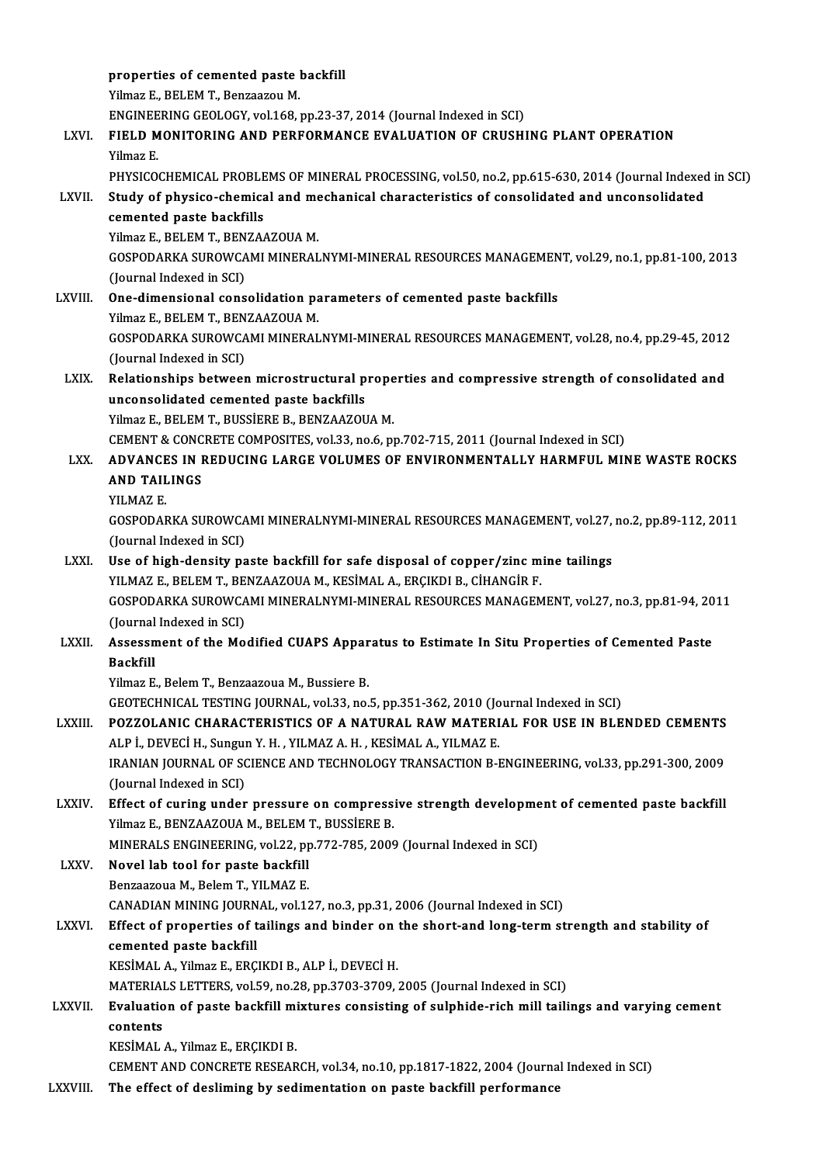|               | properties of cemented paste backfill                                                                                                                                   |
|---------------|-------------------------------------------------------------------------------------------------------------------------------------------------------------------------|
|               | Yilmaz E., BELEM T., Benzaazou M.                                                                                                                                       |
|               | ENGINEERING GEOLOGY, vol.168, pp.23-37, 2014 (Journal Indexed in SCI)                                                                                                   |
| LXVI.         | FIELD MONITORING AND PERFORMANCE EVALUATION OF CRUSHING PLANT OPERATION                                                                                                 |
|               | Yilmaz E                                                                                                                                                                |
|               | PHYSICOCHEMICAL PROBLEMS OF MINERAL PROCESSING, vol.50, no.2, pp.615-630, 2014 (Journal Indexed in SCI)                                                                 |
| LXVII.        | Study of physico-chemical and mechanical characteristics of consolidated and unconsolidated                                                                             |
|               | cemented paste backfills                                                                                                                                                |
|               | Yilmaz E, BELEM T, BENZAAZOUA M.                                                                                                                                        |
|               | GOSPODARKA SUROWCAMI MINERALNYMI-MINERAL RESOURCES MANAGEMENT, vol.29, no.1, pp.81-100, 2013                                                                            |
|               | (Journal Indexed in SCI)                                                                                                                                                |
| <b>LXVIII</b> | One-dimensional consolidation parameters of cemented paste backfills                                                                                                    |
|               | Yilmaz E., BELEM T., BENZAAZOUA M.                                                                                                                                      |
|               | GOSPODARKA SUROWCAMI MINERALNYMI-MINERAL RESOURCES MANAGEMENT, vol.28, no.4, pp.29-45, 2012                                                                             |
|               | (Journal Indexed in SCI)                                                                                                                                                |
| <b>LXIX</b>   | Relationships between microstructural properties and compressive strength of consolidated and                                                                           |
|               | unconsolidated cemented paste backfills                                                                                                                                 |
|               | Yilmaz E., BELEM T., BUSSIERE B., BENZAAZOUA M.                                                                                                                         |
| LXX.          | CEMENT & CONCRETE COMPOSITES, vol.33, no.6, pp.702-715, 2011 (Journal Indexed in SCI)<br>ADVANCES IN REDUCING LARGE VOLUMES OF ENVIRONMENTALLY HARMFUL MINE WASTE ROCKS |
|               | <b>AND TAILINGS</b>                                                                                                                                                     |
|               | YILMAZ E.                                                                                                                                                               |
|               | GOSPODARKA SUROWCAMI MINERALNYMI-MINERAL RESOURCES MANAGEMENT, vol.27, no.2, pp.89-112, 2011                                                                            |
|               | (Journal Indexed in SCI)                                                                                                                                                |
| LXXI.         | Use of high-density paste backfill for safe disposal of copper/zinc mine tailings                                                                                       |
|               | YILMAZ E., BELEM T., BENZAAZOUA M., KESİMAL A., ERÇIKDI B., CİHANGİR F.                                                                                                 |
|               | GOSPODARKA SUROWCAMI MINERALNYMI-MINERAL RESOURCES MANAGEMENT, vol.27, no.3, pp.81-94, 2011                                                                             |
|               | (Journal Indexed in SCI)                                                                                                                                                |
| <b>LXXII.</b> | Assessment of the Modified CUAPS Apparatus to Estimate In Situ Properties of Cemented Paste                                                                             |
|               | <b>Backfill</b>                                                                                                                                                         |
|               | Yilmaz E., Belem T., Benzaazoua M., Bussiere B.                                                                                                                         |
|               | GEOTECHNICAL TESTING JOURNAL, vol.33, no.5, pp.351-362, 2010 (Journal Indexed in SCI)                                                                                   |
| <b>LXXIII</b> | POZZOLANIC CHARACTERISTICS OF A NATURAL RAW MATERIAL FOR USE IN BLENDED CEMENTS                                                                                         |
|               | ALP İ., DEVECİ H., Sungun Y. H., YILMAZ A. H., KESİMAL A., YILMAZ E.                                                                                                    |
|               | IRANIAN JOURNAL OF SCIENCE AND TECHNOLOGY TRANSACTION B-ENGINEERING, vol.33, pp.291-300, 2009                                                                           |
|               | (Journal Indexed in SCI)                                                                                                                                                |
| <b>LXXIV</b>  | Effect of curing under pressure on compressive strength development of cemented paste backfill                                                                          |
|               | Yilmaz E., BENZAAZOUA M., BELEM T., BUSSİERE B.<br>MINERALS ENGINEERING, vol.22, pp.772-785, 2009 (Journal Indexed in SCI)                                              |
| <b>LXXV</b>   | Novel lab tool for paste backfill                                                                                                                                       |
|               | Benzaazoua M., Belem T., YILMAZ E.                                                                                                                                      |
|               | CANADIAN MINING JOURNAL, vol.127, no.3, pp.31, 2006 (Journal Indexed in SCI)                                                                                            |
| <b>LXXVI</b>  | Effect of properties of tailings and binder on the short-and long-term strength and stability of                                                                        |
|               | cemented paste backfill                                                                                                                                                 |
|               | KESİMAL A., Yilmaz E., ERÇIKDI B., ALP İ., DEVECİ H.                                                                                                                    |
|               | MATERIALS LETTERS, vol.59, no.28, pp.3703-3709, 2005 (Journal Indexed in SCI)                                                                                           |
| <b>LXXVII</b> | Evaluation of paste backfill mixtures consisting of sulphide-rich mill tailings and varying cement                                                                      |
|               | contents                                                                                                                                                                |
|               | KESİMAL A., Yilmaz E., ERÇIKDI B.                                                                                                                                       |
|               | CEMENT AND CONCRETE RESEARCH, vol.34, no.10, pp.1817-1822, 2004 (Journal Indexed in SCI)                                                                                |
| LXXVIII.      | The effect of desliming by sedimentation on paste backfill performance                                                                                                  |
|               |                                                                                                                                                                         |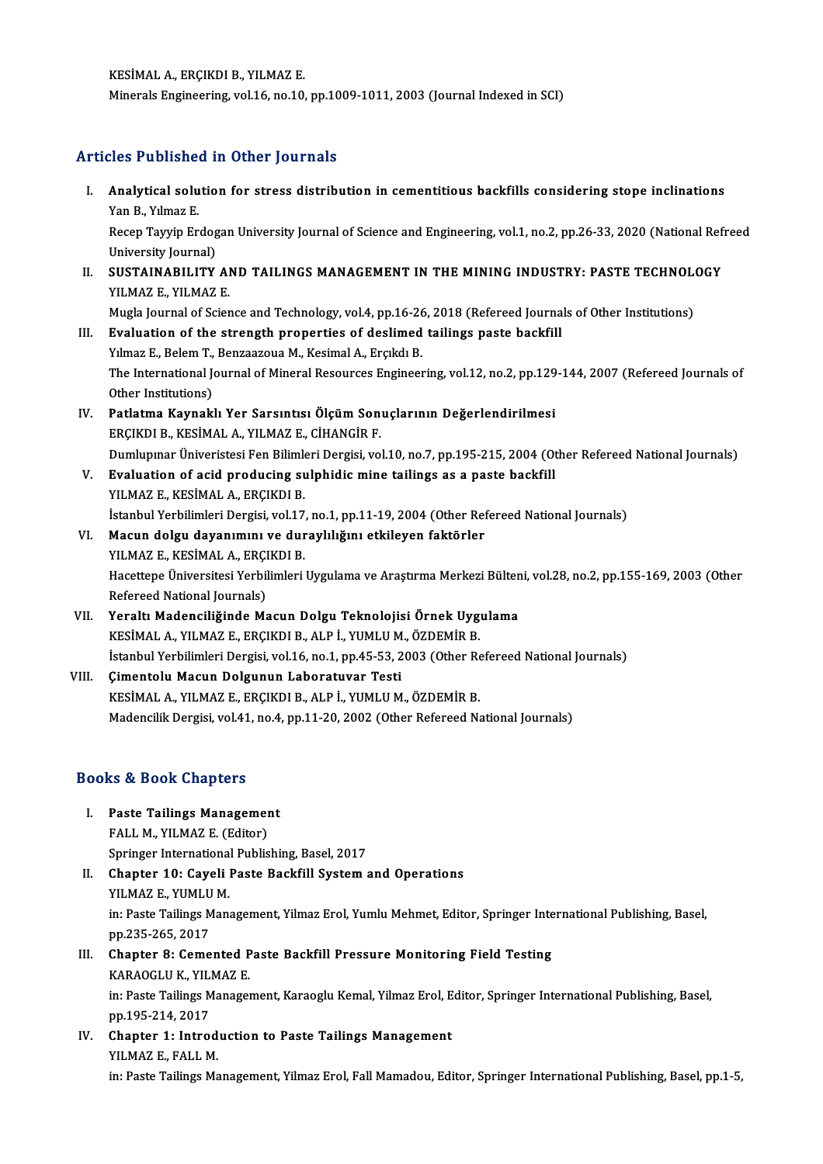KESİMALA.,ERÇIKDIB.,YILMAZ E. Minerals Engineering, vol.16, no.10, pp.1009-1011, 2003 (Journal Indexed in SCI)

### Articles Published in Other Journals

- rticles Published in Other Journals<br>I. Analytical solution for stress distribution in cementitious backfills considering stope inclinations<br>Van P. Vilmar E XISS Y MSHSHS<br>Analytical solu<br>Yan B., Yılmaz E.<br>Boson Tayrın Er Analytical solution for stress distribution in cementitious backfills considering stope inclinations<br>Yan B., Yılmaz E.<br>Recep Tayyip Erdogan University Journal of Science and Engineering, vol.1, no.2, pp.26-33, 2020 (Nation Yan B., Yılmaz E.<br>Recep Tayyip Erdog<br>University Journal)<br>SUSTAINABU ITV Recep Tayyip Erdogan University Journal of Science and Engineering, vol.1, no.2, pp.26-33, 2020 (National Ref.<br>University Journal)<br>II. SUSTAINABILITY AND TAILINGS MANAGEMENT IN THE MINING INDUSTRY: PASTE TECHNOLOGY<br>VILMAZE University Journal)<br>SUSTAINABILITY Al<br>YILMAZ E., YILMAZ E.<br>Mugla Journal of Scier SUSTAINABILITY AND TAILINGS MANAGEMENT IN THE MINING INDUSTRY: PASTE TECHNOLO<br>YILMAZ E., YILMAZ E.<br>Mugla Journal of Science and Technology, vol.4, pp.16-26, 2018 (Refereed Journals of Other Institutions)<br>Evaluation of the YILMAZ E., YILMAZ E.<br>Mugla Journal of Science and Technology, vol.4, pp.16-26, 2018 (Refereed Journa<br>III. Evaluation of the strength properties of deslimed tailings paste backfill<br>Vilmer E. Bolom T. Bongsagoue M. Kesimal A Mugla Journal of Science and Technology, vol.4, pp.16-26<br>Evaluation of the strength properties of deslimed<br>Yılmaz E., Belem T., Benzaazoua M., Kesimal A., Erçıkdı B.<br>The International Journal of Mineral Pesourses Engineer The International Journal of Mineral Resources Engineering, vol.12, no.2, pp.129-144, 2007 (Refereed Journals of Other Institutions) Yılmaz E., Belem T., Benzaazoua M., Kesimal A., Erçıkdı B. The International Journal of Mineral Resources Engineering, vol.12, no.2, pp.129<br>Other Institutions)<br>IV. Patlatma Kaynaklı Yer Sarsıntısı Ölçüm Sonuçlarının Değerlendirilmesi<br>ERCIKDLE KESİMAL A VILMAZE CİHANCİRE Other Institutions)<br>Patlatma Kaynaklı Yer Sarsıntısı Ölçüm Son<br>ERÇIKDI B., KESİMAL A., YILMAZ E., CİHANGİR F.<br>Dumlunmar Üniveristesi Fen Bilimleri Dergisi ve ERÇIKDI B., KESİMAL A., YILMAZ E., CİHANGİR F.<br>Dumlupınar Üniveristesi Fen Bilimleri Dergisi, vol.10, no.7, pp.195-215, 2004 (Other Refereed National Journals) ERÇIKDI B., KESİMAL A., YILMAZ E., CİHANGİR F.<br>Dumlupınar Üniveristesi Fen Bilimleri Dergisi, vol.10, no.7, pp.195-215, 2004 (O<br>V. Evaluation of acid producing sulphidic mine tailings as a paste backfill<br>VILMAZE, KESİMAL A Dumlupınar Üniveristesi Fen Bilimle<br>Evaluation of acid producing su<br>YILMAZ E., KESİMAL A., ERÇIKDI B.<br>İstanbul Yerbilimleri Dergisi vel 17 Evaluation of acid producing sulphidic mine tailings as a paste backfill<br>YILMAZ E., KESİMAL A., ERÇIKDI B.<br>İstanbul Yerbilimleri Dergisi, vol.17, no.1, pp.11-19, 2004 (Other Refereed National Journals)<br>Magun dalay dayanımı YILMAZ E., KESİMAL A., ERÇIKDI B.<br>İstanbul Yerbilimleri Dergisi, vol.17, no.1, pp.11-19, 2004 (Other Ref<br>VI. Macun dolgu dayanımını ve duraylılığını etkileyen faktörler<br>VII. MAZ E. KESİMAL A. ERCIKDI B İstanbul Yerbilimleri Dergisi, vol.17<br>Macun dolgu dayanımını ve dur<br>YILMAZ E., KESİMAL A., ERÇIKDI B.<br>Hacettene Üniversitesi Yerbilimleri Macun dolgu dayanımını ve duraylılığını etkileyen faktörler<br>YILMAZ E., KESİMAL A., ERÇIKDI B.<br>Hacettepe Üniversitesi Yerbilimleri Uygulama ve Araştırma Merkezi Bülteni, vol.28, no.2, pp.155-169, 2003 (Other<br>Refereed Nation YILMAZ E., KESİMAL A., ERÇI<br>Hacettepe Üniversitesi Yerbil<br>Refereed National Journals)<br>Yoraltı Madensiliğinde Me Hacettepe Üniversitesi Yerbilimleri Uygulama ve Araştırma Merkezi Bülten<br>Refereed National Journals)<br>VII. Yeraltı Madenciliğinde Macun Dolgu Teknolojisi Örnek Uygulama<br>VESİMAL A VILMAZE ERCIVDLE ALBİ VIMLUM ÖZDEMİR P Refereed National Journals)<br>VII. Yeraltı Madenciliğinde Macun Dolgu Teknolojisi Örnek Uygulama<br>KESİMAL A., YILMAZ E., ERÇIKDI B., ALP İ., YUMLU M., ÖZDEMİR B. Yeraltı Madenciliğinde Macun Dolgu Teknolojisi Örnek Uygulama<br>KESİMAL A., YILMAZ E., ERÇIKDI B., ALP İ., YUMLU M., ÖZDEMİR B.<br>İstanbul Yerbilimleri Dergisi, vol.16, no.1, pp.45-53, 2003 (Other Refereed National Journals)<br>S VIII. Çimentolu Macun Dolgunun Laboratuvar Testi<br>KESİMAL A., YILMAZ E., ERÇIKDI B., ALP İ., YUMLU M., ÖZDEMİR B. İstanbul Yerbilimleri Dergisi, vol.16, no.1, pp.45-53, 2003 (Other Re<br>Çimentolu Macun Dolgunun Laboratuvar Testi<br>KESİMAL A., YILMAZ E., ERÇIKDI B., ALP İ., YUMLU M., ÖZDEMİR B.<br>Madonsilik Dergisi vol.41, no.4, nn.11.20, 20 Madencilik Dergisi, vol.41, no.4, pp.11-20, 2002 (Other Refereed National Journals) Books&Book Chapters I. Paste Tailings Management
- FALLM.,YILMAZ E. (Editor) Paste Tailings Management<br>FALL M., YILMAZ E. (Editor)<br>Springer International Publishing, Basel, 2017<br>Chanter 10: Cavali Baste Baskfill System II. Chapter 10: Cayeli Paste Backfill System and Operations<br>YILMAZ E., YUMLU M. Springer International<br>Chapter 10: Cayeli I<br>YILMAZ E., YUMLU M.<br>in: Peste Tailings Manu Chapter 10: Cayeli Paste Backfill System and Operations<br>YILMAZ E., YUMLU M.<br>in: Paste Tailings Management, Yilmaz Erol, Yumlu Mehmet, Editor, Springer International Publishing, Basel,<br>nn 225 265 2017 YILMAZ E., YUMLU<br>in: Paste Tailings M<br>pp.235-265, 2017<br>Chantar 9: Came in: Paste Tailings Management, Yilmaz Erol, Yumlu Mehmet, Editor, Springer Inte<br>pp.235-265, 2017<br>III. Chapter 8: Cemented Paste Backfill Pressure Monitoring Field Testing<br>KARAOCLUK VILMAZE
- pp.235-265, 2017<br>Chapter 8: Cemented P<br>KARAOGLU K., YILMAZ E.<br>in: Peste Teilings Manager III. Chapter 8: Cemented Paste Backfill Pressure Monitoring Field Testing<br>KARAOGLU K., YILMAZ E.<br>in: Paste Tailings Management, Karaoglu Kemal, Yilmaz Erol, Editor, Springer International Publishing, Basel,<br>pp.195-214, 201 KARAOGLU K., YILI<br>in: Paste Tailings M<br>pp.195-214, 2017<br>Chantar 1: Intrae in: Paste Tailings Management, Karaoglu Kemal, Yilmaz Erol, E<br>pp.195-214, 2017<br>IV. Chapter 1: Introduction to Paste Tailings Management<br>VII MAZE FALL M
- pp.195-214, 2017<br>Chapter 1: Introd<br>YILMAZ E., FALL M.<br>in: Paste Tailings Ma YILMAZ E., FALL M.<br>in: Paste Tailings Management, Yilmaz Erol, Fall Mamadou, Editor, Springer International Publishing, Basel, pp.1-5,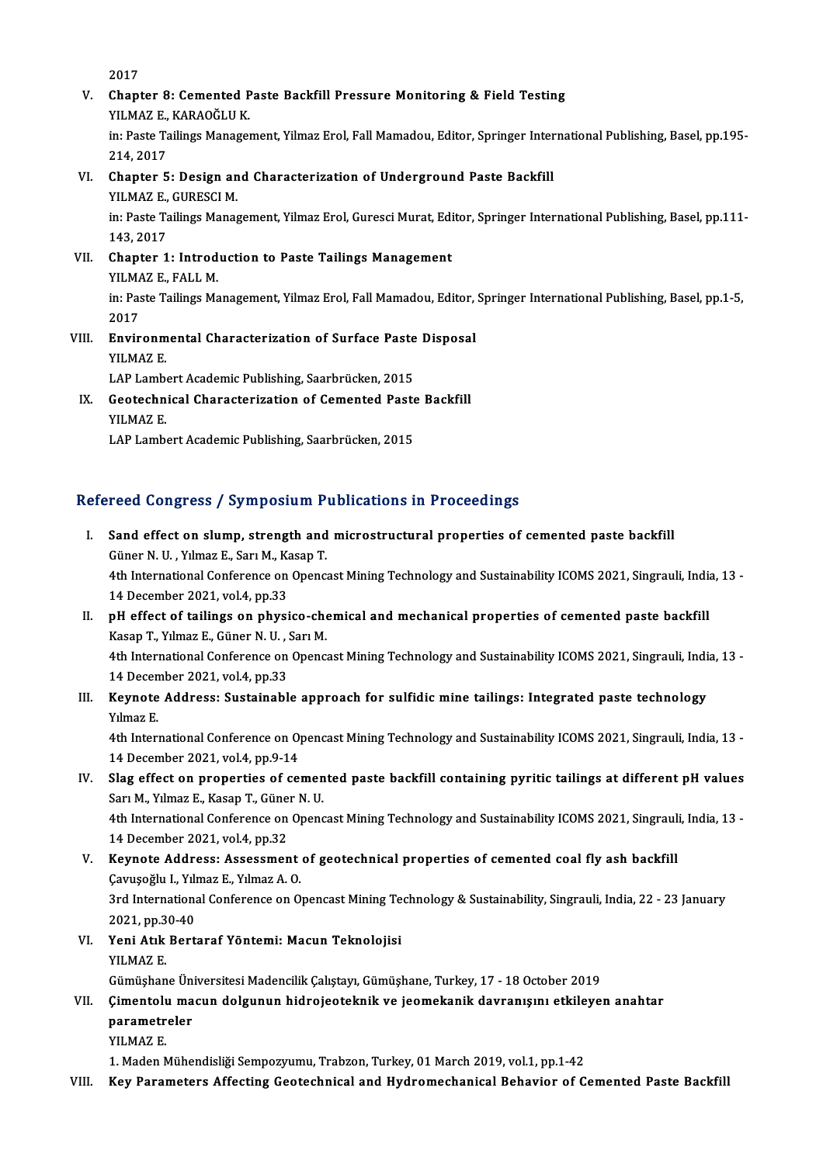2017

2017<br>V. Chapter 8: Cemented Paste Backfill Pressure Monitoring & Field Testing<br>VII MAZE KARAQČLILK 2017<br>Chapter 8: Cemented P<br>YILMAZ E., KARAOĞLU K.<br>in: Peste Teilings Manager Chapter 8: Cemented Paste Backfill Pressure Monitoring & Field Testing<br>YILMAZ E., KARAOĞLU K.<br>in: Paste Tailings Management, Yilmaz Erol, Fall Mamadou, Editor, Springer International Publishing, Basel, pp.195-<br>214-2017 YILMAZ E.,<br>in: Paste Ta<br>214, 2017<br>Chanter 5 in: Paste Tailings Management, Yilmaz Erol, Fall Mamadou, Editor, Springer Inte<br>214, 2017<br>VI. Chapter 5: Design and Characterization of Underground Paste Backfill<br>VII MAZE CURESCLM 214, 2017<br>Chapter 5: Design an<br>YILMAZ E., GURESCI M.<br>in: Paste Tailings Manas YILMAZ E, GURESCI M.

in: Paste Tailings Management, Yilmaz Erol, Guresci Murat, Editor, Springer International Publishing, Basel, pp.111-<br>143. 2017 in: Paste Tailings Management, Yilmaz Erol, Guresci Murat, Edi<br>143, 2017<br>VII. Chapter 1: Introduction to Paste Tailings Management<br>VII MAZE FALL M

- 143, 2017<br>Chapter 1: Introd<br>YILMAZ E., FALL M.<br>in: Peste Tailings Ma in: Paste Tailings Management, Yilmaz Erol, Fall Mamadou, Editor, Springer International Publishing, Basel, pp.1-5,<br>2017 YILMAZ E, FALL M
- in: Paste Tailings Management, Yilmaz Erol, Fall Mamadou, Editor,<br>2017<br>VIII. Environmental Characterization of Surface Paste Disposal<br>VII.MAZE 2017<br>**Environm**<br>YILMAZ E.<br>LAB Lemb. Environmental Characterization of Surface Paste<br>YILMAZ E.<br>LAP Lambert Academic Publishing, Saarbrücken, 2015<br>Costeshnisal Characterization of Comented Bests

LAP Lambert Academic Publishing, Saarbrücken, 2015

YILMAZ E.<br>LAP Lambert Academic Publishing, Saarbrücken, 2015<br>IX. Geotechnical Characterization of Cemented Paste Backfill<br>YILMAZ E.

LAP Lambert Academic Publishing, Saarbrücken, 2015

### Refereed Congress / Symposium Publications in Proceedings

- efereed Congress / Symposium Publications in Proceedings<br>I. Sand effect on slump, strength and microstructural properties of cemented paste backfill<br>Ciner N. U. Vumer E. San M. Kasan T. Sand effect on slump, strength and<br>Güner N. U., Yılmaz E., Sarı M., Kasap T.<br>Ath International Conference on Opence Sand effect on slump, strength and microstructural properties of cemented paste backfill<br>Güner N. U. , Yılmaz E., Sarı M., Kasap T.<br>4th International Conference on Opencast Mining Technology and Sustainability ICOMS 2021, Güner N. U. , Yılmaz E., Sarı M., Ka<br>4th International Conference on<br>14 December 2021, vol.4, pp.33<br>nH offect of tailings on nhygi Ith International Conference on Opencast Mining Technology and Sustainability ICOMS 2021, Singrauli, Indi<br>14 December 2021, vol.4, pp.33<br>II. pH effect of tailings on physico-chemical and mechanical properties of cemented p
- 14 December 2021, vol.4, pp.33<br>II. pH effect of tailings on physico-chemical and mechanical properties of cemented paste backfill<br>Kasap T., Yılmaz E., Güner N. U. , Sarı M. pH effect of tailings on physico-chemical and mechanical properties of cemented paste backfill<br>Kasap T., Yılmaz E., Güner N. U. , Sarı M.<br>4th International Conference on Opencast Mining Technology and Sustainability ICOMS Kasap T., Yılmaz E., Güner N. U. , :<br>4th International Conference on<br>14 December 2021, vol.4, pp.33<br>Kounata Addressu Sustainahl 4th International Conference on Opencast Mining Technology and Sustainability ICOMS 2021, Singrauli, Indi<br>14 December 2021, vol.4, pp.33<br>III. Keynote Address: Sustainable approach for sulfidic mine tailings: Integrated pas
- 14 December 2021, vol.4, pp.33<br>III. Keynote Address: Sustainable approach for sulfidic mine tailings: Integrated paste technology<br>Yılmaz E. Keynote Address: Sustainable approach for sulfidic mine tailings: Integrated paste technology<br>Yılmaz E.<br>4th International Conference on Opencast Mining Technology and Sustainability ICOMS 2021, Singrauli, India, 13<br>14 Dese

Yılmaz E.<br>4th International Conference on O<sub>l</sub><br>14 December 2021, vol.4, pp.9-14<br>Slag offect on proporties of as IV. 4th International Conference on Opencast Mining Technology and Sustainability ICOMS 2021, Singrauli, India, 13<br>14 December 2021, vol.4, pp.9-14<br>IV. Slag effect on properties of cemented paste backfill containing pyriti

- 14 December 2021, vol.4, pp.9-14<br>Slag effect on properties of cemen<br>Sarı M., Yılmaz E., Kasap T., Güner N. U.<br>4th International Conference on Opens Slag effect on properties of cemented paste backfill containing pyritic tailings at different pH values<br>Sarı M., Yılmaz E., Kasap T., Güner N. U.<br>4th International Conference on Opencast Mining Technology and Sustainabilit Sarı M., Yılmaz E., Kasap T., Güne:<br>4th International Conference on<br>14 December 2021, vol.4, pp.32<br>Kounata Address: Assessmen 4th International Conference on Opencast Mining Technology and Sustainability ICOMS 2021, Singrauli, India, 13<br>14 December 2021, vol.4, pp.32<br>V. Keynote Address: Assessment of geotechnical properties of cemented coal fly a
- 14 December 2021, vol.4, pp.32<br>Keynote Address: Assessment<br>Çavuşoğlu I., Yılmaz E., Yılmaz A. O.<br><sup>2nd International Conference on O.</sup> 3rd International Conference on Opencast Mining Technology & Sustainability, Singrauli, India, 22 - 23 January<br>2021, pp.30-40 Çavuşoğlu I., Yılmaz E., Yılmaz A. O. 3rd International Conference on Opencast Mining Te<br>2021, pp.30-40<br>VI. Yeni Atık Bertaraf Yöntemi: Macun Teknolojisi<br>VII MAZ E
- 2021, pp.3<br>Yeni Atık<br>YILMAZ E.<br>Gümüşban GümüşhaneÜniversitesiMadencilikÇalıştayı,Gümüşhane,Turkey,17 -18October 2019

YILMAZ E.<br>Gümüşhane Üniversitesi Madencilik Çalıştayı, Gümüşhane, Turkey, 17 - 18 October 2019<br>VII. Çimentolu macun dolgunun hidrojeoteknik ve jeomekanik davranışını etkileyen anahtar<br>nanamatralar Gümüşhane Ün<br>Çimentolu ma<br>parametreler<br><sup>VII MAZ E</sup> Cimentol<mark>l</mark><br>parametr<br>YILMAZ E.<br>1. Meder N **parametreler**<br>1. Maden Mühendisliği Sempozyumu, Trabzon, Turkey, 01 March 2019, vol.1, pp.1-42<br>1. Maden Mühendisliği Sempozyumu, Trabzon, Turkey, 01 March 2019, vol.1, pp.1-42

VIII. Key Parameters Affecting Geotechnical and Hydromechanical Behavior of Cemented Paste Backfill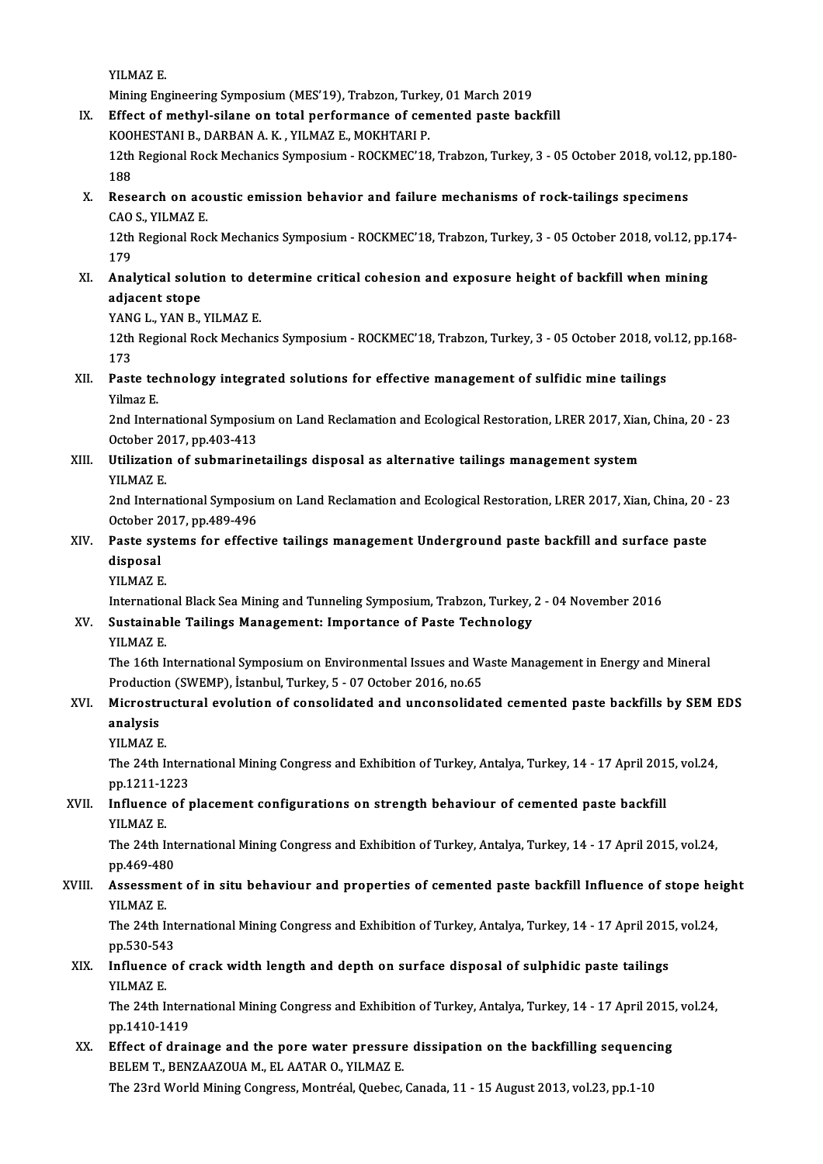YILMAZ E.

Mining Engineering Symposium (MES'19), Trabzon, Turkey, 01 March 2019

## YILMAZ E.<br>Mining Engineering Symposium (MES'19), Trabzon, Turkey, 01 March 2019<br>IX. Effect of methyl-silane on total performance of cemented paste backfill<br>FOQUESTANI B. DABBAN A. K. VILMAZ E. MOKUTABLE Mining Engineering Symposium (MES'19), Trabzon, Turke<br>Effect of methyl-silane on total performance of cen<br>KOOHESTANI B., DARBAN A. K. , YILMAZ E., MOKHTARI P.<br>12th Begianal Besk Meshaniss Symposium - BOCKMEC'19

KOOHESTANI B., DARBAN A. K., YILMAZ E., MOKHTARI P.

12th Regional Rock Mechanics Symposium - ROCKMEC'18, Trabzon, Turkey, 3 - 05 October 2018, vol.12, pp.180-<br>188 12th Regional Rock Mechanics Symposium - ROCKMEC'18, Trabzon, Turkey, 3 - 05 October 2018, vol.12,<br>188<br>X. Research on acoustic emission behavior and failure mechanisms of rock-tailings specimens<br>600 S. VII MAZE

## 188<br>Research on acc<br>CAO S., YILMAZ E.<br>12th Begional Bec Research on acoustic emission behavior and failure mechanisms of rock-tailings specimens<br>CAO S., YILMAZ E.<br>12th Regional Rock Mechanics Symposium - ROCKMEC'18, Trabzon, Turkey, 3 - 05 October 2018, vol.12, pp.174-<br>179

CAO<br>12th<br>179 12th Regional Rock Mechanics Symposium - ROCKMEC'18, Trabzon, Turkey, 3 - 05 October 2018, vol.12, pp.<br>179<br>XI. Analytical solution to determine critical cohesion and exposure height of backfill when mining<br>adiasont stone

## 179<br>Analytical solut<br>adjacent stope<br>YANG L. YAN P Analytical solution to de<br>adjacent stope<br>YANG L., YAN B., YILMAZ E.<br>12th Begianal Beek Mechan

adjacent stope<br>YANG L., YAN B., YILMAZ E.<br>12th Regional Rock Mechanics Symposium - ROCKMEC'18, Trabzon, Turkey, 3 - 05 October 2018, vol.12, pp.168-<br>172 YAN<br>12th<br>173<br>Past 12th Regional Rock Mechanics Symposium - ROCKMEC'18, Trabzon, Turkey, 3 - 05 October 2018, vol<br>173<br>XII. Paste technology integrated solutions for effective management of sulfidic mine tailings<br>Vilmer E

# 173<br>XII. Paste technology integrated solutions for effective management of sulfidic mine tailings<br>Yilmaz E.

2nd International Symposium on Land Reclamation and Ecological Restoration, LRER 2017, Xian, China, 20 - 23 Yilmaz E.<br>2nd International Symposiu<br>October 2017, pp.403-413<br>Utilization of submonine

### XIII. Utilization of submarinetailings disposal as alternative tailings management system<br>YILMAZ E. October 20<br>Utilization<br>YILMAZ E.<br>2nd Intern Utilization of submarinetailings disposal as alternative tailings management system<br>YILMAZ E.<br>2nd International Symposium on Land Reclamation and Ecological Restoration, LRER 2017, Xian, China, 20 - 23<br>October 2017, pp.489

YILMAZ E.<br>2nd International Symposiu<br>October 2017, pp.489-496<br>Paste systems for effect 2nd International Symposium on Land Reclamation and Ecological Restoration, LRER 2017, Xian, China, 20<br>October 2017, pp.489-496<br>XIV. Paste systems for effective tailings management Underground paste backfill and surface pa

### October 2<br>Paste sy:<br>disposal<br>VII MAZ E Paste sys<br>disposal<br>YILMAZ E.<br>Internatio: disposal<br>YILMAZ E.<br>International Black Sea Mining and Tunneling Symposium, Trabzon, Turkey, 2 - 04 November 2016<br>Sustainable Teilings Managament: Importance of Basta Technology

### YILMAZ E.<br>International Black Sea Mining and Tunneling Symposium, Trabzon, Turkey,<br>XV. Sustainable Tailings Management: Importance of Paste Technology<br>YILMAZ E. Internation<br>Sustainab<br>YILMAZ E.<br>The 16th L

Sustainable Tailings Management: Importance of Paste Technology<br>YILMAZ E.<br>The 16th International Symposium on Environmental Issues and Waste Management in Energy and Mineral<br>Production (SWEMP) Istophul Turkey E. 07 October YILMAZ E.<br>The 16th International Symposium on Environmental Issues and W.<br>Production (SWEMP), İstanbul, Turkey, 5 - 07 October 2016, no.65<br>Misrostrustural evolution of sensolidated and uneonsolidat The 16th International Symposium on Environmental Issues and Waste Management in Energy and Mineral<br>Production (SWEMP), İstanbul, Turkey, 5 - 07 October 2016, no.65<br>XVI. Microstructural evolution of consolidated and uncons

## Productio<br>Microstr<br>analysis<br><sup>VII MA7 E</sup> Microstru<br>analysis<br>YILMAZ E.<br>The 24th L

analysis<br>YILMAZ E.<br>The 24th International Mining Congress and Exhibition of Turkey, Antalya, Turkey, 14 - 17 April 2015, vol.24, YILMAZ E.<br>The 24th Intern<br>pp.1211-1223<br>Influence of t The 24th International Mining Congress and Exhibition of Turkey, Antalya, Turkey, 14 - 17 April 201<br>pp.1211-1223<br>XVII. Influence of placement configurations on strength behaviour of cemented paste backfill<br>VII MAZE

## pp.1211-1<br>I<mark>nfluence</mark><br>YILMAZ E.<br>The 24th I Influence of placement configurations on strength behaviour of cemented paste backfill<br>YILMAZ E.<br>The 24th International Mining Congress and Exhibition of Turkey, Antalya, Turkey, 14 - 17 April 2015, vol.24,<br>nn 469,480

YILMAZ E.<br>The 24th Int<br>pp.469-480<br>Assessman The 24th International Mining Congress and Exhibition of Turkey, Antalya, Turkey, 14 - 17 April 2015, vol.24,<br>pp.469-480<br>XVIII. Assessment of in situ behaviour and properties of cemented paste backfill Influence of stope h

## pp.469-48<br>Assessme<br>YILMAZ E.<br>The 24th L Assessment of in situ behaviour and properties of cemented paste backfill Influence of stope he<br>YILMAZ E.<br>The 24th International Mining Congress and Exhibition of Turkey, Antalya, Turkey, 14 - 17 April 2015, vol.24,<br>nn 530

YILMAZ E.<br>The 24th International Mining Congress and Exhibition of Turkey, Antalya, Turkey, 14 - 17 April 2015, vol.24,<br>pp.530-543 The 24th International Mining Congress and Exhibition of Turkey, Antalya, Turkey, 14 - 17 April 2015<br>pp.530-543<br>XIX. Influence of crack width length and depth on surface disposal of sulphidic paste tailings<br>XII MAZE

## pp.530-54<br>I<mark>nfluence</mark><br>YILMAZ E.<br>The 24th L Influence of crack width length and depth on surface disposal of sulphidic paste tailings<br>YILMAZ E.<br>The 24th International Mining Congress and Exhibition of Turkey, Antalya, Turkey, 14 - 17 April 2015, vol.24,<br>nn 1410 1419

YILMAZ E.<br>The 24th Intern<br>pp.1410-1419<br>Effect of dnai The 24th International Mining Congress and Exhibition of Turkey, Antalya, Turkey, 14 - 17 April 2015<br>pp.1410-1419<br>XX. Effect of drainage and the pore water pressure dissipation on the backfilling sequencing<br>PELEM T. PENZAA

pp.1410-1419<br>Effect of drainage and the pore water pressure<br>BELEM T., BENZAAZOUA M., EL AATAR O., YILMAZ E.<br>The 33rd World Mining Congress Montréal Quebec. BELEM T., BENZAAZOUA M., EL AATAR O., YILMAZ E.<br>The 23rd World Mining Congress, Montréal, Quebec, Canada, 11 - 15 August 2013, vol.23, pp.1-10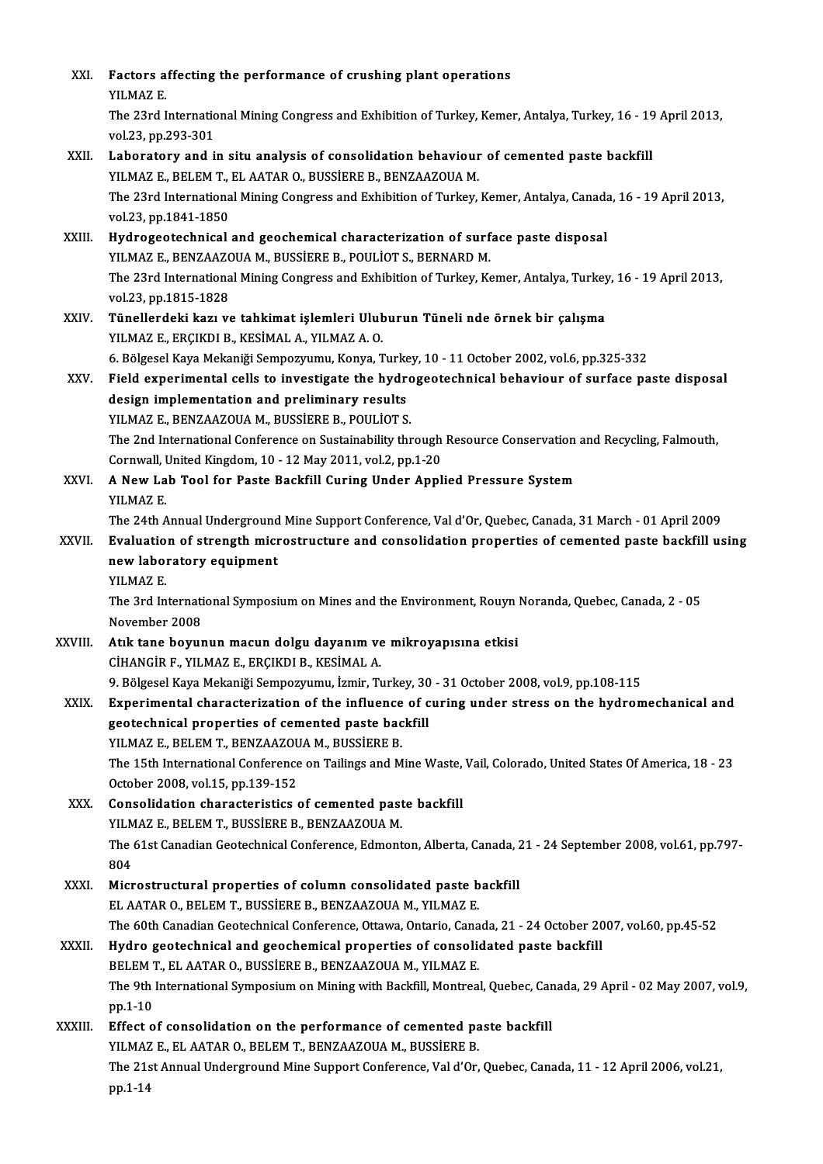| XXI.    | Factors affecting the performance of crushing plant operations<br>YILMAZ E                                                                                                        |
|---------|-----------------------------------------------------------------------------------------------------------------------------------------------------------------------------------|
|         | The 23rd International Mining Congress and Exhibition of Turkey, Kemer, Antalya, Turkey, 16 - 19 April 2013,<br>vol 23, pp 293-301                                                |
| XXII.   | Laboratory and in situ analysis of consolidation behaviour of cemented paste backfill<br>YILMAZ E., BELEM T., EL AATAR O., BUSSİERE B., BENZAAZOUA M.                             |
|         | The 23rd International Mining Congress and Exhibition of Turkey, Kemer, Antalya, Canada, 16 - 19 April 2013,<br>vol 23, pp 1841-1850                                              |
| XXIII.  | Hydrogeotechnical and geochemical characterization of surface paste disposal<br>YILMAZ E., BENZAAZOUA M., BUSSIERE B., POULIOT S., BERNARD M.                                     |
|         | The 23rd International Mining Congress and Exhibition of Turkey, Kemer, Antalya, Turkey, 16 - 19 April 2013,<br>vol 23, pp 1815-1828                                              |
| XXIV.   | Tünellerdeki kazı ve tahkimat işlemleri Uluburun Tüneli nde örnek bir çalışma<br>YILMAZ E., ERÇIKDI B., KESİMAL A., YILMAZ A. O.                                                  |
|         | 6. Bölgesel Kaya Mekaniği Sempozyumu, Konya, Turkey, 10 - 11 October 2002, vol.6, pp.325-332                                                                                      |
| XXV.    | Field experimental cells to investigate the hydrogeotechnical behaviour of surface paste disposal<br>design implementation and preliminary results                                |
|         | YILMAZ E., BENZAAZOUA M., BUSSİERE B., POULİOT S.                                                                                                                                 |
|         | The 2nd International Conference on Sustainability through Resource Conservation and Recycling, Falmouth,<br>Cornwall, United Kingdom, 10 - 12 May 2011, vol.2, pp.1-20           |
| XXVI.   | A New Lab Tool for Paste Backfill Curing Under Applied Pressure System<br>YILMAZ E.                                                                                               |
|         | The 24th Annual Underground Mine Support Conference, Val d'Or, Quebec, Canada, 31 March - 01 April 2009                                                                           |
| XXVII.  | Evaluation of strength microstructure and consolidation properties of cemented paste backfill using<br>new laboratory equipment                                                   |
|         | YILMAZ E                                                                                                                                                                          |
|         | The 3rd International Symposium on Mines and the Environment, Rouyn Noranda, Quebec, Canada, 2 - 05<br>November 2008                                                              |
| XXVIII. | Atık tane boyunun macun dolgu dayanım ve mikroyapısına etkisi                                                                                                                     |
|         | CİHANGİR F., YILMAZ E., ERÇIKDI B., KESİMAL A.                                                                                                                                    |
|         | 9. Bölgesel Kaya Mekaniği Sempozyumu, İzmir, Turkey, 30 - 31 October 2008, vol.9, pp.108-115                                                                                      |
| XXIX.   | Experimental characterization of the influence of curing under stress on the hydromechanical and<br>geotechnical properties of cemented paste backfill                            |
|         | YILMAZ E., BELEM T., BENZAAZOUA M., BUSSİERE B.                                                                                                                                   |
|         | The 15th International Conference on Tailings and Mine Waste, Vail, Colorado, United States Of America, 18 - 23<br>October 2008, vol.15, pp.139-152                               |
| XXX.    | Consolidation characteristics of cemented paste backfill                                                                                                                          |
|         | YILMAZ E., BELEM T., BUSSİERE B., BENZAAZOUA M.                                                                                                                                   |
|         | The 61st Canadian Geotechnical Conference, Edmonton, Alberta, Canada, 21 - 24 September 2008, vol.61, pp.797-<br>804                                                              |
| XXXI.   | Microstructural properties of column consolidated paste backfill<br>EL AATAR O., BELEM T., BUSSIERE B., BENZAAZOUA M., YILMAZ E.                                                  |
|         | The 60th Canadian Geotechnical Conference, Ottawa, Ontario, Canada, 21 - 24 October 2007, vol.60, pp.45-52                                                                        |
| XXXII.  | Hydro geotechnical and geochemical properties of consolidated paste backfill                                                                                                      |
|         | BELEM T., EL AATAR O., BUSSIERE B., BENZAAZOUA M., YILMAZ E.<br>The 9th International Symposium on Mining with Backfill, Montreal, Quebec, Canada, 29 April - 02 May 2007, vol.9, |
|         | pp 1-10                                                                                                                                                                           |
| XXXIII. | Effect of consolidation on the performance of cemented paste backfill                                                                                                             |
|         | YILMAZ E., EL AATAR O., BELEM T., BENZAAZOUA M., BUSSİERE B.                                                                                                                      |
|         | The 21st Annual Underground Mine Support Conference, Val d'Or, Quebec, Canada, 11 - 12 April 2006, vol.21,<br>pp 1-14                                                             |
|         |                                                                                                                                                                                   |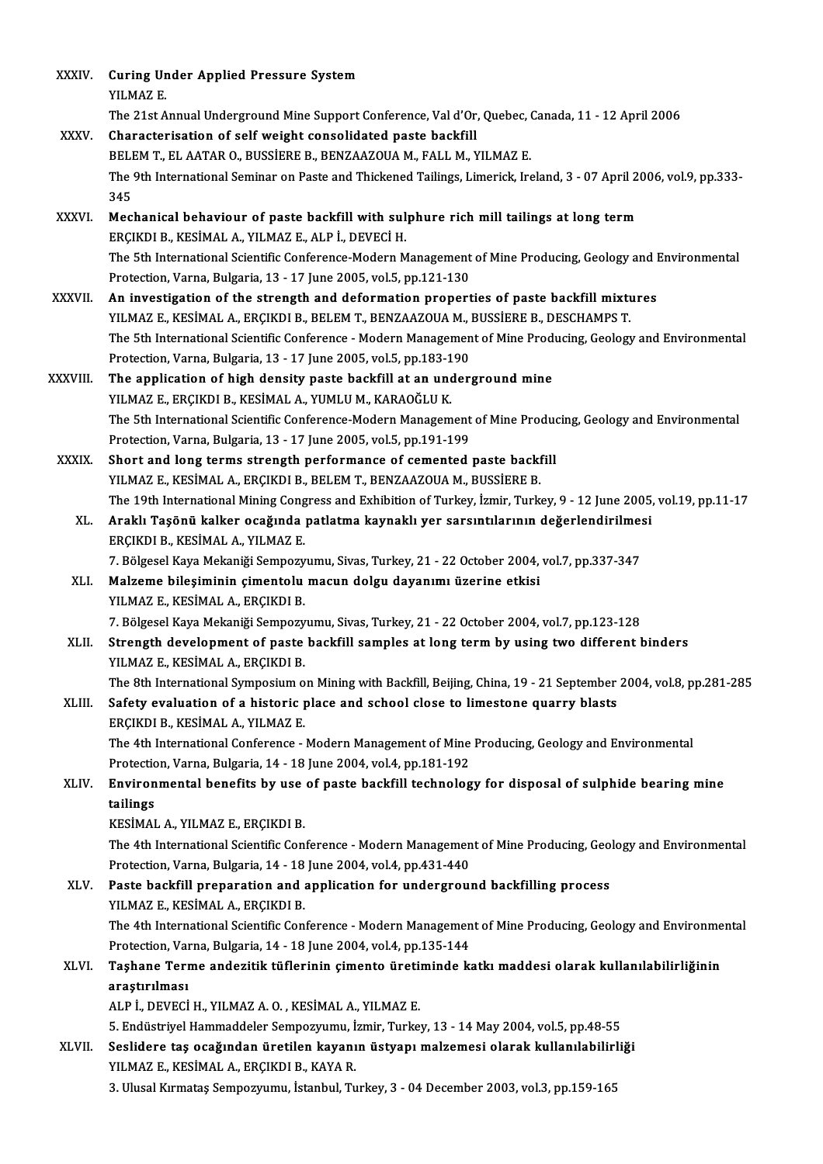| XXXIV.        | <b>Curing Under Applied Pressure System</b>                                                                                                                                       |
|---------------|-----------------------------------------------------------------------------------------------------------------------------------------------------------------------------------|
|               | YILMAZ E.                                                                                                                                                                         |
|               | The 21st Annual Underground Mine Support Conference, Val d'Or, Quebec, Canada, 11 - 12 April 2006                                                                                 |
| XXXV.         | Characterisation of self weight consolidated paste backfill                                                                                                                       |
|               | BELEM T., EL AATAR O., BUSSIERE B., BENZAAZOUA M., FALL M., YILMAZ E.                                                                                                             |
|               | The 9th International Seminar on Paste and Thickened Tailings, Limerick, Ireland, 3 - 07 April 2006, vol.9, pp.333-                                                               |
|               | 345                                                                                                                                                                               |
| XXXVI.        | Mechanical behaviour of paste backfill with sulphure rich mill tailings at long term                                                                                              |
|               | ERÇIKDI B., KESİMAL A., YILMAZ E., ALP İ., DEVECİ H.                                                                                                                              |
|               | The 5th International Scientific Conference-Modern Management of Mine Producing, Geology and Environmental                                                                        |
|               | Protection, Varna, Bulgaria, 13 - 17 June 2005, vol.5, pp.121-130                                                                                                                 |
| <b>XXXVII</b> | An investigation of the strength and deformation properties of paste backfill mixtures                                                                                            |
|               | YILMAZ E., KESİMAL A., ERÇIKDI B., BELEM T., BENZAAZOUA M., BUSSİERE B., DESCHAMPS T.                                                                                             |
|               | The 5th International Scientific Conference - Modern Management of Mine Producing, Geology and Environmental                                                                      |
|               | Protection, Varna, Bulgaria, 13 - 17 June 2005, vol.5, pp.183-190                                                                                                                 |
| XXXVIII.      | The application of high density paste backfill at an underground mine                                                                                                             |
|               | YILMAZ E., ERÇIKDI B., KESİMAL A., YUMLU M., KARAOĞLU K.                                                                                                                          |
|               | The 5th International Scientific Conference-Modern Management of Mine Producing, Geology and Environmental                                                                        |
|               | Protection, Varna, Bulgaria, 13 - 17 June 2005, vol.5, pp.191-199                                                                                                                 |
| <b>XXXIX</b>  | Short and long terms strength performance of cemented paste backfill                                                                                                              |
|               | YILMAZ E., KESİMAL A., ERÇIKDI B., BELEM T., BENZAAZOUA M., BUSSİERE B.                                                                                                           |
|               | The 19th International Mining Congress and Exhibition of Turkey, İzmir, Turkey, 9 - 12 June 2005, vol.19, pp.11-17                                                                |
| XL.           | Araklı Taşönü kalker ocağında patlatma kaynaklı yer sarsıntılarının değerlendirilmesi                                                                                             |
|               | ERÇIKDI B., KESİMAL A., YILMAZ E.                                                                                                                                                 |
|               | 7. Bölgesel Kaya Mekaniği Sempozyumu, Sivas, Turkey, 21 - 22 October 2004, vol.7, pp.337-347                                                                                      |
| XLI.          | Malzeme bileşiminin çimentolu macun dolgu dayanımı üzerine etkisi                                                                                                                 |
|               | YILMAZ E, KESİMAL A, ERÇIKDI B.                                                                                                                                                   |
|               | 7. Bölgesel Kaya Mekaniği Sempozyumu, Sivas, Turkey, 21 - 22 October 2004, vol.7, pp.123-128                                                                                      |
|               | XLII. Strength development of paste backfill samples at long term by using two different binders                                                                                  |
|               | YILMAZ E, KESİMAL A, ERÇIKDI B.                                                                                                                                                   |
|               | The 8th International Symposium on Mining with Backfill, Beijing, China, 19 - 21 September 2004, vol.8, pp.281-285                                                                |
| XLIII.        | Safety evaluation of a historic place and school close to limestone quarry blasts                                                                                                 |
|               | ERÇIKDI B., KESİMAL A., YILMAZ E.                                                                                                                                                 |
|               | The 4th International Conference - Modern Management of Mine Producing, Geology and Environmental                                                                                 |
|               | Protection, Varna, Bulgaria, 14 - 18 June 2004, vol.4, pp.181-192                                                                                                                 |
| XLIV.         | Environmental benefits by use of paste backfill technology for disposal of sulphide bearing mine                                                                                  |
|               | tailings                                                                                                                                                                          |
|               | KESİMAL A., YILMAZ E., ERÇIKDI B.                                                                                                                                                 |
|               | The 4th International Scientific Conference - Modern Management of Mine Producing, Geology and Environmental<br>Protection, Varna, Bulgaria, 14 - 18 June 2004, vol.4, pp.431-440 |
| XLV.          | Paste backfill preparation and application for underground backfilling process                                                                                                    |
|               | YILMAZ E, KESİMAL A, ERÇIKDI B.                                                                                                                                                   |
|               | The 4th International Scientific Conference - Modern Management of Mine Producing, Geology and Environmental                                                                      |
|               | Protection, Varna, Bulgaria, 14 - 18 June 2004, vol.4, pp.135-144                                                                                                                 |
| XLVI.         | Taşhane Terme andezitik tüflerinin çimento üretiminde katkı maddesi olarak kullanılabilirliğinin                                                                                  |
|               | araştırılması                                                                                                                                                                     |
|               | ALP İ., DEVECİ H., YILMAZ A. O., KESİMAL A., YILMAZ E.                                                                                                                            |
|               | 5. Endüstriyel Hammaddeler Sempozyumu, İzmir, Turkey, 13 - 14 May 2004, vol.5, pp.48-55                                                                                           |
| XLVII.        | Seslidere taş ocağından üretilen kayanın üstyapı malzemesi olarak kullanılabilirliği                                                                                              |
|               | YILMAZ E., KESİMAL A., ERÇIKDI B., KAYA R.                                                                                                                                        |
|               | 3. Ulusal Kırmataş Sempozyumu, İstanbul, Turkey, 3 - 04 December 2003, vol.3, pp.159-165                                                                                          |
|               |                                                                                                                                                                                   |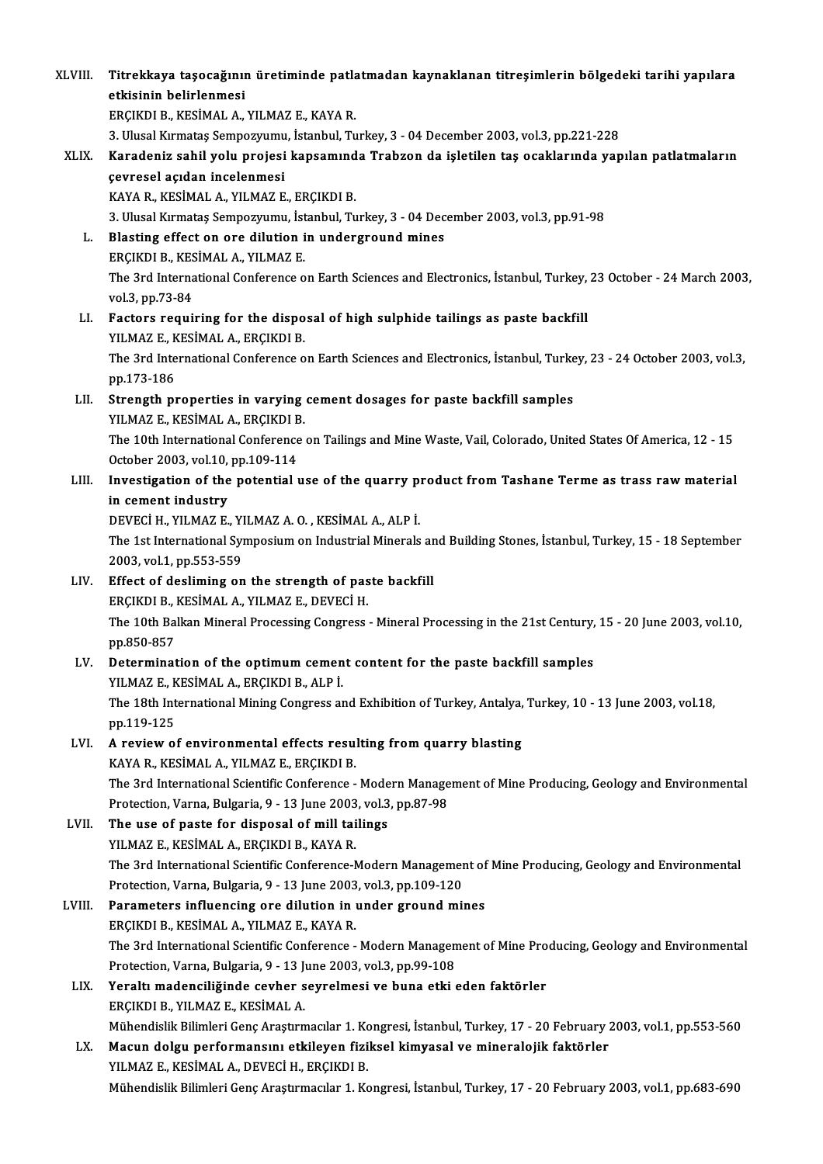| XLVIII. | Titrekkaya taşocağının üretiminde patlatmadan kaynaklanan titreşimlerin bölgedeki tarihi yapılara<br>etkisinin belirlenmesi       |
|---------|-----------------------------------------------------------------------------------------------------------------------------------|
|         | ERÇIKDI B., KESİMAL A., YILMAZ E., KAYA R.                                                                                        |
|         | 3. Ulusal Kırmataş Sempozyumu, İstanbul, Turkey, 3 - 04 December 2003, vol.3, pp.221-228                                          |
| XLIX.   | Karadeniz sahil yolu projesi kapsamında Trabzon da işletilen taş ocaklarında yapılan patlatmaların<br>çevresel açıdan incelenmesi |
|         | KAYA R., KESİMAL A., YILMAZ E., ERÇIKDI B.                                                                                        |
|         | 3. Ulusal Kırmataş Sempozyumu, İstanbul, Turkey, 3 - 04 December 2003, vol.3, pp.91-98                                            |
| L.      | Blasting effect on ore dilution in underground mines                                                                              |
|         | ERÇIKDI B., KESİMAL A., YILMAZ E.                                                                                                 |
|         | The 3rd International Conference on Earth Sciences and Electronics, İstanbul, Turkey, 23 October - 24 March 2003,                 |
|         | vol 3, pp 73-84                                                                                                                   |
| LI.     | Factors requiring for the disposal of high sulphide tailings as paste backfill                                                    |
|         | YILMAZ E., KESİMAL A., ERÇIKDI B.                                                                                                 |
|         | The 3rd International Conference on Earth Sciences and Electronics, İstanbul, Turkey, 23 - 24 October 2003, vol.3,                |
|         | pp 173-186                                                                                                                        |
| LII.    | Strength properties in varying cement dosages for paste backfill samples                                                          |
|         | YILMAZ E., KESİMAL A., ERÇIKDI B.                                                                                                 |
|         | The 10th International Conference on Tailings and Mine Waste, Vail, Colorado, United States Of America, 12 - 15                   |
|         | October 2003, vol.10, pp.109-114                                                                                                  |
| LIII.   | Investigation of the potential use of the quarry product from Tashane Terme as trass raw material                                 |
|         | in cement industry                                                                                                                |
|         | DEVECİ H., YILMAZ E., YILMAZ A. O., KESİMAL A., ALP İ.                                                                            |
|         | The 1st International Symposium on Industrial Minerals and Building Stones, İstanbul, Turkey, 15 - 18 September                   |
|         | 2003, vol 1, pp 553-559                                                                                                           |
| LIV.    | Effect of desliming on the strength of paste backfill<br>ERÇIKDI B., KESİMAL A., YILMAZ E., DEVECİ H.                             |
|         | The 10th Balkan Mineral Processing Congress - Mineral Processing in the 21st Century, 15 - 20 June 2003, vol.10,<br>pp 850-857    |
| LV.     | Determination of the optimum cement content for the paste backfill samples<br>YILMAZ E, KESİMAL A, ERÇIKDI B, ALP İ.              |
|         | The 18th International Mining Congress and Exhibition of Turkey, Antalya, Turkey, 10 - 13 June 2003, vol.18,                      |
|         | pp 119-125                                                                                                                        |
| LVI.    | A review of environmental effects resulting from quarry blasting                                                                  |
|         | KAYA R., KESİMAL A., YILMAZ E., ERÇIKDI B.                                                                                        |
|         | The 3rd International Scientific Conference - Modern Management of Mine Producing, Geology and Environmental                      |
|         | Protection, Varna, Bulgaria, 9 - 13 June 2003, vol.3, pp.87-98                                                                    |
| LVII.   | The use of paste for disposal of mill tailings                                                                                    |
|         | YILMAZ E., KESİMAL A., ERÇIKDI B., KAYA R.                                                                                        |
|         | The 3rd International Scientific Conference-Modern Management of Mine Producing, Geology and Environmental                        |
|         | Protection, Varna, Bulgaria, 9 - 13 June 2003, vol.3, pp.109-120                                                                  |
| LVIII.  | Parameters influencing ore dilution in under ground mines                                                                         |
|         | ERÇIKDI B., KESİMAL A., YILMAZ E., KAYA R.                                                                                        |
|         | The 3rd International Scientific Conference - Modern Management of Mine Producing, Geology and Environmental                      |
|         | Protection, Varna, Bulgaria, 9 - 13 June 2003, vol.3, pp.99-108                                                                   |
| LIX.    | Yeraltı madenciliğinde cevher seyrelmesi ve buna etki eden faktörler                                                              |
|         | ERÇIKDI B., YILMAZ E., KESİMAL A.                                                                                                 |
|         | Mühendislik Bilimleri Genç Araştırmacılar 1. Kongresi, İstanbul, Turkey, 17 - 20 February 2003, vol.1, pp.553-560                 |
| LX.     | Macun dolgu performansını etkileyen fiziksel kimyasal ve mineralojik faktörler<br>YILMAZ E., KESİMAL A., DEVECİ H., ERÇIKDI B.    |
|         | Mühendislik Bilimleri Genç Araştırmacılar 1. Kongresi, İstanbul, Turkey, 17 - 20 February 2003, vol.1, pp.683-690                 |
|         |                                                                                                                                   |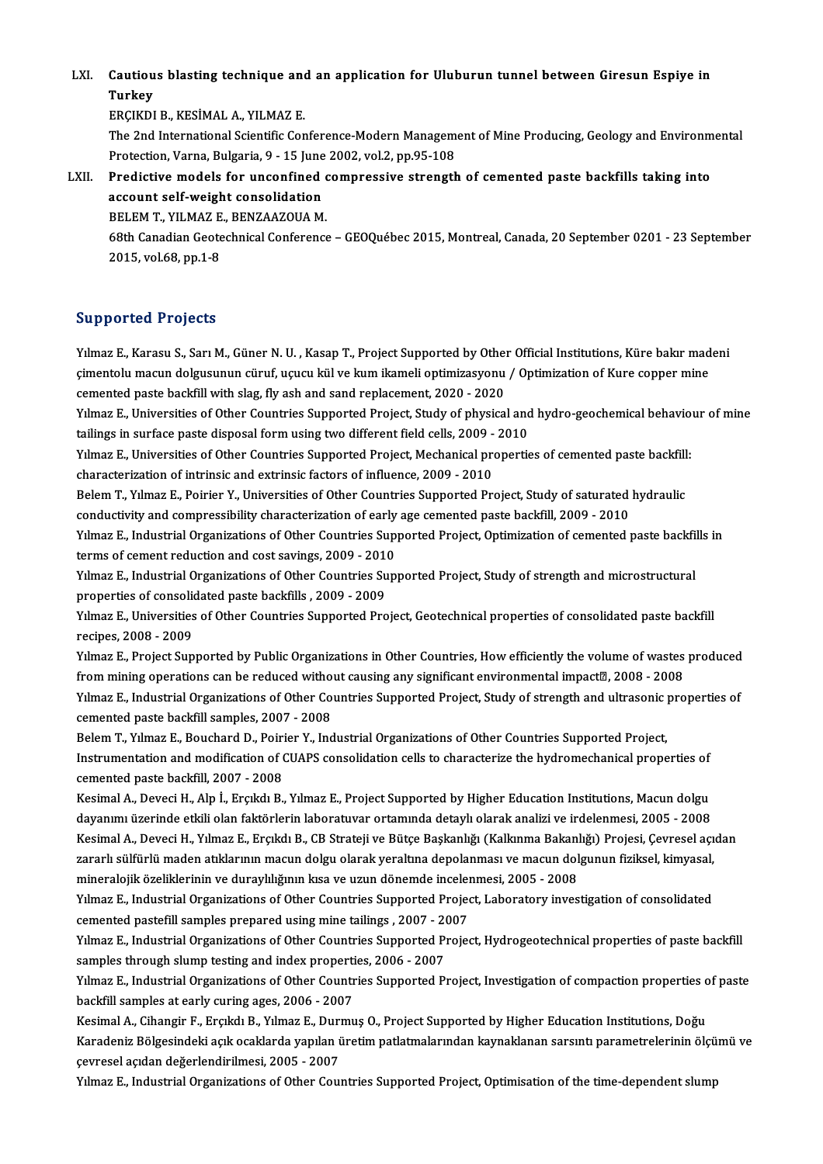LXI. Cautious blasting technique and an application for Uluburun tunnel between Giresun Espiye in Cautiou<br>Turkey<br>ERCIKDI Turkey<br>ERÇIKDI B., KESİMAL A., YILMAZ E.

Turkey<br>ERÇIKDI B., KESİMAL A., YILMAZ E.<br>The 2nd International Scientific Conference-Modern Management of Mine Producing, Geology and Environmental<br>Protection Verne, Bulgaria. 0, .15 June 2002 yol 2, np.95,109 ERÇIKDI B., KESİMAL A., YILMAZ E.<br>The 2nd International Scientific Conference-Modern Managem<br>Protection, Varna, Bulgaria, 9 - 15 June 2002, vol.2, pp.95-108<br>Prodistive models for unsenfined sempressive strenstl The 2nd International Scientific Conference-Modern Management of Mine Producing, Geology and Environm<br>Protection, Varna, Bulgaria, 9 - 15 June 2002, vol.2, pp.95-108<br>LXII. Predictive models for unconfined compressive stren

Protection, Varna, Bulgaria, 9 - 15 June 2002, vol.2, pp.95-108<br>Predictive models for unconfined compressive strengtl<br>account self-weight consolidation<br>BELEM T., YILMAZ E., BENZAAZOUA M. Predictive models for unconfined compressive strength of cemented paste backfills taking into account self-weight consolidation<br>BELEM T., YILMAZ E., BENZAAZOUA M.<br>68th Canadian Geotechnical Conference – GEOQuébec 2015, Montreal, Canada, 20 September 0201 - 23 September<br>2015, val 68 nn 1 8.

BELEM T., YILMAZ E<br>68th Canadian Geote<br>2015, vol.68, pp.1-8

# 2015, vol.68, pp.1-8<br>Supported Projects

Yılmaz E., Karasu S., Sarı M., Güner N. U., Kasap T., Project Supported by Other Official Institutions, Küre bakır madeni ya portear Frojeces<br>Yılmaz E., Karasu S., Sarı M., Güner N. U. , Kasap T., Project Supported by Other Official Institutions, Küre bakır mad<br>çimentolu macun dolgusunun cüruf, uçucu kül ve kum ikameli optimizasyonu / Optimiz Yılmaz E., Karasu S., Sarı M., Güner N. U. , Kasap T., Project Supported by Other<br>çimentolu macun dolgusunun cüruf, uçucu kül ve kum ikameli optimizasyonu<br>cemented paste backfill with slag, fly ash and sand replacement, 20 cimentolu macun dolgusunun cüruf, uçucu kül ve kum ikameli optimizasyonu / Optimization of Kure copper mine<br>cemented paste backfill with slag, fly ash and sand replacement, 2020 - 2020<br>Yılmaz E., Universities of Other Coun

cemented paste backfill with slag, fly ash and sand replacement, 2020 - 2020<br>Yılmaz E., Universities of Other Countries Supported Project, Study of physical and<br>tailings in surface paste disposal form using two different f Yılmaz E., Universities of Other Countries Supported Project, Study of physical and hydro-geochemical behavior<br>tailings in surface paste disposal form using two different field cells, 2009 - 2010<br>Yılmaz E., Universities of

tailings in surface paste disposal form using two different field cells, 2009 -<br>Yılmaz E., Universities of Other Countries Supported Project, Mechanical pro<br>characterization of intrinsic and extrinsic factors of influence, Yılmaz E., Universities of Other Countries Supported Project, Mechanical properties of cemented paste backfill<br>characterization of intrinsic and extrinsic factors of influence, 2009 - 2010<br>Belem T., Yılmaz E., Poirier Y., characterization of intrinsic and extrinsic factors of influence, 2009 - 2010<br>Belem T., Yılmaz E., Poirier Y., Universities of Other Countries Supported Project, Study of saturated hydraulic

Belem T., Yılmaz E., Poirier Y., Universities of Other Countries Supported Project, Study of saturated hydraulic<br>conductivity and compressibility characterization of early age cemented paste backfill, 2009 - 2010<br>Yılmaz E.

conductivity and compressibility characterization of early age cemented paste backfill, 2009 - 2010<br>Yılmaz E., Industrial Organizations of Other Countries Supported Project, Optimization of cemented<br>terms of cement reducti Yılmaz E., Industrial Organizations of Other Countries Supported Project, Optimization of cemented paste backfil<br>terms of cement reduction and cost savings, 2009 - 2010<br>Yılmaz E., Industrial Organizations of Other Countrie

terms of cement reduction and cost savings, 2009 - 201<br>1993 - Yılmaz E., Industrial Organizations of Other Countries Suproperties of consolidated paste backfills , 2009 - 2009<br>1999 - Yılmaz E. Universities of Other Countri Yılmaz E., Industrial Organizations of Other Countries Supported Project, Study of strength and microstructural<br>properties of consolidated paste backfills , 2009 - 2009<br>Yılmaz E., Universities of Other Countries Supported

properties of consolidated paste backfills , 2009 - 2009<br>Yılmaz E., Universities of Other Countries Supported Project, Geotechnical properties of consolidated paste backfill<br>recipes, 2008 - 2009 Yılmaz E., Universities of Other Countries Supported Project, Geotechnical properties of consolidated paste backfill<br>recipes, 2008 - 2009<br>Yılmaz E., Project Supported by Public Organizations in Other Countries, How efficie

recipes, 2008 - 2009<br>Yılmaz E., Project Supported by Public Organizations in Other Countries, How efficiently the volume of wastes<br>from mining operations can be reduced without causing any significant environmental impact@ Yılmaz E., Project Supported by Public Organizations in Other Countries, How efficiently the volume of wastes produced<br>from mining operations can be reduced without causing any significant environmental impact⊠, 2008 - 200 from mining operations can be reduced without causing any significant environmental impact<sup>o</sup>, 2008 - 2008<br>
Yılmaz E., Industrial Organizations of Other Countries Supported Project, Study of strength and ultrasonic pro<br>
ce Yılmaz E., Industrial Organizations of Other Countries Supported Project, Study of strength and ultrasonic properties of

cemented paste backfill samples, 2007 - 2008<br>Belem T., Yılmaz E., Bouchard D., Poirier Y., Industrial Organizations of Other Countries Supported Project,<br>Instrumentation and modification of CUAPS consolidation cells to cha Belem T., Yılmaz E., Bouchard D., Poiri<br>Instrumentation and modification of (<br>cemented paste backfill, 2007 - 2008<br>Kesimal A., Dovesi H., Alp İ., Ersukil, B. Instrumentation and modification of CUAPS consolidation cells to characterize the hydromechanical properties of<br>cemented paste backfill, 2007 - 2008<br>Kesimal A., Deveci H., Alp İ., Erçıkdı B., Yılmaz E., Project Supported b

cemented paste backfill, 2007 - 2008<br>Kesimal A., Deveci H., Alp İ., Erçıkdı B., Yılmaz E., Project Supported by Higher Education Institutions, Macun dolgu<br>dayanımı üzerinde etkili olan faktörlerin laboratuvar ortamında det Kesimal A., Deveci H., Alp İ., Erçıkdı B., Yılmaz E., Project Supported by Higher Education Institutions, Macun dolgu<br>dayanımı üzerinde etkili olan faktörlerin laboratuvar ortamında detaylı olarak analizi ve irdelenmesi, 2 dayanımı üzerinde etkili olan faktörlerin laboratuvar ortamında detaylı olarak analizi ve irdelenmesi, 2005 - 2008<br>Kesimal A., Deveci H., Yılmaz E., Erçıkdı B., CB Strateji ve Bütçe Başkanlığı (Kalkınma Bakanlığı) Projesi, Kesimal A., Deveci H., Yılmaz E., Erçıkdı B., CB Strateji ve Bütçe Başkanlığı (Kalkınma Bakanl<br>zararlı sülfürlü maden atıklarının macun dolgu olarak yeraltına depolanması ve macun dol<br>mineralojik özeliklerinin ve duraylılı zararlı sülfürlü maden atıklarının macun dolgu olarak yeraltına depolanması ve macun dolgunun fiziksel, kimyasal,<br>mineralojik özeliklerinin ve duraylılığının kısa ve uzun dönemde incelenmesi, 2005 - 2008<br>Yılmaz E., Industr mineralojik özeliklerinin ve duraylılığının kısa ve uzun dönemde incelenmesi, 2005 - 2008

Yılmaz E., Industrial Organizations of Other Countries Supported Project, Laboratory investigation of consolidated<br>Cemented pastefill samples prepared using mine tailings , 2007 - 2007<br>Yılmaz E., Industrial Organizations o

cemented pastefill samples prepared using mine tailings , 2007 - 2(<br>Yılmaz E., Industrial Organizations of Other Countries Supported Properties, 2006 - 2007<br>Samples through slump testing and index properties, 2006 - 2007<br>Y Yılmaz E., Industrial Organizations of Other Countries Supported Project, Hydrogeotechnical properties of paste backfill<br>Samples through slump testing and index properties, 2006 - 2007<br>Yılmaz E., Industrial Organizations o

samples through slump testing and index properties, 2006 - 2007<br>Yılmaz E., Industrial Organizations of Other Countries Supported P<br>backfill samples at early curing ages, 2006 - 2007 Yılmaz E., Industrial Organizations of Other Countries Supported Project, Investigation of compaction properties c<br>backfill samples at early curing ages, 2006 - 2007<br>Kesimal A., Cihangir F., Erçıkdı B., Yılmaz E., Durmuş O

backfill samples at early curing ages, 2006 - 2007<br>Kesimal A., Cihangir F., Erçıkdı B., Yılmaz E., Durmuş O., Project Supported by Higher Education Institutions, Doğu<br>Karadeniz Bölgesindeki açık ocaklarda yapılan üretim pa Kesimal A., Cihangir F., Erçıkdı B., Yılmaz E., Durmuş O., Project Supported by Higher Education Institutions, Doğu<br>Karadeniz Bölgesindeki açık ocaklarda yapılan üretim patlatmalarından kaynaklanan sarsıntı parametrelerini Karadeniz Bölgesindeki açık ocaklarda yapılan üretim patlatmalarından kaynaklanan sarsıntı parametrelerinin ölçü<br>çevresel açıdan değerlendirilmesi, 2005 - 2007<br>Yılmaz E., Industrial Organizations of Other Countries Support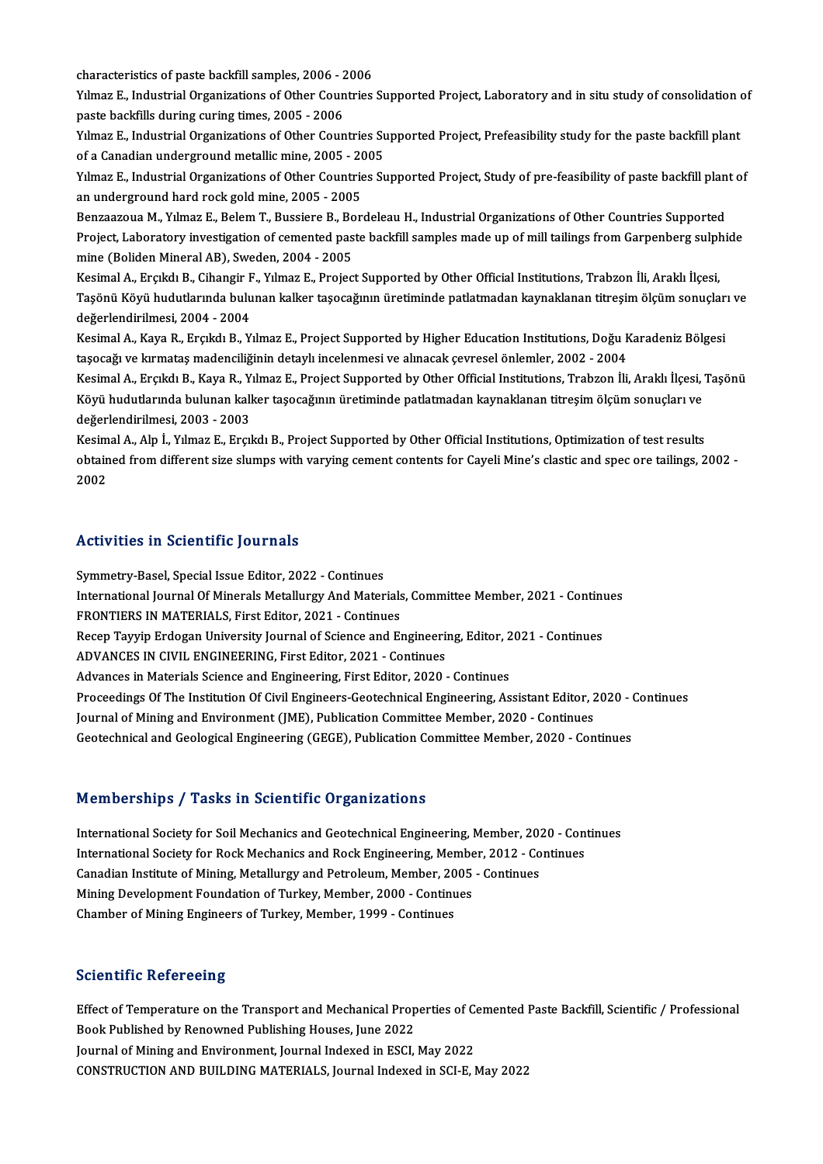characteristics of paste backfill samples, 2006 - 2006<br>Vilmag E. Industrial Organizations of Other Countries

characteristics of paste backfill samples, 2006 - 2006<br>Yılmaz E., Industrial Organizations of Other Countries Supported Project, Laboratory and in situ study of consolidation of characteristics of paste backfill samples, 2006 - 2<br>19 Yılmaz E., Industrial Organizations of Other Councy<br>paste backfills during curing times, 2005 - 2006<br>Vilmag E. Industrial Organizations of Other Counc Yılmaz E., Industrial Organizations of Other Countries Supported Project, Laboratory and in situ study of consolidation of<br>paste backfills during curing times, 2005 - 2006<br>Yılmaz E., Industrial Organizations of Other Count

paste backfills during curing times, 2005 - 2006<br>Yılmaz E., Industrial Organizations of Other Countries Supported Project, Prefeasibility study for the paste backfill plant<br>of a Canadian underground metallic mine, 2005 - 2 Yılmaz E., Industrial Organizations of Other Countries Supported Project, Prefeasibility study for the paste backfill plant<br>of a Canadian underground metallic mine, 2005 - 2005<br>Yılmaz E., Industrial Organizations of Other

an underground hard rock gold mine, 2005 - 2005<br>Benzaazoua M., Yılmaz E., Belem T., Bussiere B., Bordeleau H., Industrial Organizations of Other Countries Supported Yılmaz E., Industrial Organizations of Other Countries Supported Project, Study of pre-feasibility of paste backfill plan<br>an underground hard rock gold mine, 2005 - 2005<br>Benzaazoua M., Yılmaz E., Belem T., Bussiere B., Bor

Project, Laboratory investigation of cemented paste backfill samples made up of mill tailings from Garpenberg sulphide mine (Boliden Mineral AB), Sweden, 2004 - 2005 Project, Laboratory investigation of cemented paste backfill samples made up of mill tailings from Garpenberg sulph<br>Mine (Boliden Mineral AB), Sweden, 2004 - 2005<br>Kesimal A., Erçıkdı B., Cihangir F., Yılmaz E., Project Sup

mine (Boliden Mineral AB), Sweden, 2004 - 2005<br>Kesimal A., Erçıkdı B., Cihangir F., Yılmaz E., Project Supported by Other Official Institutions, Trabzon İli, Araklı İlçesi,<br>Taşönü Köyü hudutlarında bulunan kalker taşocağın Kesimal A., Erçıkdı B., Cihangir F<br>Taşönü Köyü hudutlarında bulu<br>değerlendirilmesi, 2004 - 2004<br>Kesimal A., Kaya B., Engirdi B., V. Taşönü Köyü hudutlarında bulunan kalker taşocağının üretiminde patlatmadan kaynaklanan titreşim ölçüm sonuçlar<br>değerlendirilmesi, 2004 - 2004<br>Kesimal A., Kaya R., Erçıkdı B., Yılmaz E., Project Supported by Higher Educatio

değerlendirilmesi, 2004 - 2004<br>Kesimal A., Kaya R., Erçıkdı B., Yılmaz E., Project Supported by Higher Education Institutions, Doğu k<br>taşocağı ve kırmataş madenciliğinin detaylı incelenmesi ve alınacak çevresel önlemler, 2 Kesimal A., Kaya R., Erçıkdı B., Yılmaz E., Project Supported by Higher Education Institutions, Doğu Karadeniz Bölgesi<br>taşocağı ve kırmataş madenciliğinin detaylı incelenmesi ve alınacak çevresel önlemler, 2002 - 2004<br>Kesi

taşocağı ve kırmataş madenciliğinin detaylı incelenmesi ve alınacak çevresel önlemler, 2002 - 2004<br>Kesimal A., Erçıkdı B., Kaya R., Yılmaz E., Project Supported by Other Official Institutions, Trabzon İli, Araklı İlçesi, ' Kesimal A., Erçıkdı B., Kaya R., Y.<br>Köyü hudutlarında bulunan kall<br>değerlendirilmesi, 2003 - 2003<br>Kesimal A. Alp İ. Vılmaz E. Ersul Köyü hudutlarında bulunan kalker taşocağının üretiminde patlatmadan kaynaklanan titreşim ölçüm sonuçları ve<br>değerlendirilmesi, 2003 - 2003<br>Kesimal A., Alp İ., Yılmaz E., Erçıkdı B., Project Supported by Other Official Inst

değerlendirilmesi, 2003 - 2003<br>Kesimal A., Alp İ., Yılmaz E., Erçıkdı B., Project Supported by Other Official Institutions, Optimization of test results<br>obtained from different size slumps with varying cement contents for Kesim<br>obtain<br>2002

# Activities in Scientific Journals

Symmetry-Basel, Special Issue Editor, 2022 - Continues ITCENTERCO IN OCTORENTE JOURNALD<br>Symmetry-Basel, Special Issue Editor, 2022 - Continues<br>International Journal Of Minerals Metallurgy And Materials, Committee Member, 2021 - Continues<br>ERONTIERS IN MATERIALS, First Editor, 2 Symmetry-Basel, Special Issue Editor, 2022 - Continues<br>International Journal Of Minerals Metallurgy And Materials<br>FRONTIERS IN MATERIALS, First Editor, 2021 - Continues<br>Besen Teurin Endoson University Journal of Science an International Journal Of Minerals Metallurgy And Materials, Committee Member, 2021 - Continu<br>FRONTIERS IN MATERIALS, First Editor, 2021 - Continues<br>Recep Tayyip Erdogan University Journal of Science and Engineering, Editor FRONTIERS IN MATERIALS, First Editor, 2021 - Continues<br>Recep Tayyip Erdogan University Journal of Science and Engineerii<br>ADVANCES IN CIVIL ENGINEERING, First Editor, 2021 - Continues<br>Advances in Materials Science and Engin Recep Tayyip Erdogan University Journal of Science and Engineering, Editor, 2<br>ADVANCES IN CIVIL ENGINEERING, First Editor, 2021 - Continues<br>Advances in Materials Science and Engineering, First Editor, 2020 - Continues<br>Pres ADVANCES IN CIVIL ENGINEERING, First Editor, 2021 - Continues<br>Advances in Materials Science and Engineering, First Editor, 2020 - Continues<br>Proceedings Of The Institution Of Civil Engineers-Geotechnical Engineering, Assist Advances in Materials Science and Engineering, First Editor, 2020 - Continues<br>Proceedings Of The Institution Of Civil Engineers-Geotechnical Engineering, Assistant Editor, 2<br>Journal of Mining and Environment (JME), Publica Proceedings Of The Institution Of Civil Engineers-Geotechnical Engineering, Assistant Editor, 2020 - (<br>Journal of Mining and Environment (JME), Publication Committee Member, 2020 - Continues<br>Geotechnical and Geological Eng Geotechnical and Geological Engineering (GEGE), Publication Committee Member, 2020 - Continues<br>Memberships / Tasks in Scientific Organizations

International Society for Soil Mechanics and Geotechnical Engineering, Member, 2020 - Continues International Society for Soil Mechanics and Geotechnical Engineering, Member, 2020 - Continues.<br>International Society for Rock Mechanics and Rock Engineering, Member, 2012 - Continues.<br>Canadian Institute of Mining, Metall International Society for Soil Mechanics and Geotechnical Engineering, Member, 2014<br>International Society for Rock Mechanics and Rock Engineering, Member, 2012 - Co<br>Canadian Institute of Mining, Metallurgy and Petroleum, M International Society for Rock Mechanics and Rock Engineering, Member<br>Canadian Institute of Mining, Metallurgy and Petroleum, Member, 2005<br>Mining Development Foundation of Turkey, Member, 2000 - Continues<br>Chamber of Mining Canadian Institute of Mining, Metallurgy and Petroleum, Member, 2005 - Continues<br>Mining Development Foundation of Turkey, Member, 2000 - Continues<br>Chamber of Mining Engineers of Turkey, Member, 1999 - Continues

### **Scientific Refereeing**

Scientific Refereeing<br>Effect of Temperature on the Transport and Mechanical Properties of Cemented Paste Backfill, Scientific / Professional<br>Reak Published by Peneumed Publishing Hauses June 2022 BookPublished Robert Compare<br>Beffect of Temperature on the Transport and Mechanical Prop<br>Book Published by Renowned Publishing Houses, June 2022<br>Journal of Mining and Environment Journal Indoved in ESCL Book Published by Renowned Publishing Houses, June 2022<br>Journal of Mining and Environment, Journal Indexed in ESCI, May 2022 CONSTRUCTION AND BUILDING MATERIALS, Journal Indexed in SCI-E, May 2022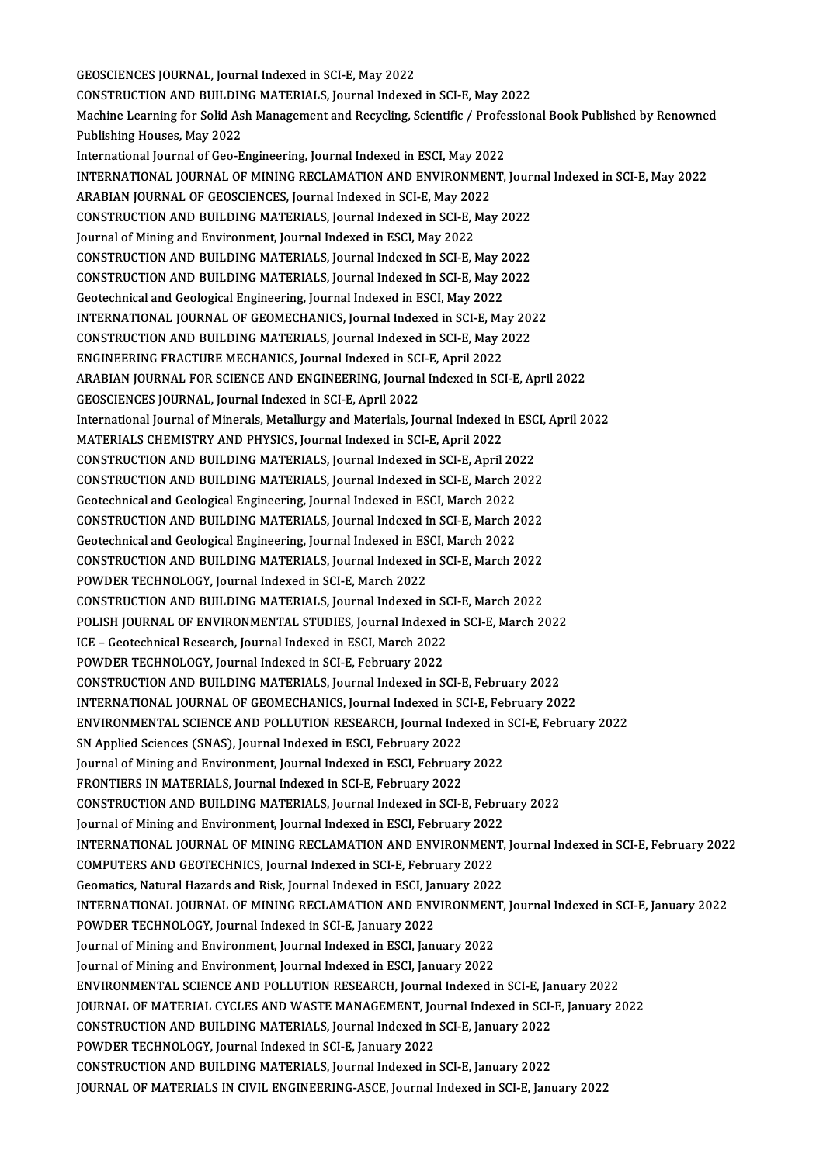GEOSCIENCES JOURNAL, Journal Indexed in SCI-E, May 2022 GEOSCIENCES JOURNAL, Journal Indexed in SCI-E, May 2022<br>CONSTRUCTION AND BUILDING MATERIALS, Journal Indexed in SCI-E, May 2022<br>Machine Learning for Solid Ach Managament and Pogysling, Scientifie / Profession Machine Learning for Solid Ash Management and Recycling, Scientific / Professional Book Published by Renowned<br>Publishing Houses, May 2022 **CONSTRUCTION AND BUILDIN<br>Machine Learning for Solid As<br>Publishing Houses, May 2022**<br>International Journal of Coo E Machine Learning for Solid Ash Management and Recycling, Scientific / Profe:<br>Publishing Houses, May 2022<br>International Journal of Geo-Engineering, Journal Indexed in ESCI, May 2022<br>INTERNATIONAL JOURNAL OF MINING RECLAMATI Publishing Houses, May 2022<br>International Journal of Geo-Engineering, Journal Indexed in ESCI, May 2022<br>INTERNATIONAL JOURNAL OF MINING RECLAMATION AND ENVIRONMENT, Journal Indexed in SCI-E, May 2022<br>ARARIAN JOURNAL OF CEO International Journal of Geo-Engineering, Journal Indexed in ESCI, May 202<br>INTERNATIONAL JOURNAL OF MINING RECLAMATION AND ENVIRONMEN<br>ARABIAN JOURNAL OF GEOSCIENCES, Journal Indexed in SCI-E, May 2022<br>CONSTRUCTION AND RUU INTERNATIONAL JOURNAL OF MINING RECLAMATION AND ENVIRONMENT, Journal<br>ARABIAN JOURNAL OF GEOSCIENCES, Journal Indexed in SCI-E, May 2022<br>CONSTRUCTION AND BUILDING MATERIALS, Journal Indexed in SCI-E, May 2022<br>Journal of Min ARABIAN JOURNAL OF GEOSCIENCES, Journal Indexed in SCI-E, May 2022<br>CONSTRUCTION AND BUILDING MATERIALS, Journal Indexed in SCI-E, May 2022<br>Journal of Mining and Environment, Journal Indexed in ESCI, May 2022 CONSTRUCTION AND BUILDING MATERIALS, Journal Indexed in SCI-E, May 2022<br>Journal of Mining and Environment, Journal Indexed in ESCI, May 2022<br>CONSTRUCTION AND BUILDING MATERIALS, Journal Indexed in SCI-E, May 2022<br>CONSTRUCT Journal of Mining and Environment, Journal Indexed in ESCI, May 2022<br>CONSTRUCTION AND BUILDING MATERIALS, Journal Indexed in SCI-E, May 2022<br>CONSTRUCTION AND BUILDING MATERIALS, Journal Indexed in SCI-E, May 2022<br>Costesbni CONSTRUCTION AND BUILDING MATERIALS, Journal Indexed in SCI-E, May 2<br>CONSTRUCTION AND BUILDING MATERIALS, Journal Indexed in SCI-E, May 2<br>Geotechnical and Geological Engineering, Journal Indexed in ESCI, May 2022<br>INTERNATI CONSTRUCTION AND BUILDING MATERIALS, Journal Indexed in SCI-E, May 2022<br>Geotechnical and Geological Engineering, Journal Indexed in ESCI, May 2022<br>INTERNATIONAL JOURNAL OF GEOMECHANICS, Journal Indexed in SCI-E, May 2022 Geotechnical and Geological Engineering, Journal Indexed in ESCI, May 2022<br>INTERNATIONAL JOURNAL OF GEOMECHANICS, Journal Indexed in SCI-E, May 202<br>CONSTRUCTION AND BUILDING MATERIALS, Journal Indexed in SCI-E, May 2022<br>EN INTERNATIONAL JOURNAL OF GEOMECHANICS, Journal Indexed in SCI-E, Ma<br>CONSTRUCTION AND BUILDING MATERIALS, Journal Indexed in SCI-E, May 2<br>ENGINEERING FRACTURE MECHANICS, Journal Indexed in SCI-E, April 2022<br>ARAPIAN JOURNAL CONSTRUCTION AND BUILDING MATERIALS, Journal Indexed in SCI-E, May 2022<br>ENGINEERING FRACTURE MECHANICS, Journal Indexed in SCI-E, April 2022<br>ARABIAN JOURNAL FOR SCIENCE AND ENGINEERING, Journal Indexed in SCI-E, April 2022 ENGINEERING FRACTURE MECHANICS, Journal Indexed in SCI-E, April 2022<br>ARABIAN JOURNAL FOR SCIENCE AND ENGINEERING, Journal Indexed in SCI-E, April 2022<br>GEOSCIENCES JOURNAL, Journal Indexed in SCI-E, April 2022 International Journal of Minerals, Metallurgy and Materials, Journal Indexed in ESCI, April 2022 MATERIALS CHEMISTRY AND PHYSICS, Journal Indexed in SCI-E, April 2022 International Journal of Minerals, Metallurgy and Materials, Journal Indexed in ESC<br>MATERIALS CHEMISTRY AND PHYSICS, Journal Indexed in SCI-E, April 2022<br>CONSTRUCTION AND BUILDING MATERIALS, Journal Indexed in SCI-E, April MATERIALS CHEMISTRY AND PHYSICS, Journal Indexed in SCI-E, April 2022<br>CONSTRUCTION AND BUILDING MATERIALS, Journal Indexed in SCI-E, April 2022<br>CONSTRUCTION AND BUILDING MATERIALS, Journal Indexed in SCI-E, March 2022<br>Cost CONSTRUCTION AND BUILDING MATERIALS, Journal Indexed in SCI-E, April 20<br>CONSTRUCTION AND BUILDING MATERIALS, Journal Indexed in SCI-E, March 2<br>Geotechnical and Geological Engineering, Journal Indexed in SCI, March 2022<br>CON CONSTRUCTION AND BUILDING MATERIALS, Journal Indexed in SCI-E, March 2022<br>Geotechnical and Geological Engineering, Journal Indexed in ESCI, March 2022<br>CONSTRUCTION AND BUILDING MATERIALS, Journal Indexed in SCI-E, March 20 Geotechnical and Geological Engineering, Journal Indexed in ESCI, March 2022<br>CONSTRUCTION AND BUILDING MATERIALS, Journal Indexed in SCI-E, March 2<br>Geotechnical and Geological Engineering, Journal Indexed in ESCI, March 20 CONSTRUCTION AND BUILDING MATERIALS, Journal Indexed in SCI-E, March 2022<br>Geotechnical and Geological Engineering, Journal Indexed in ESCI, March 2022<br>CONSTRUCTION AND BUILDING MATERIALS, Journal Indexed in SCI-E, March 20 Geotechnical and Geological Engineering, Journal Indexed in ESCI, March 2022<br>CONSTRUCTION AND BUILDING MATERIALS, Journal Indexed in SCI-E, March 2022<br>POWDER TECHNOLOGY, Journal Indexed in SCI-E, March 2022<br>CONSTRUCTION AN CONSTRUCTION AND BUILDING MATERIALS, Journal Indexed in SCI-E, March 2022 POLISH JOURNAL OF ENVIRONMENTAL STUDIES, Journal Indexed in SCI-E, March 2022 CONSTRUCTION AND BUILDING MATERIALS, Journal Indexed in SC<br>POLISH JOURNAL OF ENVIRONMENTAL STUDIES, Journal Indexed<br>ICE – Geotechnical Research, Journal Indexed in ESCI, March 2022<br>POWDER TECHNOLOCY, Journal Indexed in SCL POLISH JOURNAL OF ENVIRONMENTAL STUDIES, Journal Indexed<br>ICE – Geotechnical Research, Journal Indexed in ESCI, March 2022<br>POWDER TECHNOLOGY, Journal Indexed in SCI-E, February 2022<br>CONSTRUCTION AND RUU DINC MATERIALS, Jour POWDER TECHNOLOGY, Journal Indexed in SCI-E, February 2022<br>CONSTRUCTION AND BUILDING MATERIALS, Journal Indexed in SCI-E, February 2022 POWDER TECHNOLOGY, Journal Indexed in SCI-E, February 2022<br>CONSTRUCTION AND BUILDING MATERIALS, Journal Indexed in SCI-E, February 2022<br>INTERNATIONAL JOURNAL OF GEOMECHANICS, Journal Indexed in SCI-E, February 2022<br>ENVIRON CONSTRUCTION AND BUILDING MATERIALS, Journal Indexed in SCI-E, February 2022<br>INTERNATIONAL JOURNAL OF GEOMECHANICS, Journal Indexed in SCI-E, February 2022<br>ENVIRONMENTAL SCIENCE AND POLLUTION RESEARCH, Journal Indexed in S INTERNATIONAL JOURNAL OF GEOMECHANICS, Journal Indexed in SONAPPLIENCE AND POLLUTION RESEARCH, Journal Index<br>SN Applied Sciences (SNAS), Journal Indexed in ESCI, February 2022<br>Journal of Mining and Environment Journal Inde ENVIRONMENTAL SCIENCE AND POLLUTION RESEARCH, Journal Indexed in<br>SN Applied Sciences (SNAS), Journal Indexed in ESCI, February 2022<br>Journal of Mining and Environment, Journal Indexed in ESCI, February 2022<br>EPONTIEDS IN MAT SN Applied Sciences (SNAS), Journal Indexed in ESCI, February 2022<br>Journal of Mining and Environment, Journal Indexed in ESCI, February 2022<br>FRONTIERS IN MATERIALS, Journal Indexed in SCI-E, February 2022 CONSTRUCTIONANDBUILDINGMATERIALS, Journal Indexed inSCI-E,February2022 FRONTIERS IN MATERIALS, Journal Indexed in SCI-E, February 2022<br>CONSTRUCTION AND BUILDING MATERIALS, Journal Indexed in SCI-E, Febru<br>Journal of Mining and Environment, Journal Indexed in ESCI, February 2022<br>INTERNATIONAL J INTERNATIONAL JOURNAL OF MINING RECLAMATION AND ENVIRONMENT, Journal Indexed in SCI-E, February 2022<br>COMPUTERS AND GEOTECHNICS, Journal Indexed in SCI-E, February 2022 Journal of Mining and Environment, Journal Indexed in ESCI, February 2022<br>INTERNATIONAL JOURNAL OF MINING RECLAMATION AND ENVIRONMEN<br>COMPUTERS AND GEOTECHNICS, Journal Indexed in SCI-E, February 2022<br>Coomatics, Natural Hag INTERNATIONAL JOURNAL OF MINING RECLAMATION AND ENVIRONMENT,<br>COMPUTERS AND GEOTECHNICS, Journal Indexed in SCI-E, February 2022<br>Geomatics, Natural Hazards and Risk, Journal Indexed in ESCI, January 2022<br>INTERNATIONAL JOURN COMPUTERS AND GEOTECHNICS, Journal Indexed in SCI-E, February 2022<br>Geomatics, Natural Hazards and Risk, Journal Indexed in ESCI, January 2022<br>INTERNATIONAL JOURNAL OF MINING RECLAMATION AND ENVIRONMENT, Journal Indexed in Geomatics, Natural Hazards and Risk, Journal Indexed in ESCI, January<br>1989 - INTERNATIONAL JOURNAL OF MINING RECLAMATION AND ENV<br>POWDER TECHNOLOGY, Journal Indexed in SCI-E, January 2022<br>Journal of Mining and Environment J INTERNATIONAL JOURNAL OF MINING RECLAMATION AND ENVIRONMENT<br>POWDER TECHNOLOGY, Journal Indexed in SCI-E, January 2022<br>Journal of Mining and Environment, Journal Indexed in ESCI, January 2022<br>Journal of Mining and Environme POWDER TECHNOLOGY, Journal Indexed in SCI-E, January 2022<br>Journal of Mining and Environment, Journal Indexed in ESCI, January 2022<br>Journal of Mining and Environment, Journal Indexed in ESCI, January 2022 Journal of Mining and Environment, Journal Indexed in ESCI, January 2022<br>Journal of Mining and Environment, Journal Indexed in ESCI, January 2022<br>ENVIRONMENTAL SCIENCE AND POLLUTION RESEARCH, Journal Indexed in SCI-E, Janu Journal of Mining and Environment, Journal Indexed in ESCI, January 2022<br>ENVIRONMENTAL SCIENCE AND POLLUTION RESEARCH, Journal Indexed in SCI-E, January 2022<br>JOURNAL OF MATERIAL CYCLES AND WASTE MANAGEMENT, Journal Indexed ENVIRONMENTAL SCIENCE AND POLLUTION RESEARCH, Journal Indexed in SCI-E, January<br>JOURNAL OF MATERIAL CYCLES AND WASTE MANAGEMENT, Journal Indexed in SCI-<br>CONSTRUCTION AND BUILDING MATERIALS, Journal Indexed in SCI-E, Januar JOURNAL OF MATERIAL CYCLES AND WASTE MANAGEMENT, Jo<br>CONSTRUCTION AND BUILDING MATERIALS, Journal Indexed in<br>POWDER TECHNOLOGY, Journal Indexed in SCI-E, January 2022<br>CONSTRUCTION AND BUILDING MATERIALS, Journal Indexed in CONSTRUCTION AND BUILDING MATERIALS, Journal Indexed in SCI-E, January 2022<br>POWDER TECHNOLOGY, Journal Indexed in SCI-E, January 2022<br>CONSTRUCTION AND BUILDING MATERIALS, Journal Indexed in SCI-E, January 2022<br>JOURNAL OF M POWDER TECHNOLOGY, Journal Indexed in SCI-E, January 2022<br>CONSTRUCTION AND BUILDING MATERIALS, Journal Indexed in SCI-E, January 2022<br>JOURNAL OF MATERIALS IN CIVIL ENGINEERING-ASCE, Journal Indexed in SCI-E, January 2022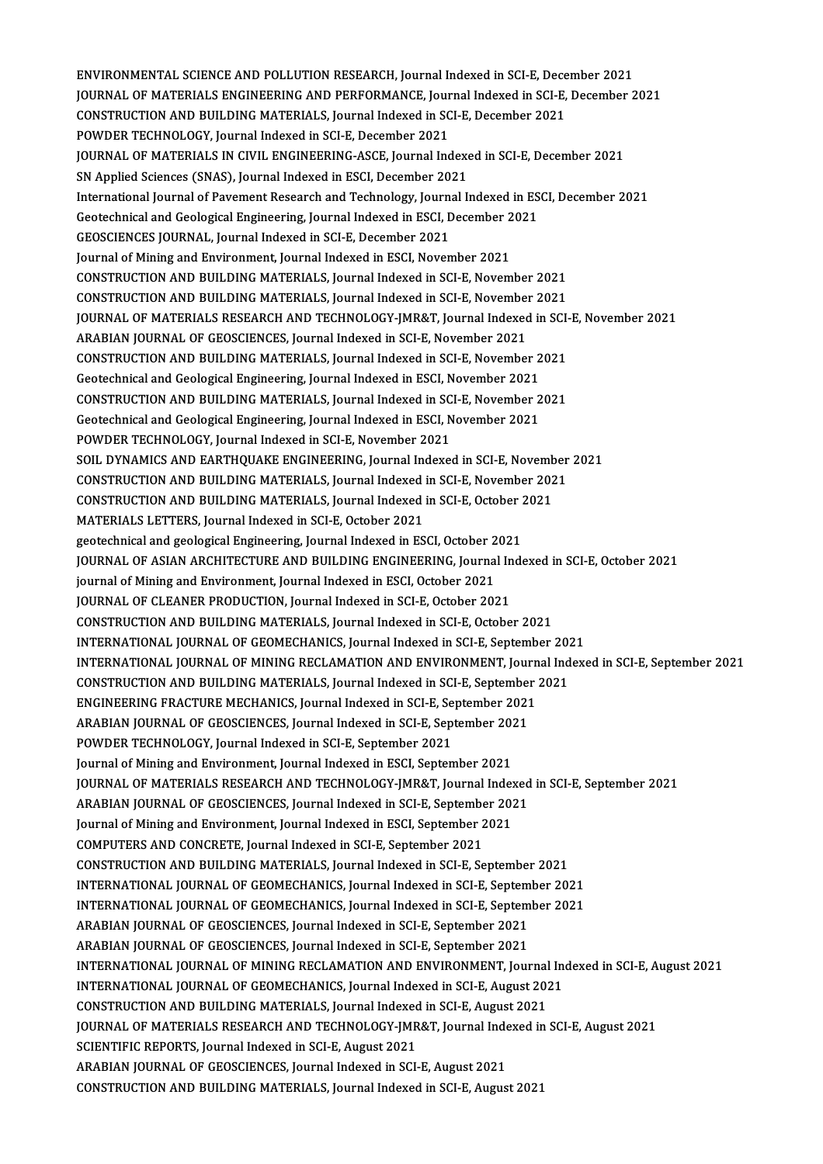ENVIRONMENTAL SCIENCE AND POLLUTION RESEARCH, Journal Indexed in SCI-E, December 2021 ENVIRONMENTAL SCIENCE AND POLLUTION RESEARCH, Journal Indexed in SCI-E, December 2021<br>JOURNAL OF MATERIALS ENGINEERING AND PERFORMANCE, Journal Indexed in SCI-E, December 2021<br>CONSTRUCTION AND RUU DINC MATERIALS, Journal I ENVIRONMENTAL SCIENCE AND POLLUTION RESEARCH, Journal Indexed in SCI-E, Dece<br>JOURNAL OF MATERIALS ENGINEERING AND PERFORMANCE, Journal Indexed in SCI-E,<br>CONSTRUCTION AND BUILDING MATERIALS, Journal Indexed in SCI-E, Decemb JOURNAL OF MATERIALS ENGINEERING AND PERFORMANCE, Journal Indexed in SC<br>CONSTRUCTION AND BUILDING MATERIALS, Journal Indexed in SC<br>POWDER TECHNOLOGY, Journal Indexed in SCI-E, December 2021<br>JOURNAL OF MATERIALS IN CIVIL EN CONSTRUCTION AND BUILDING MATERIALS, Journal Indexed in SCI-E, December 2021<br>POWDER TECHNOLOGY, Journal Indexed in SCI-E, December 2021<br>JOURNAL OF MATERIALS IN CIVIL ENGINEERING-ASCE, Journal Indexed in SCI-E, December 202 POWDER TECHNOLOGY, Journal Indexed in SCI-E, December 2021<br>JOURNAL OF MATERIALS IN CIVIL ENGINEERING-ASCE, Journal Indexe<br>SN Applied Sciences (SNAS), Journal Indexed in ESCI, December 2021<br>International Journal of Bayoment JOURNAL OF MATERIALS IN CIVIL ENGINEERING-ASCE, Journal Indexed in SCI-E, December 2021<br>SN Applied Sciences (SNAS), Journal Indexed in ESCI, December 2021<br>International Journal of Pavement Research and Technology, Journal SN Applied Sciences (SNAS), Journal Indexed in ESCI, December 2021<br>International Journal of Pavement Research and Technology, Journal Indexed in ES<br>Geotechnical and Geological Engineering, Journal Indexed in ESCI, December International Journal of Pavement Research and Technology, Journal Geotechnical and Geological Engineering, Journal Indexed in ESCI, D<br>GEOSCIENCES JOURNAL, Journal Indexed in SCI-E, December 2021<br>Journal of Mining and Envi Geotechnical and Geological Engineering, Journal Indexed in ESCI, December 2021<br>GEOSCIENCES JOURNAL, Journal Indexed in SCI-E, December 2021<br>Journal of Mining and Environment, Journal Indexed in ESCI, November 2021 GEOSCIENCES JOURNAL, Journal Indexed in SCI-E, December 2021<br>Journal of Mining and Environment, Journal Indexed in ESCI, November 2021<br>CONSTRUCTION AND BUILDING MATERIALS, Journal Indexed in SCI-E, November 2021<br>CONSTRUCTI Journal of Mining and Environment, Journal Indexed in ESCI, November 2021<br>CONSTRUCTION AND BUILDING MATERIALS, Journal Indexed in SCI-E, November 2021<br>CONSTRUCTION AND BUILDING MATERIALS, Journal Indexed in SCI-E, November CONSTRUCTION AND BUILDING MATERIALS, Journal Indexed in SCI-E, November 2021<br>CONSTRUCTION AND BUILDING MATERIALS, Journal Indexed in SCI-E, November 2021<br>JOURNAL OF MATERIALS RESEARCH AND TECHNOLOGY-JMR&T, Journal Indexed CONSTRUCTION AND BUILDING MATERIALS, Journal Indexed in SCI-E, November<br>JOURNAL OF MATERIALS RESEARCH AND TECHNOLOGY-JMR&T, Journal Indexed<br>ARABIAN JOURNAL OF GEOSCIENCES, Journal Indexed in SCI-E, November 2021<br>CONSTRUCTI JOURNAL OF MATERIALS RESEARCH AND TECHNOLOGY-JMR&T, Journal Indexed in SCI-<br>ARABIAN JOURNAL OF GEOSCIENCES, Journal Indexed in SCI-E, November 2021<br>CONSTRUCTION AND BUILDING MATERIALS, Journal Indexed in SCI-E, November 20 ARABIAN JOURNAL OF GEOSCIENCES, Journal Indexed in SCI-E, November 2021<br>CONSTRUCTION AND BUILDING MATERIALS, Journal Indexed in SCI-E, November 2<br>Geotechnical and Geological Engineering, Journal Indexed in ESCI, November 2 CONSTRUCTION AND BUILDING MATERIALS, Journal Indexed in SCI-E, November 2021<br>Geotechnical and Geological Engineering, Journal Indexed in ESCI, November 2021<br>CONSTRUCTION AND BUILDING MATERIALS, Journal Indexed in SCI-E, No Geotechnical and Geological Engineering, Journal Indexed in ESCI, November 2021<br>CONSTRUCTION AND BUILDING MATERIALS, Journal Indexed in SCI-E, November 2<br>Geotechnical and Geological Engineering, Journal Indexed in ESCI, No CONSTRUCTION AND BUILDING MATERIALS, Journal Indexed in SC<br>Geotechnical and Geological Engineering, Journal Indexed in ESCI, N<br>POWDER TECHNOLOGY, Journal Indexed in SCI-E, November 2021<br>SOU, DYNAMICS AND EARTHOUAKE ENGINEE Geotechnical and Geological Engineering, Journal Indexed in ESCI, November 2021<br>POWDER TECHNOLOGY, Journal Indexed in SCI-E, November 2021<br>SOIL DYNAMICS AND EARTHQUAKE ENGINEERING, Journal Indexed in SCI-E, November 2021<br>C POWDER TECHNOLOGY, Journal Indexed in SCI-E, November 2021<br>SOIL DYNAMICS AND EARTHQUAKE ENGINEERING, Journal Indexed in SCI-E, November<br>CONSTRUCTION AND BUILDING MATERIALS, Journal Indexed in SCI-E, November 2021<br>CONSTRUCT SOIL DYNAMICS AND EARTHQUAKE ENGINEERING, Journal Indexed in SCI-E, Novemb<br>CONSTRUCTION AND BUILDING MATERIALS, Journal Indexed in SCI-E, November 202<br>CONSTRUCTION AND BUILDING MATERIALS, Journal Indexed in SCI-E, October CONSTRUCTION AND BUILDING MATERIALS, Journal Indexed in SCI-E, November 2021<br>CONSTRUCTION AND BUILDING MATERIALS, Journal Indexed in SCI-E, October 2021<br>MATERIALS LETTERS, Journal Indexed in SCI-E, October 2021 CONSTRUCTION AND BUILDING MATERIALS, Journal Indexed in SCI-E, October 2<br>MATERIALS LETTERS, Journal Indexed in SCI-E, October 2021<br>geotechnical and geological Engineering, Journal Indexed in ESCI, October 2021<br>JOURNAL OF A MATERIALS LETTERS, Journal Indexed in SCI-E, October 2021<br>geotechnical and geological Engineering, Journal Indexed in ESCI, October 2021<br>JOURNAL OF ASIAN ARCHITECTURE AND BUILDING ENGINEERING, Journal Indexed in SCI-E, Oct geotechnical and geological Engineering, Journal Indexed in ESCI, October 2<br>JOURNAL OF ASIAN ARCHITECTURE AND BUILDING ENGINEERING, Journal<br>journal of Mining and Environment, Journal Indexed in ESCI, October 2021<br>JOURNAL O JOURNAL OF ASIAN ARCHITECTURE AND BUILDING ENGINEERING, Journal In<br>journal of Mining and Environment, Journal Indexed in ESCI, October 2021<br>JOURNAL OF CLEANER PRODUCTION, Journal Indexed in SCI-E, October 2021<br>CONSTRUCTION journal of Mining and Environment, Journal Indexed in ESCI, October 2021<br>JOURNAL OF CLEANER PRODUCTION, Journal Indexed in SCI-E, October 2021<br>CONSTRUCTION AND BUILDING MATERIALS, Journal Indexed in SCI-E, October 2021 JOURNAL OF CLEANER PRODUCTION, Journal Indexed in SCI-E, October 2021<br>CONSTRUCTION AND BUILDING MATERIALS, Journal Indexed in SCI-E, October 2021<br>INTERNATIONAL JOURNAL OF GEOMECHANICS, Journal Indexed in SCI-E, September 2 CONSTRUCTION AND BUILDING MATERIALS, Journal Indexed in SCI-E, October 2021<br>INTERNATIONAL JOURNAL OF GEOMECHANICS, Journal Indexed in SCI-E, September 2021<br>INTERNATIONAL JOURNAL OF MINING RECLAMATION AND ENVIRONMENT, Journ INTERNATIONAL JOURNAL OF GEOMECHANICS, Journal Indexed in SCI-E, September 202<br>INTERNATIONAL JOURNAL OF MINING RECLAMATION AND ENVIRONMENT, Journal Ind<br>CONSTRUCTION AND BUILDING MATERIALS, Journal Indexed in SCI-E, Septemb INTERNATIONAL JOURNAL OF MINING RECLAMATION AND ENVIRONMENT, Journ<br>CONSTRUCTION AND BUILDING MATERIALS, Journal Indexed in SCI-E, September<br>ENGINEERING FRACTURE MECHANICS, Journal Indexed in SCI-E, September 2021<br>ARAPIAN J CONSTRUCTION AND BUILDING MATERIALS, Journal Indexed in SCI-E, September<br>ENGINEERING FRACTURE MECHANICS, Journal Indexed in SCI-E, September 2021<br>ARABIAN JOURNAL OF GEOSCIENCES, Journal Indexed in SCI-E, September 2021<br>POW ENGINEERING FRACTURE MECHANICS, Journal Indexed in SCI-E, Se<br>ARABIAN JOURNAL OF GEOSCIENCES, Journal Indexed in SCI-E, Sep<br>POWDER TECHNOLOGY, Journal Indexed in SCI-E, September 2021<br>Journal of Mining and Environment Journ ARABIAN JOURNAL OF GEOSCIENCES, Journal Indexed in SCI-E, September 2021<br>POWDER TECHNOLOGY, Journal Indexed in SCI-E, September 2021<br>Journal of Mining and Environment, Journal Indexed in ESCI, September 2021<br>JOURNAL OF MAT POWDER TECHNOLOGY, Journal Indexed in SCI-E, September 2021<br>Journal of Mining and Environment, Journal Indexed in ESCI, September 2021<br>JOURNAL OF MATERIALS RESEARCH AND TECHNOLOGY-JMR&T, Journal Indexed in SCI-E, September Journal of Mining and Environment, Journal Indexed in ESCI, September 2021<br>JOURNAL OF MATERIALS RESEARCH AND TECHNOLOGY-JMR&T, Journal Indexed<br>ARABIAN JOURNAL OF GEOSCIENCES, Journal Indexed in SCI-E, September 2021<br>Journa JOURNAL OF MATERIALS RESEARCH AND TECHNOLOGY-JMR&T, Journal Index<br>ARABIAN JOURNAL OF GEOSCIENCES, Journal Indexed in SCI-E, September 2021<br>Journal of Mining and Environment, Journal Indexed in ESCI, September 2021<br>COMBUTER ARABIAN JOURNAL OF GEOSCIENCES, Journal Indexed in SCI-E, September<br>Journal of Mining and Environment, Journal Indexed in ESCI, September 2<br>COMPUTERS AND CONCRETE, Journal Indexed in SCI-E, September 2021<br>CONSTRUCTION AND COMPUTERS AND CONCRETE, Journal Indexed in SCI-E, September 2021<br>CONSTRUCTION AND BUILDING MATERIALS, Journal Indexed in SCI-E, September 2021 COMPUTERS AND CONCRETE, Journal Indexed in SCI-E, September 2021<br>CONSTRUCTION AND BUILDING MATERIALS, Journal Indexed in SCI-E, September 2021<br>INTERNATIONAL JOURNAL OF GEOMECHANICS, Journal Indexed in SCI-E, September 2021 CONSTRUCTION AND BUILDING MATERIALS, Journal Indexed in SCI-E, September 2021<br>INTERNATIONAL JOURNAL OF GEOMECHANICS, Journal Indexed in SCI-E, September 2021<br>INTERNATIONAL JOURNAL OF GEOMECHANICS, Journal Indexed in SCI-E, INTERNATIONAL JOURNAL OF GEOMECHANICS, Journal Indexed in SCI-E, Septem<br>INTERNATIONAL JOURNAL OF GEOMECHANICS, Journal Indexed in SCI-E, Septem<br>ARABIAN JOURNAL OF GEOSCIENCES, Journal Indexed in SCI-E, September 2021<br>ARABI INTERNATIONAL JOURNAL OF GEOMECHANICS, Journal Indexed in SCI-E, Septem<br>ARABIAN JOURNAL OF GEOSCIENCES, Journal Indexed in SCI-E, September 2021<br>ARABIAN JOURNAL OF GEOSCIENCES, Journal Indexed in SCI-E, September 2021<br>INTE ARABIAN JOURNAL OF GEOSCIENCES, Journal Indexed in SCI-E, September 2021<br>ARABIAN JOURNAL OF GEOSCIENCES, Journal Indexed in SCI-E, September 2021<br>INTERNATIONAL JOURNAL OF MINING RECLAMATION AND ENVIRONMENT. Journal Indexed INTERNATIONAL JOURNAL OF GEOMECHANICS, Journal Indexed in SCI-E, August 2021 CONSTRUCTION AND BUILDING MATERIALS, Journal Indexed in SCI-E, August 2021 INTERNATIONAL JOURNAL OF GEOMECHANICS, Journal Indexed in SCI-E, August 2021<br>CONSTRUCTION AND BUILDING MATERIALS, Journal Indexed in SCI-E, August 2021<br>JOURNAL OF MATERIALS RESEARCH AND TECHNOLOGY-JMR&T, Journal Indexed in CONSTRUCTION AND BUILDING MATERIALS, Journal Indexed<br>JOURNAL OF MATERIALS RESEARCH AND TECHNOLOGY-JMR<br>SCIENTIFIC REPORTS, Journal Indexed in SCI-E, August 2021<br>ARABIAN JOURNAL OF GEOSCIENCES, Journal Indexed in SCI JOURNAL OF MATERIALS RESEARCH AND TECHNOLOGY-JMR&T, Journal Inde<br>SCIENTIFIC REPORTS, Journal Indexed in SCI-E, August 2021<br>ARABIAN JOURNAL OF GEOSCIENCES, Journal Indexed in SCI-E, August 2021<br>CONSTRUCTION AND BUILDING MAT SCIENTIFIC REPORTS, Journal Indexed in SCI-E, August 2021<br>ARABIAN JOURNAL OF GEOSCIENCES, Journal Indexed in SCI-E, August 2021<br>CONSTRUCTION AND BUILDING MATERIALS, Journal Indexed in SCI-E, August 2021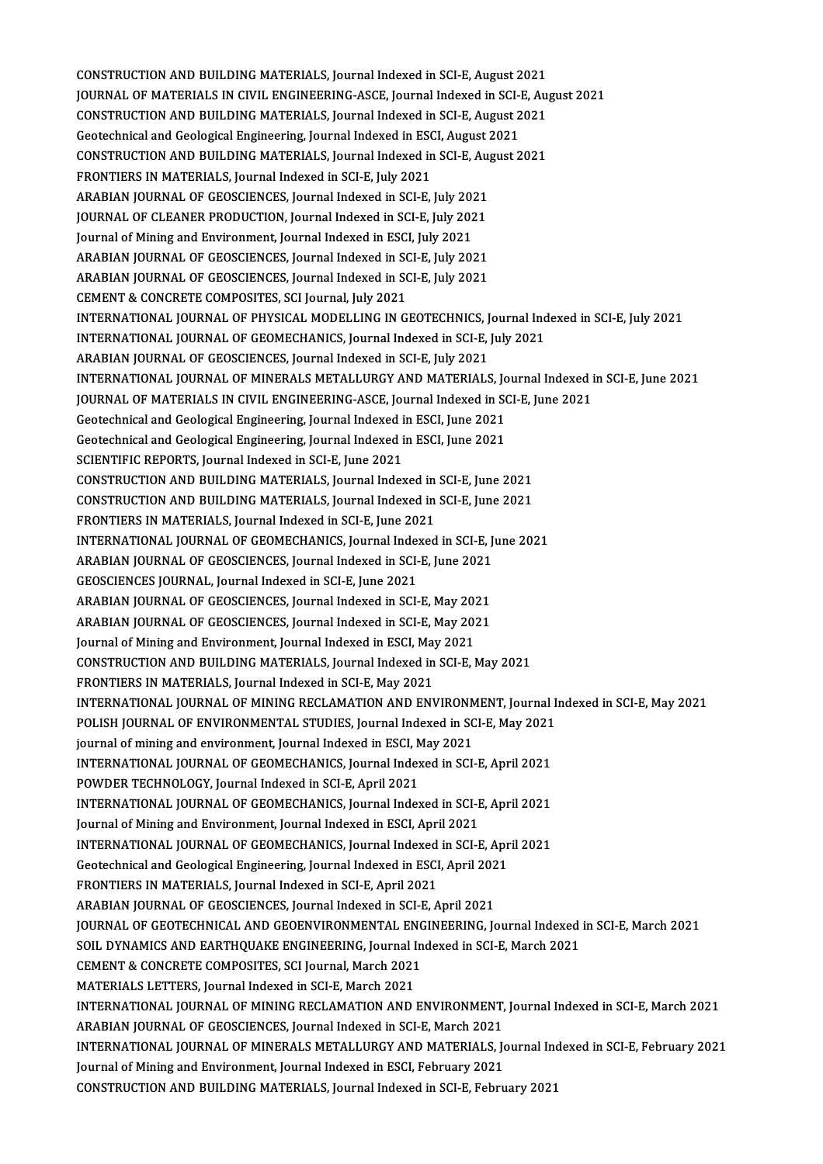CONSTRUCTION AND BUILDING MATERIALS, Journal Indexed in SCI-E, August 2021<br>JOURNAL OF MATERIALS IN CIVIL ENCINEERING ASSE Journal Indexed in SSI E. Au CONSTRUCTION AND BUILDING MATERIALS, Journal Indexed in SCI-E, August 2021<br>JOURNAL OF MATERIALS IN CIVIL ENGINEERING-ASCE, Journal Indexed in SCI-E, August 2021<br>CONSTRUCTION AND RUU DING MATERIALS, Journal Indexed in SCLE, CONSTRUCTION AND BUILDING MATERIALS, Journal Indexed in SCI-E, August 2021<br>JOURNAL OF MATERIALS IN CIVIL ENGINEERING-ASCE, Journal Indexed in SCI-E, August<br>CONSTRUCTION AND BUILDING MATERIALS, Journal Indexed in SCI-E, Aug JOURNAL OF MATERIALS IN CIVIL ENGINEERING-ASCE, Journal Indexed in SCI-<br>CONSTRUCTION AND BUILDING MATERIALS, Journal Indexed in SCI-E, August 2<br>Geotechnical and Geological Engineering, Journal Indexed in ESCI, August 2021<br> CONSTRUCTION AND BUILDING MATERIALS, Journal Indexed in SCI-E, August 2021<br>Geotechnical and Geological Engineering, Journal Indexed in ESCI, August 2021<br>CONSTRUCTION AND BUILDING MATERIALS, Journal Indexed in SCI-E, August Geotechnical and Geological Engineering, Journal Indexed in ESCI, August 2021<br>CONSTRUCTION AND BUILDING MATERIALS, Journal Indexed in SCI-E, August<br>FRONTIERS IN MATERIALS, Journal Indexed in SCI-E, July 2021 CONSTRUCTION AND BUILDING MATERIALS, Journal Indexed in SCI-E, August 2021<br>FRONTIERS IN MATERIALS, Journal Indexed in SCI-E, July 2021<br>ARABIAN JOURNAL OF GEOSCIENCES, Journal Indexed in SCI-E, July 2021<br>JOURNAL OF CLEANER FRONTIERS IN MATERIALS, Journal Indexed in SCI-E, July 2021<br>ARABIAN JOURNAL OF GEOSCIENCES, Journal Indexed in SCI-E, July 2021<br>JOURNAL OF CLEANER PRODUCTION, Journal Indexed in SCI-E, July 2021<br>Journal of Mining and Envir ARABIAN JOURNAL OF GEOSCIENCES, Journal Indexed in SCI-E, July 202<br>JOURNAL OF CLEANER PRODUCTION, Journal Indexed in SCI-E, July 202<br>Journal of Mining and Environment, Journal Indexed in SCI, July 2021<br>ARABIAN JOURNAL OF G JOURNAL OF CLEANER PRODUCTION, Journal Indexed in SCI-E, July 2021<br>Journal of Mining and Environment, Journal Indexed in ESCI, July 2021<br>ARABIAN JOURNAL OF GEOSCIENCES, Journal Indexed in SCI-E, July 2021<br>ARABIAN JOURNAL O Journal of Mining and Environment, Journal Indexed in ESCI, July 2021<br>ARABIAN JOURNAL OF GEOSCIENCES, Journal Indexed in SCI-E, July 2021<br>ARABIAN JOURNAL OF GEOSCIENCES, Journal Indexed in SCI-E, July 2021<br>CEMENT & CONCRET ARABIAN JOURNAL OF GEOSCIENCES, Journal Indexed in SC<br>ARABIAN JOURNAL OF GEOSCIENCES, Journal Indexed in SC<br>CEMENT & CONCRETE COMPOSITES, SCI Journal, July 2021<br>INTERNATIONAL JOURNAL OF BHYSICAL MODELLING IN G ARABIAN JOURNAL OF GEOSCIENCES, Journal Indexed in SCI-E, July 2021<br>CEMENT & CONCRETE COMPOSITES, SCI Journal, July 2021<br>INTERNATIONAL JOURNAL OF PHYSICAL MODELLING IN GEOTECHNICS, Journal Indexed in SCI-E, July 2021 CEMENT & CONCRETE COMPOSITES, SCI Journal, July 2021<br>INTERNATIONAL JOURNAL OF PHYSICAL MODELLING IN GEOTECHNICS, Journal Ind<br>INTERNATIONAL JOURNAL OF GEOMECHANICS, Journal Indexed in SCI-E, July 2021<br>ARAPIAN JOURNAL OF GEO INTERNATIONAL JOURNAL OF PHYSICAL MODELLING IN GEOTECHNICS, J<br>INTERNATIONAL JOURNAL OF GEOMECHANICS, Journal Indexed in SCI-E, J<br>ARABIAN JOURNAL OF GEOSCIENCES, Journal Indexed in SCI-E, July 2021<br>INTERNATIONAL JOURNAL OF INTERNATIONAL JOURNAL OF GEOMECHANICS, Journal Indexed in SCI-E, July 2021<br>ARABIAN JOURNAL OF GEOSCIENCES, Journal Indexed in SCI-E, July 2021<br>INTERNATIONAL JOURNAL OF MINERALS METALLURGY AND MATERIALS, Journal Indexed in ARABIAN JOURNAL OF GEOSCIENCES, Journal Indexed in SCI-E, July 2021<br>INTERNATIONAL JOURNAL OF MINERALS METALLURGY AND MATERIALS, Journal Indexed i<br>JOURNAL OF MATERIALS IN CIVIL ENGINEERING-ASCE, Journal Indexed in SCI-E, Ju INTERNATIONAL JOURNAL OF MINERALS METALLURGY AND MATERIALS, JoURNAL OF MATERIALS IN CIVIL ENGINEERING-ASCE, Journal Indexed in S(<br>Geotechnical and Geological Engineering, Journal Indexed in ESCI, June 2021<br>Ceotechnical and JOURNAL OF MATERIALS IN CIVIL ENGINEERING-ASCE, Journal Indexed in SO<br>Geotechnical and Geological Engineering, Journal Indexed in ESCI, June 2021<br>Geotechnical and Geological Engineering, Journal Indexed in ESCI, June 2021<br> Geotechnical and Geological Engineering, Journal Indexed i<br>Geotechnical and Geological Engineering, Journal Indexed i<br>SCIENTIFIC REPORTS, Journal Indexed in SCI-E, June 2021<br>CONSTRUCTION AND RUU DINC MATERIALS, Journal Ind Geotechnical and Geological Engineering, Journal Indexed in ESCI, June 2021<br>SCIENTIFIC REPORTS, Journal Indexed in SCI-E, June 2021<br>CONSTRUCTION AND BUILDING MATERIALS, Journal Indexed in SCI-E, June 2021<br>CONSTRUCTION AND SCIENTIFIC REPORTS, Journal Indexed in SCI-E, June 2021<br>CONSTRUCTION AND BUILDING MATERIALS, Journal Indexed in SCI-E, June 2021<br>CONSTRUCTION AND BUILDING MATERIALS, Journal Indexed in SCI-E, June 2021 FRONTIERS IN MATERIALS, Journal Indexed in SCI-E, June 2021 CONSTRUCTION AND BUILDING MATERIALS, Journal Indexed in SCI-E, June 2021<br>FRONTIERS IN MATERIALS, Journal Indexed in SCI-E, June 2021<br>INTERNATIONAL JOURNAL OF GEOMECHANICS, Journal Indexed in SCI-E, June 2021<br>ARAPIAN JOURNA FRONTIERS IN MATERIALS, Journal Indexed in SCI-E, June 2021<br>INTERNATIONAL JOURNAL OF GEOMECHANICS, Journal Indexed in SCI-E, J<br>ARABIAN JOURNAL OF GEOSCIENCES, Journal Indexed in SCI-E, June 2021<br>CEOSCIENCES JOURNAL Journal INTERNATIONAL JOURNAL OF GEOMECHANICS, Journal Index<br>ARABIAN JOURNAL OF GEOSCIENCES, Journal Indexed in SCI-<br>GEOSCIENCES JOURNAL, Journal Indexed in SCI-E, June 2021<br>ARABIAN JOURNAL OF GEOSCIENCES, Journal Indexed in SCI ARABIAN JOURNAL OF GEOSCIENCES, Journal Indexed in SCI-E, June 2021<br>GEOSCIENCES JOURNAL, Journal Indexed in SCI-E, June 2021<br>ARABIAN JOURNAL OF GEOSCIENCES, Journal Indexed in SCI-E, May 2021 ARABIAN JOURNAL OF GEOSCIENCES, Journal Indexed in SCI-E, May 2021 ARABIAN JOURNAL OF GEOSCIENCES, Journal Indexed in SCI-E, May 20.<br>ARABIAN JOURNAL OF GEOSCIENCES, Journal Indexed in SCI-E, May 20.<br>Journal of Mining and Environment, Journal Indexed in ESCI, May 2021<br>CONSTRUCTION AND RUU CONSTRUCTION AND BUILDING MATERIALS, Journal Indexed in SCI-E, May 2021<br>FRONTIERS IN MATERIALS, Journal Indexed in SCI-E, May 2021 Journal of Mining and Environment, Journal Indexed in ESCI, May<br>CONSTRUCTION AND BUILDING MATERIALS, Journal Indexed in<br>FRONTIERS IN MATERIALS, Journal Indexed in SCI-E, May 2021<br>INTERNATIONAL JOURNAL OF MINING RECLAMATION CONSTRUCTION AND BUILDING MATERIALS, Journal Indexed in SCI-E, May 2021<br>FRONTIERS IN MATERIALS, Journal Indexed in SCI-E, May 2021<br>INTERNATIONAL JOURNAL OF MINING RECLAMATION AND ENVIRONMENT, Journal Indexed in SCI-E, May FRONTIERS IN MATERIALS, Journal Indexed in SCI-E, May 2021<br>INTERNATIONAL JOURNAL OF MINING RECLAMATION AND ENVIRONMENT, Journal I<br>POLISH JOURNAL OF ENVIRONMENTAL STUDIES, Journal Indexed in SCI-E, May 2021<br>journal of minin INTERNATIONAL JOURNAL OF MINING RECLAMATION AND ENVIRONM<br>POLISH JOURNAL OF ENVIRONMENTAL STUDIES, Journal Indexed in SC<br>journal of mining and environment, Journal Indexed in ESCI, May 2021<br>INTERNATIONAL JOURNAL OF GEOMECHA POLISH JOURNAL OF ENVIRONMENTAL STUDIES, Journal Indexed in SCI-E, May 2021<br>journal of mining and environment, Journal Indexed in ESCI, May 2021<br>INTERNATIONAL JOURNAL OF GEOMECHANICS, Journal Indexed in SCI-E, April 2021<br>P **journal of mining and environment, Journal Indexed in ESCI, M**<br>INTERNATIONAL JOURNAL OF GEOMECHANICS, Journal Index<br>POWDER TECHNOLOGY, Journal Indexed in SCI-E, April 2021<br>INTERNATIONAL JOURNAL OF GEOMECHANICS, Journal In INTERNATIONAL JOURNAL OF GEOMECHANICS, Journal Indexed in SCI-E, April 2021<br>POWDER TECHNOLOGY, Journal Indexed in SCI-E, April 2021<br>INTERNATIONAL JOURNAL OF GEOMECHANICS, Journal Indexed in SCI-E, April 2021<br>Journal of Min INTERNATIONAL JOURNAL OF GEOMECHANICS, Journal Indexed in SCI-E, April 2021<br>Journal of Mining and Environment, Journal Indexed in ESCI, April 2021 INTERNATIONAL JOURNAL OF GEOMECHANICS, Journal Indexed in SCI-E, April 2021<br>Journal of Mining and Environment, Journal Indexed in ESCI, April 2021<br>INTERNATIONAL JOURNAL OF GEOMECHANICS, Journal Indexed in SCI-E, April 2021 Journal of Mining and Environment, Journal Indexed in ESCI, April 2021<br>INTERNATIONAL JOURNAL OF GEOMECHANICS, Journal Indexed in SCI-E, Apr<br>Geotechnical and Geological Engineering, Journal Indexed in ESCI, April 2021<br>ERONT INTERNATIONAL JOURNAL OF GEOMECHANICS, Journal Indexed<br>Geotechnical and Geological Engineering, Journal Indexed in ESCI<br>FRONTIERS IN MATERIALS, Journal Indexed in SCI-E, April 2021<br>ARAPIAN JOURNAL OF CEOSCIENCES, Journal I Geotechnical and Geological Engineering, Journal Indexed in ESCI, April 2021<br>FRONTIERS IN MATERIALS, Journal Indexed in SCI-E, April 2021<br>ARABIAN JOURNAL OF GEOSCIENCES, Journal Indexed in SCI-E, April 2021 FRONTIERS IN MATERIALS, Journal Indexed in SCI-E, April 2021<br>ARABIAN JOURNAL OF GEOSCIENCES, Journal Indexed in SCI-E, April 2021<br>JOURNAL OF GEOTECHNICAL AND GEOENVIRONMENTAL ENGINEERING, Journal Indexed in SCI-E, March 20 ARABIAN JOURNAL OF GEOSCIENCES, Journal Indexed in SCI-E, April 2021<br>JOURNAL OF GEOTECHNICAL AND GEOENVIRONMENTAL ENGINEERING, Journal Indexed<br>SOIL DYNAMICS AND EARTHQUAKE ENGINEERING, Journal Indexed in SCI-E, March 2021<br> JOURNAL OF GEOTECHNICAL AND GEOENVIRONMENTAL ENC<br>SOIL DYNAMICS AND EARTHQUAKE ENGINEERING, Journal In<br>CEMENT & CONCRETE COMPOSITES, SCI Journal, March 2021<br>MATERIALS LETTERS, Journal Indoved in SCLE, March 2021 SOIL DYNAMICS AND EARTHQUAKE ENGINEERING, Journal Indexed in SCI-E, March 2021<br>CEMENT & CONCRETE COMPOSITES, SCI Journal, March 2021<br>MATERIALS LETTERS, Journal Indexed in SCI-E, March 2021 CEMENT & CONCRETE COMPOSITES, SCI Journal, March 2021<br>MATERIALS LETTERS, Journal Indexed in SCI-E, March 2021<br>INTERNATIONAL JOURNAL OF MINING RECLAMATION AND ENVIRONMENT, Journal Indexed in SCI-E, March 2021<br>ARAPIAN JOURNA MATERIALS LETTERS, Journal Indexed in SCI-E, March 2021<br>INTERNATIONAL JOURNAL OF MINING RECLAMATION AND ENVIRONMENT,<br>ARABIAN JOURNAL OF GEOSCIENCES, Journal Indexed in SCI-E, March 2021<br>INTERNATIONAL JOURNAL OF MINERALS ME INTERNATIONAL JOURNAL OF MINING RECLAMATION AND ENVIRONMENT, Journal Indexed in SCI-E, March 2021<br>ARABIAN JOURNAL OF GEOSCIENCES, Journal Indexed in SCI-E, March 2021<br>INTERNATIONAL JOURNAL OF MINERALS METALLURGY AND MATERI ARABIAN JOURNAL OF GEOSCIENCES, Journal Indexed in SCI-E, March 2021<br>INTERNATIONAL JOURNAL OF MINERALS METALLURGY AND MATERIALS, Journal Indexed in SCI-E, February 2021<br>Journal of Mining and Environment, Journal Indexed in CONSTRUCTION AND BUILDING MATERIALS, Journal Indexed in SCI-E, February 2021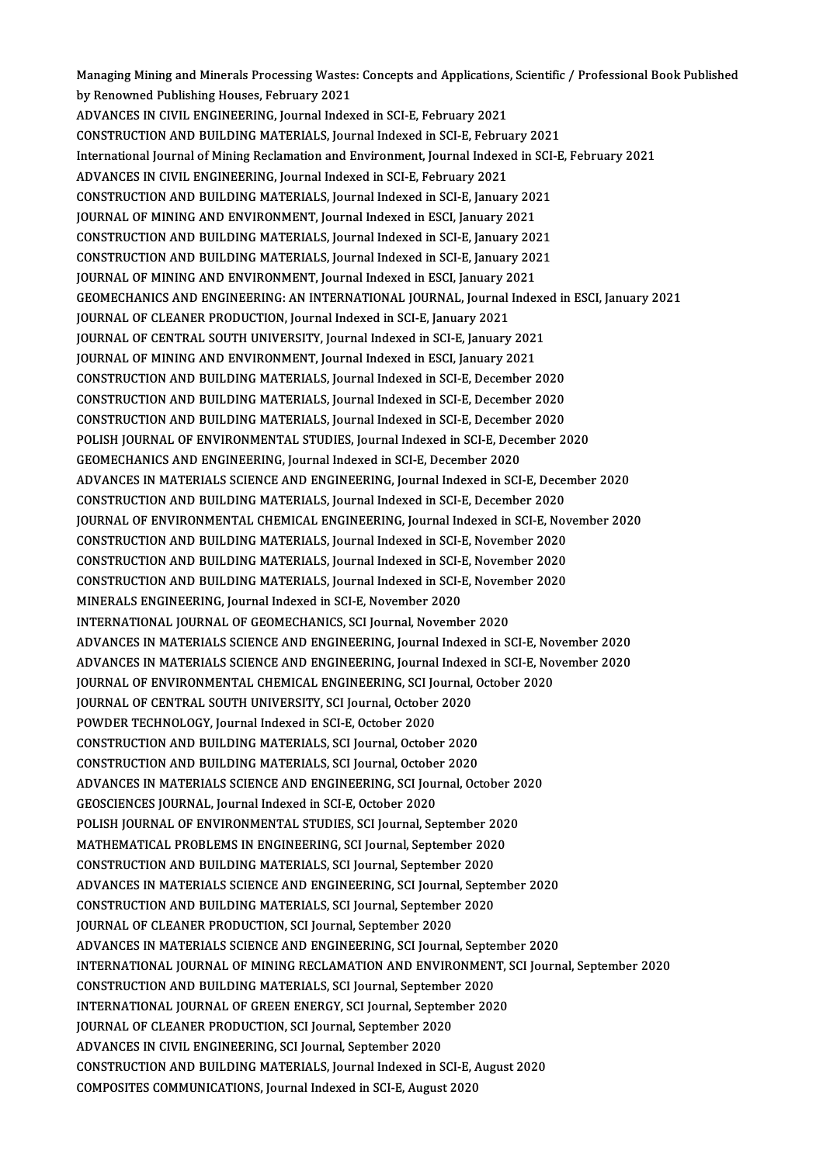Managing Mining and Minerals Processing Wastes: Concepts and Applications, Scientific / Professional Book Published<br>by Ranaymed Publishing Houses, February 2021 Managing Mining and Minerals Processing Wastes<br>by Renowned Publishing Houses, February 2021<br>ADVANCES IN CIVIL ENCINEERING Journal Indon Managing Mining and Minerals Processing Wastes: Concepts and Applications,<br>by Renowned Publishing Houses, February 2021<br>ADVANCES IN CIVIL ENGINEERING, Journal Indexed in SCI-E, February 2021<br>CONSTRUCTION AND RUU DING MATER

by Renowned Publishing Houses, February 2021<br>ADVANCES IN CIVIL ENGINEERING, Journal Indexed in SCI-E, February 2021<br>CONSTRUCTION AND BUILDING MATERIALS, Journal Indexed in SCI-E, February 2021<br>International Journal of Mini ADVANCES IN CIVIL ENGINEERING, Journal Indexed in SCI-E, February 2021<br>CONSTRUCTION AND BUILDING MATERIALS, Journal Indexed in SCI-E, February 2021<br>International Journal of Mining Reclamation and Environment, Journal Index CONSTRUCTION AND BUILDING MATERIALS, Journal Indexed in SCI-E, February<br>International Journal of Mining Reclamation and Environment, Journal Indexe<br>ADVANCES IN CIVIL ENGINEERING, Journal Indexed in SCI-E, February 2021<br>CON International Journal of Mining Reclamation and Environment, Journal Indexed in SCI-<br>ADVANCES IN CIVIL ENGINEERING, Journal Indexed in SCI-E, February 2021<br>CONSTRUCTION AND BUILDING MATERIALS, Journal Indexed in SCI-E, Jan ADVANCES IN CIVIL ENGINEERING, Journal Indexed in SCI-E, February 2021<br>CONSTRUCTION AND BUILDING MATERIALS, Journal Indexed in SCI-E, January 202<br>JOURNAL OF MINING AND ENVIRONMENT, Journal Indexed in ESCI, January 2021<br>CON CONSTRUCTION AND BUILDING MATERIALS, Journal Indexed in SCI-E, January 2021<br>JOURNAL OF MINING AND ENVIRONMENT, Journal Indexed in ESCI, January 2021<br>CONSTRUCTION AND BUILDING MATERIALS, Journal Indexed in SCI-E, January 20 JOURNAL OF MINING AND ENVIRONMENT, Journal Indexed in ESCI, January 2021<br>CONSTRUCTION AND BUILDING MATERIALS, Journal Indexed in SCI-E, January 2021<br>CONSTRUCTION AND BUILDING MATERIALS, Journal Indexed in SCI-E, January 20 CONSTRUCTION AND BUILDING MATERIALS, Journal Indexed in SCI-E, January 202<br>CONSTRUCTION AND BUILDING MATERIALS, Journal Indexed in SCI-E, January 202<br>JOURNAL OF MINING AND ENVIRONMENT, Journal Indexed in ESCI, January 2021 GEOMECHANICS AND ENGINEERING: AN INTERNATIONAL JOURNAL, Journal Indexed in ESCI, January 2021<br>JOURNAL OF CLEANER PRODUCTION, Journal Indexed in SCI-E, January 2021 JOURNAL OF MINING AND ENVIRONMENT, Journal Indexed in ESCI, January 2021 GEOMECHANICS AND ENGINEERING: AN INTERNATIONAL JOURNAL, Journal Indexe<br>JOURNAL OF CLEANER PRODUCTION, Journal Indexed in SCI-E, January 2021<br>JOURNAL OF CENTRAL SOUTH UNIVERSITY, Journal Indexed in SCI-E, January 2021<br>JOURN JOURNAL OF CLEANER PRODUCTION, Journal Indexed in SCI-E, January 2021<br>JOURNAL OF CENTRAL SOUTH UNIVERSITY, Journal Indexed in SCI-E, January 2021<br>JOURNAL OF MINING AND ENVIRONMENT, Journal Indexed in ESCI, January 2021<br>CON JOURNAL OF CENTRAL SOUTH UNIVERSITY, Journal Indexed in SCI-E, January 2021<br>JOURNAL OF MINING AND ENVIRONMENT, Journal Indexed in ESCI, January 2021<br>CONSTRUCTION AND BUILDING MATERIALS, Journal Indexed in SCI-E, December 2 JOURNAL OF MINING AND ENVIRONMENT, Journal Indexed in ESCI, January 2021<br>CONSTRUCTION AND BUILDING MATERIALS, Journal Indexed in SCI-E, December 2020<br>CONSTRUCTION AND BUILDING MATERIALS, Journal Indexed in SCI-E, December CONSTRUCTION AND BUILDING MATERIALS, Journal Indexed in SCI-E, December 2020<br>CONSTRUCTION AND BUILDING MATERIALS, Journal Indexed in SCI-E, December 2020<br>CONSTRUCTION AND BUILDING MATERIALS, Journal Indexed in SCI-E, Decem CONSTRUCTION AND BUILDING MATERIALS, Journal Indexed in SCI-E, December 2020<br>POLISH JOURNAL OF ENVIRONMENTAL STUDIES, Journal Indexed in SCI-E, December 2020 GEOMECHANICS AND ENGINEERING, Journal Indexed in SCI-E, December 2020 POLISH JOURNAL OF ENVIRONMENTAL STUDIES, Journal Indexed in SCI-E, December 2020<br>GEOMECHANICS AND ENGINEERING, Journal Indexed in SCI-E, December 2020<br>ADVANCES IN MATERIALS SCIENCE AND ENGINEERING, Journal Indexed in SCI-E GEOMECHANICS AND ENGINEERING, Journal Indexed in SCI-E, December 2020<br>ADVANCES IN MATERIALS SCIENCE AND ENGINEERING, Journal Indexed in SCI-E, Decem<br>CONSTRUCTION AND BUILDING MATERIALS, Journal Indexed in SCI-E, December 2 CONSTRUCTION AND BUILDING MATERIALS, Journal Indexed in SCI-E, December 2020<br>JOURNAL OF ENVIRONMENTAL CHEMICAL ENGINEERING, Journal Indexed in SCI-E, November 2020 CONSTRUCTION AND BUILDING MATERIALS, Journal Indexed in SCI-E, December 2020<br>JOURNAL OF ENVIRONMENTAL CHEMICAL ENGINEERING, Journal Indexed in SCI-E, Nov<br>CONSTRUCTION AND BUILDING MATERIALS, Journal Indexed in SCI-E, Novem JOURNAL OF ENVIRONMENTAL CHEMICAL ENGINEERING, Journal Indexed in SCI-E, November<br>CONSTRUCTION AND BUILDING MATERIALS, Journal Indexed in SCI-E, November 2020<br>CONSTRUCTION AND BUILDING MATERIALS, Journal Indexed in SCI-E, CONSTRUCTION AND BUILDING MATERIALS, Journal Indexed in SCI-E, November 2020<br>CONSTRUCTION AND BUILDING MATERIALS, Journal Indexed in SCI-E, November 2020<br>CONSTRUCTION AND BUILDING MATERIALS, Journal Indexed in SCI-E, Novem CONSTRUCTION AND BUILDING MATERIALS, Journal Indexed in SCI-I<br>CONSTRUCTION AND BUILDING MATERIALS, Journal Indexed in SCI-<br>MINERALS ENGINEERING, Journal Indexed in SCI-E, November 2020<br>INTERNATIONAL JOURNAL OF CEOMECHANICS CONSTRUCTION AND BUILDING MATERIALS, Journal Indexed in SCI-E, Novem<br>MINERALS ENGINEERING, Journal Indexed in SCI-E, November 2020<br>INTERNATIONAL JOURNAL OF GEOMECHANICS, SCI Journal, November 2020<br>ADVANCES IN MATERIALS SCI MINERALS ENGINEERING, Journal Indexed in SCI-E, November 2020<br>INTERNATIONAL JOURNAL OF GEOMECHANICS, SCI Journal, November 2020<br>ADVANCES IN MATERIALS SCIENCE AND ENGINEERING, Journal Indexed in SCI-E, November 2020<br>ADVANCE INTERNATIONAL JOURNAL OF GEOMECHANICS, SCI Journal, November 2020<br>ADVANCES IN MATERIALS SCIENCE AND ENGINEERING, Journal Indexed in SCI-E, November 2020<br>ADVANCES IN MATERIALS SCIENCE AND ENGINEERING, Journal Indexed in SCI ADVANCES IN MATERIALS SCIENCE AND ENGINEERING, Journal Indexed in SCI-E, Nov<br>ADVANCES IN MATERIALS SCIENCE AND ENGINEERING, Journal Indexed in SCI-E, Nov<br>JOURNAL OF ENVIRONMENTAL CHEMICAL ENGINEERING, SCI Journal, October ADVANCES IN MATERIALS SCIENCE AND ENGINEERING, Journal Index<br>JOURNAL OF ENVIRONMENTAL CHEMICAL ENGINEERING, SCI Journal,<br>JOURNAL OF CENTRAL SOUTH UNIVERSITY, SCI Journal, October 2020<br>POWDER TECUNOLOCY, Journal Indexed in JOURNAL OF ENVIRONMENTAL CHEMICAL ENGINEERING, SCI Journal Of CENTRAL SOUTH UNIVERSITY, SCI Journal, October<br>POWDER TECHNOLOGY, Journal Indexed in SCI-E, October 2020<br>CONSTRUCTION AND RUILDING MATERIALS, SCI Journal Octobe JOURNAL OF CENTRAL SOUTH UNIVERSITY, SCI Journal, October 2020<br>POWDER TECHNOLOGY, Journal Indexed in SCI-E, October 2020<br>CONSTRUCTION AND BUILDING MATERIALS, SCI Journal, October 2020<br>CONSTRUCTION AND BUILDING MATERIALS, S POWDER TECHNOLOGY, Journal Indexed in SCI-E, October 2020<br>CONSTRUCTION AND BUILDING MATERIALS, SCI Journal, October 2020<br>CONSTRUCTION AND BUILDING MATERIALS, SCI Journal, October 2020<br>ADVANCES IN MATERIALS SCIENCE AND ENCI CONSTRUCTION AND BUILDING MATERIALS, SCI Journal, October 2020<br>CONSTRUCTION AND BUILDING MATERIALS, SCI Journal, October 2020<br>ADVANCES IN MATERIALS SCIENCE AND ENGINEERING, SCI Journal, October 2020<br>CEOSCIENCES JOURNAL Jou CONSTRUCTION AND BUILDING MATERIALS, SCI Journal, Octobe<br>ADVANCES IN MATERIALS SCIENCE AND ENGINEERING, SCI Journal<br>GEOSCIENCES JOURNAL, Journal Indexed in SCI-E, October 2020<br>POLISH JOURNAL OF ENVIRONMENTAL STUDIES, SCI J ADVANCES IN MATERIALS SCIENCE AND ENGINEERING, SCI Journal, October 20<br>GEOSCIENCES JOURNAL, Journal Indexed in SCI-E, October 2020<br>POLISH JOURNAL OF ENVIRONMENTAL STUDIES, SCI Journal, September 2020<br>MATHEMATICAL PROPLEMS GEOSCIENCES JOURNAL, Journal Indexed in SCI-E, October 2020<br>POLISH JOURNAL OF ENVIRONMENTAL STUDIES, SCI Journal, September 202<br>MATHEMATICAL PROBLEMS IN ENGINEERING, SCI Journal, September 2020<br>CONSTRUCTION AND RUILDING MA POLISH JOURNAL OF ENVIRONMENTAL STUDIES, SCI Journal, September 2020<br>MATHEMATICAL PROBLEMS IN ENGINEERING, SCI Journal, September 202<br>CONSTRUCTION AND BUILDING MATERIALS, SCI Journal, September 2020<br>ADVANCES IN MATERIALS S MATHEMATICAL PROBLEMS IN ENGINEERING, SCI Journal, September 2020<br>CONSTRUCTION AND BUILDING MATERIALS, SCI Journal, September 2020<br>ADVANCES IN MATERIALS SCIENCE AND ENGINEERING, SCI Journal, September 2020<br>CONSTRUCTION AND CONSTRUCTION AND BUILDING MATERIALS, SCI Journal, September 2020<br>ADVANCES IN MATERIALS SCIENCE AND ENGINEERING, SCI Journal, September<br>CONSTRUCTION AND BUILDING MATERIALS, SCI Journal, September 2020<br>JOURNAL OF CLEANER PRO ADVANCES IN MATERIALS SCIENCE AND ENGINEERING, SCI Journa<br>CONSTRUCTION AND BUILDING MATERIALS, SCI Journal, Septembe<br>JOURNAL OF CLEANER PRODUCTION, SCI Journal, September 2020<br>ADVANCES IN MATERIALS SCIENCE AND ENCINEERING, CONSTRUCTION AND BUILDING MATERIALS, SCI Journal, September 2020<br>JOURNAL OF CLEANER PRODUCTION, SCI Journal, September 2020<br>ADVANCES IN MATERIALS SCIENCE AND ENGINEERING, SCI Journal, September 2020<br>INTERNATIONAL JOURNAL O IOURNAL OF CLEANER PRODUCTION, SCI Journal, September 2020<br>ADVANCES IN MATERIALS SCIENCE AND ENGINEERING, SCI Journal, September 2020<br>INTERNATIONAL JOURNAL OF MINING RECLAMATION AND ENVIRONMENT, SCI Journal, September 2020 ADVANCES IN MATERIALS SCIENCE AND ENGINEERING, SCI Journal, September 1997<br>INTERNATIONAL JOURNAL OF MINING RECLAMATION AND ENVIRONMENT<br>CONSTRUCTION AND BUILDING MATERIALS, SCI Journal, September 2020<br>INTERNATIONAL JOURNAL INTERNATIONAL JOURNAL OF MINING RECLAMATION AND ENVIRONMENT, S<br>CONSTRUCTION AND BUILDING MATERIALS, SCI Journal, September 2020<br>INTERNATIONAL JOURNAL OF GREEN ENERGY, SCI Journal, September 2020<br>JOURNAL OF CLEANER RRODUCTI CONSTRUCTION AND BUILDING MATERIALS, SCI Journal, Septembe<br>INTERNATIONAL JOURNAL OF GREEN ENERGY, SCI Journal, Septem<br>JOURNAL OF CLEANER PRODUCTION, SCI Journal, September 2020<br>ADVANGES IN CIVIL ENCINEERING, SCI Journal, S INTERNATIONAL JOURNAL OF GREEN ENERGY, SCI Journal, Septe<br>JOURNAL OF CLEANER PRODUCTION, SCI Journal, September 2020<br>ADVANCES IN CIVIL ENGINEERING, SCI Journal, September 2020<br>CONSTRUCTION AND RUU DINC MATERIALS, Journal I JOURNAL OF CLEANER PRODUCTION, SCI Journal, September 2020<br>ADVANCES IN CIVIL ENGINEERING, SCI Journal, September 2020<br>CONSTRUCTION AND BUILDING MATERIALS, Journal Indexed in SCI-E, August 2020<br>COMPOSITES COMMINICATIONS, Jo ADVANCES IN CIVIL ENGINEERING, SCI Journal, September 2020<br>CONSTRUCTION AND BUILDING MATERIALS, Journal Indexed in SCI-E, *A*<br>COMPOSITES COMMUNICATIONS, Journal Indexed in SCI-E, August 2020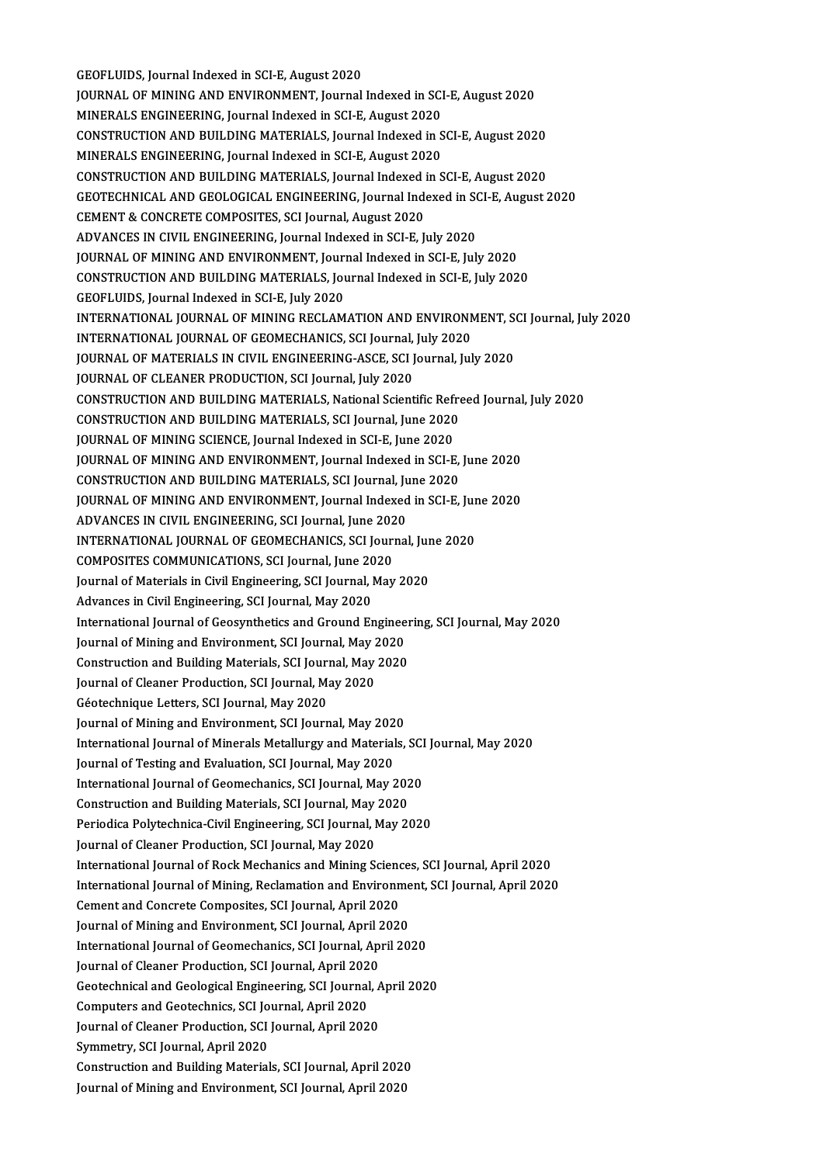GEOFLUIDS, Journal Indexed in SCI-E, August 2020 GEOFLUIDS, Journal Indexed in SCI-E, August 2020<br>JOURNAL OF MINING AND ENVIRONMENT, Journal Indexed in SCI-E, August 2020<br>MINERALS ENCINEERING Journal Indoved in SCLE, August 2020 GEOFLUIDS, Journal Indexed in SCI-E, August 2020<br>JOURNAL OF MINING AND ENVIRONMENT, Journal Indexed in SCI<br>MINERALS ENGINEERING, Journal Indexed in SCI-E, August 2020<br>CONSTRUCTION AND RUU DING MATERIALS, Journal Indexed in JOURNAL OF MINING AND ENVIRONMENT, Journal Indexed in SCI-E, August 2020<br>MINERALS ENGINEERING, Journal Indexed in SCI-E, August 2020<br>CONSTRUCTION AND BUILDING MATERIALS, Journal Indexed in SCI-E, August 2020<br>MINERALS ENGIN MINERALS ENGINEERING, Journal Indexed in SCI-E, August 2020<br>CONSTRUCTION AND BUILDING MATERIALS, Journal Indexed in S<br>MINERALS ENGINEERING, Journal Indexed in SCI-E, August 2020<br>CONSTRUCTION AND RUU DINC MATERIALS, Journal CONSTRUCTION AND BUILDING MATERIALS, Journal Indexed in SCI-E, August 2020<br>MINERALS ENGINEERING, Journal Indexed in SCI-E, August 2020<br>CONSTRUCTION AND BUILDING MATERIALS, Journal Indexed in SCI-E, August 2020<br>CEOTECHNICAL MINERALS ENGINEERING, Journal Indexed in SCI-E, August 2020<br>CONSTRUCTION AND BUILDING MATERIALS, Journal Indexed in SCI-E, August 2020<br>GEOTECHNICAL AND GEOLOGICAL ENGINEERING, Journal Indexed in SCI-E, August 2020<br>CEMENT & CONSTRUCTION AND BUILDING MATERIALS, Journal Indexed in<br>GEOTECHNICAL AND GEOLOGICAL ENGINEERING, Journal Index<br>CEMENT & CONCRETE COMPOSITES, SCI Journal, August 2020<br>ADVANCES IN CIVIL ENCINEERING, Journal Indexed in SCLE, GEOTECHNICAL AND GEOLOGICAL ENGINEERING, Journal Indexed in SC<br>CEMENT & CONCRETE COMPOSITES, SCI Journal, August 2020<br>ADVANCES IN CIVIL ENGINEERING, Journal Indexed in SCI-E, July 2020<br>JOURNAL OF MINING AND ENVIRONMENT, Jo CEMENT & CONCRETE COMPOSITES, SCI Journal, August 2020<br>ADVANCES IN CIVIL ENGINEERING, Journal Indexed in SCI-E, July 2020<br>JOURNAL OF MINING AND ENVIRONMENT, Journal Indexed in SCI-E, July 2020<br>CONSTRUCTION AND RUU DINC MAT ADVANCES IN CIVIL ENGINEERING, Journal Indexed in SCI-E, July 2020<br>JOURNAL OF MINING AND ENVIRONMENT, Journal Indexed in SCI-E, July 2020<br>CONSTRUCTION AND BUILDING MATERIALS, Journal Indexed in SCI-E, July 2020<br>CEOELUIDS, JOURNAL OF MINING AND ENVIRONMENT, Journal<br>CONSTRUCTION AND BUILDING MATERIALS, Journal Indexed in SCI-E, July 2020<br>INTERNATIONAL JOURNAL OF MINING RECLAM CONSTRUCTION AND BUILDING MATERIALS, Journal Indexed in SCI-E, July 2020<br>GEOFLUIDS, Journal Indexed in SCI-E, July 2020<br>INTERNATIONAL JOURNAL OF MINING RECLAMATION AND ENVIRONMENT, SCI Journal, July 2020 GEOFLUIDS, Journal Indexed in SCI-E, July 2020<br>INTERNATIONAL JOURNAL OF MINING RECLAMATION AND ENVIRONN<br>INTERNATIONAL JOURNAL OF GEOMECHANICS, SCI Journal, July 2020<br>JOURNAL OF MATERIALS IN CIVIL ENCINEERING ASCE SCI Journ JOURNAL OF MATERIALS IN CIVIL ENGINEERING-ASCE, SCI Journal, July 2020<br>JOURNAL OF CLEANER PRODUCTION, SCI Journal, July 2020 INTERNATIONAL JOURNAL OF GEOMECHANICS, SCI Journal,<br>JOURNAL OF MATERIALS IN CIVIL ENGINEERING-ASCE, SCI J<br>JOURNAL OF CLEANER PRODUCTION, SCI Journal, July 2020<br>CONSTRUCTION AND RUU DINC MATERIALS, National Scient JOURNAL OF MATERIALS IN CIVIL ENGINEERING-ASCE, SCI Journal, July 2020<br>JOURNAL OF CLEANER PRODUCTION, SCI Journal, July 2020<br>CONSTRUCTION AND BUILDING MATERIALS, National Scientific Refreed Journal, July 2020<br>CONSTRUCTION JOURNAL OF CLEANER PRODUCTION, SCI Journal, July 2020<br>CONSTRUCTION AND BUILDING MATERIALS, National Scientific Refre<br>CONSTRUCTION AND BUILDING MATERIALS, SCI Journal, June 2020<br>JOURNAL OF MINING SCIENCE Journal Indoved in CONSTRUCTION AND BUILDING MATERIALS, National Scientific Reficonstruction and Building Materials, SCI Journal, June 2020<br>JOURNAL OF MINING SCIENCE, Journal Indexed in SCI-E, June 2020<br>JOURNAL OF MINING AND ENVIRONMENT Jour CONSTRUCTION AND BUILDING MATERIALS, SCI Journal, June 2020<br>JOURNAL OF MINING SCIENCE, Journal Indexed in SCI-E, June 2020<br>JOURNAL OF MINING AND ENVIRONMENT, Journal Indexed in SCI-E, June 2020<br>CONSTRUCTION AND BUILDING MA JOURNAL OF MINING SCIENCE, Journal Indexed in SCI-E, June 2020<br>JOURNAL OF MINING AND ENVIRONMENT, Journal Indexed in SCI-E,<br>CONSTRUCTION AND BUILDING MATERIALS, SCI Journal, June 2020<br>JOURNAL OF MINING AND ENVIRONMENT, Jou JOURNAL OF MINING AND ENVIRONMENT, Journal Indexed in SCI-E, June 2020<br>CONSTRUCTION AND BUILDING MATERIALS, SCI Journal, June 2020<br>JOURNAL OF MINING AND ENVIRONMENT, Journal Indexed in SCI-E, June 2020<br>ADVANCES IN CIVIL EN CONSTRUCTION AND BUILDING MATERIALS, SCI Journal, June 2020<br>JOURNAL OF MINING AND ENVIRONMENT, Journal Indexed in SCI-E, June 2020 JOURNAL OF MINING AND ENVIRONMENT, Journal Indexed in SCI-E, Jur<br>ADVANCES IN CIVIL ENGINEERING, SCI Journal, June 2020<br>INTERNATIONAL JOURNAL OF GEOMECHANICS, SCI Journal, June 2020<br>COMPOSITES COMMINICATIONS, SCI Journal Ju ADVANCES IN CIVIL ENGINEERING, SCI Journal, June 2020<br>INTERNATIONAL JOURNAL OF GEOMECHANICS, SCI Journa<br>COMPOSITES COMMUNICATIONS, SCI Journal, June 2020 INTERNATIONAL JOURNAL OF GEOMECHANICS, SCI Journal, Jur<br>COMPOSITES COMMUNICATIONS, SCI Journal, June 2020<br>Journal of Materials in Civil Engineering, SCI Journal, May 2020<br>Advances in Civil Engineering, SCI Journal, May 202 Journal of Materials in Civil Engineering, SCI Journal, May 2020<br>Advances in Civil Engineering, SCI Journal, May 2020 International Journal of Geosynthetics and Ground Engineering, SCI Journal, May 2020 Advances in Civil Engineering, SCI Journal, May 2020<br>International Journal of Geosynthetics and Ground Enginee<br>Journal of Mining and Environment, SCI Journal, May 2020<br>Construction and Puilding Materials, SCI Journal, May International Journal of Geosynthetics and Ground Engineer<br>Journal of Mining and Environment, SCI Journal, May 2020<br>Construction and Building Materials, SCI Journal, May 2020<br>Journal of Cleaner Production, SCI Journal, May Journal of Mining and Environment, SCI Journal, May 2<br>Construction and Building Materials, SCI Journal, May<br>Journal of Cleaner Production, SCI Journal, May 2020<br>Céstesbnique Lettere, SCI Journal, May 2020 Construction and Building Materials, SCI Journal, May 2020<br>Journal of Cleaner Production, SCI Journal, May 2020<br>Géotechnique Letters, SCI Journal, May 2020 Journal of Cleaner Production, SCI Journal, May 2020<br>Géotechnique Letters, SCI Journal, May 2020<br>Journal of Mining and Environment, SCI Journal, May 2020<br>International Journal of Minerals Metallurgy and Metarials International Journal of Minerals Metallurgy and Materials, SCI Journal, May 2020<br>Journal of Testing and Evaluation, SCI Journal, May 2020 Journal of Mining and Environment, SCI Journal, May 202<br>International Journal of Minerals Metallurgy and Material<br>Journal of Testing and Evaluation, SCI Journal, May 2020<br>International Journal of Coomesbonise, SCI Journal, International Journal of Minerals Metallurgy and Materials, SCI<br>Journal of Testing and Evaluation, SCI Journal, May 2020<br>International Journal of Geomechanics, SCI Journal, May 2020<br>Construction and Building Materials, SCI Journal of Testing and Evaluation, SCI Journal, May 2020<br>International Journal of Geomechanics, SCI Journal, May 202<br>Construction and Building Materials, SCI Journal, May 2020<br>Periodica Polytechnics Civil Engineering, SCI International Journal of Geomechanics, SCI Journal, May 2020<br>Construction and Building Materials, SCI Journal, May 2020<br>Periodica Polytechnica-Civil Engineering, SCI Journal, May 2020<br>Journal of Cleaner Production, SCI Jou Construction and Building Materials, SCI Journal, May<br>Periodica Polytechnica-Civil Engineering, SCI Journal, I<br>Journal of Cleaner Production, SCI Journal, May 2020<br>International Journal of Bock Meshanics and Mining S Journal of Cleaner Production, SCI Journal, May 2020<br>International Journal of Rock Mechanics and Mining Sciences, SCI Journal, April 2020 Journal of Cleaner Production, SCI Journal, May 2020<br>International Journal of Rock Mechanics and Mining Sciences, SCI Journal, April 2020<br>International Journal of Mining, Reclamation and Environment, SCI Journal, April 202 International Journal of Rock Mechanics and Mining Sciency<br>International Journal of Mining, Reclamation and Environn<br>Cement and Concrete Composites, SCI Journal, April 2020<br>Journal of Mining and Environment, SCI Journal, A International Journal of Mining, Reclamation and Environme<br>Cement and Concrete Composites, SCI Journal, April 2020<br>Journal of Mining and Environment, SCI Journal, April 2020<br>International Journal of Coompohenies, SCI Journ Cement and Concrete Composites, SCI Journal, April 2020<br>Journal of Mining and Environment, SCI Journal, April 2020<br>International Journal of Geomechanics, SCI Journal, April 2020<br>Journal of Cleaner Production, SCI Journal, Journal of Mining and Environment, SCI Journal, April 2<br>International Journal of Geomechanics, SCI Journal, Ap<br>Journal of Cleaner Production, SCI Journal, April 2020<br>Costesbrissl and Coological Engineering, SCI Journal, 4 International Journal of Geomechanics, SCI Journal, April 2020<br>Journal of Cleaner Production, SCI Journal, April 2020<br>Geotechnical and Geological Engineering, SCI Journal, April 2020<br>Computers and Ceotechnics, SCI Journal, Journal of Cleaner Production, SCI Journal, April 2020<br>Geotechnical and Geological Engineering, SCI Journal,<br>Computers and Geotechnics, SCI Journal, April 2020<br>Journal of Cleaner Production, SCI Journal, April 2020 Geotechnical and Geological Engineering, SCI Journal, A<br>Computers and Geotechnics, SCI Journal, April 2020<br>Journal of Cleaner Production, SCI Journal, April 2020<br>Symmetry, SCI Journal, April 2020 Computers and Geotechnics, SCI Journal, April 2020<br>Journal of Cleaner Production, SCI Journal, April 202<br>Symmetry, SCI Journal, April 2020 Journal of Cleaner Production, SCI Journal, April 2020<br>Symmetry, SCI Journal, April 2020<br>Construction and Building Materials, SCI Journal, April 2020<br>Journal of Mining and Environment, SCI Journal, April 2020 Symmetry, SCI Journal, April 2020<br>Construction and Building Materials, SCI Journal, April 2020<br>Journal of Mining and Environment, SCI Journal, April 2020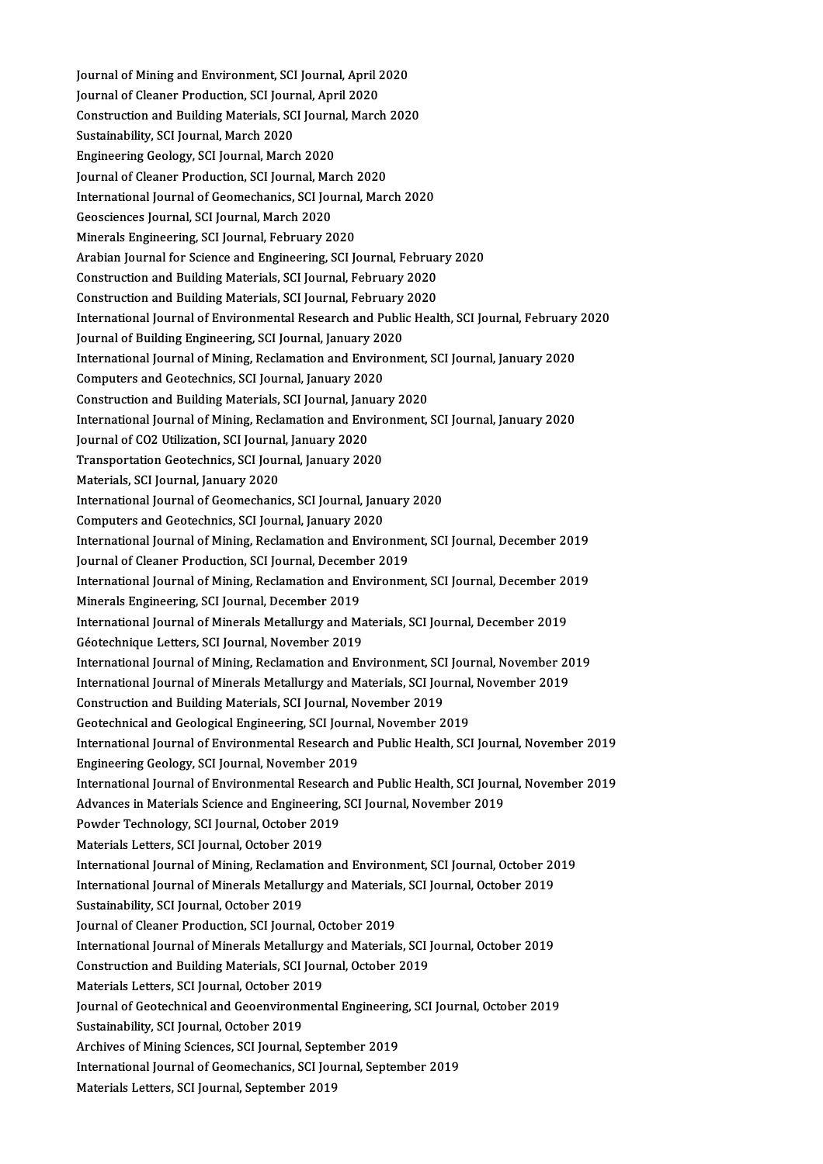Journal of Mining and Environment, SCI Journal, April 2020<br>Journal of Cleaner Production, SCI Journal, April 2020 Journal of Mining and Environment, SCI Journal, April 2<br>Journal of Cleaner Production, SCI Journal, April 2020<br>Construction and Building Materials, SCI Journal, Marck Journal of Mining and Environment, SCI Journal, April 2020<br>Journal of Cleaner Production, SCI Journal, April 2020<br>Construction and Building Materials, SCI Journal, March 2020<br>Sustainshility, SCI Journal, March 2020 Journal of Cleaner Production, SCI Journal, April 2020<br>Construction and Building Materials, SCI Journal, March 2020<br>Sustainability, SCI Journal, March 2020 Engineering Geology, SCI Journal, March 2020 Journal of Cleaner Production, SCI Journal, March 2020 Engineering Geology, SCI Journal, March 2020<br>Journal of Cleaner Production, SCI Journal, March 2020<br>International Journal of Geomechanics, SCI Journal, March 2020<br>Coossianses Journal, SCI Journal, March 2020 Journal of Cleaner Production, SCI Journal, Ma<br>International Journal of Geomechanics, SCI Jou<br>Geosciences Journal, SCI Journal, March 2020<br>Minerals Engineering, SCI Journal, Eebruary 24 International Journal of Geomechanics, SCI Journal<br>Geosciences Journal, SCI Journal, March 2020<br>Minerals Engineering, SCI Journal, February 2020<br>Arabian Journal for Science and Engineering, SCI J Geosciences Journal, SCI Journal, March 2020<br>Minerals Engineering, SCI Journal, February 2020<br>Arabian Journal for Science and Engineering, SCI Journal, February 2020<br>Construction and Building Materials, SCI Journal, Februa Minerals Engineering, SCI Journal, February 2020<br>Arabian Journal for Science and Engineering, SCI Journal, Februar<br>Construction and Building Materials, SCI Journal, February 2020<br>Construction and Building Materials, SCI Jo Arabian Journal for Science and Engineering, SCI Journal, February<br>Construction and Building Materials, SCI Journal, February 2020<br>Construction and Building Materials, SCI Journal, February 2020<br>International Journal of En Construction and Building Materials, SCI Journal, February 2020<br>Construction and Building Materials, SCI Journal, February 2020<br>International Journal of Environmental Research and Public Health, SCI Journal, February 2020<br> Construction and Building Materials, SCI Journal, February<br>International Journal of Environmental Research and Publi<br>Journal of Building Engineering, SCI Journal, January 2020<br>International Journal of Mining, Beslamation a International Journal of Environmental Research and Public Health, SCI Journal, February<br>Journal of Building Engineering, SCI Journal, January 2020<br>International Journal of Mining, Reclamation and Environment, SCI Journal, Journal of Building Engineering, SCI Journal, January 20<br>International Journal of Mining, Reclamation and Envirc<br>Computers and Geotechnics, SCI Journal, January 2020<br>Construction and Building Materials, SCI Journal, Januar International Journal of Mining, Reclamation and Environment, SCI Journal, January 2020<br>Computers and Geotechnics, SCI Journal, January 2020<br>Construction and Building Materials, SCI Journal, January 2020 International Journal of Mining, Reclamation and Environment, SCI Journal, January 2020 Construction and Building Materials, SCI Journal, Janu<br>International Journal of Mining, Reclamation and Env<br>Journal of CO2 Utilization, SCI Journal, January 2020<br>Transportation Costechnics, SCI Journal, January 203 International Journal of Mining, Reclamation and Envirc<br>Journal of CO2 Utilization, SCI Journal, January 2020<br>Transportation Geotechnics, SCI Journal, January 2020<br>Materials, SCI Journal, January 2020 Journal of CO2 Utilization, SCI Journa<br>Transportation Geotechnics, SCI Jour<br>Materials, SCI Journal, January 2020<br>International Journal of Ceomechani Transportation Geotechnics, SCI Journal, January 2020<br>Materials, SCI Journal, January 2020<br>International Journal of Geomechanics, SCI Journal, January 2020 Computers and Geotechnics, SCI Journal, January 2020 International Journal of Geomechanics, SCI Journal, January 2020<br>Computers and Geotechnics, SCI Journal, January 2020<br>International Journal of Mining, Reclamation and Environment, SCI Journal, December 2019<br>Journal of Clea Computers and Geotechnics, SCI Journal, January 2020<br>International Journal of Mining, Reclamation and Environme<br>Journal of Cleaner Production, SCI Journal, December 2019<br>International Journal of Mining, Beclamation and Env International Journal of Mining, Reclamation and Environment, SCI Journal, December 2019<br>Journal of Cleaner Production, SCI Journal, December 2019<br>International Journal of Mining, Reclamation and Environment, SCI Journal, Journal of Cleaner Production, SCI Journal, December 2019<br>International Journal of Mining, Reclamation and Environme<br>Minerals Engineering, SCI Journal, December 2019 International Journal of Mining, Reclamation and Environment, SCI Journal, December 2019<br>Minerals Engineering, SCI Journal, December 2019<br>International Journal of Minerals Metallurgy and Materials, SCI Journal, December 20 International Journal of Minerals Metallurgy and Materials, SCI Journal, December 2019 International Journal of Minerals Metallurgy and Materials, SCI Journal, December 2019<br>Géotechnique Letters, SCI Journal, November 2019<br>International Journal of Minarals Metallurgy and Environment, SCI Journal, November 20 Géotechnique Letters, SCI Journal, November 2019<br>International Journal of Mining, Reclamation and Environment, SCI Journal, November 20<br>International Journal of Minerals Metallurgy and Materials, SCI Journal, November 2019 International Journal of Mining, Reclamation and Environment, SCI<br>International Journal of Minerals Metallurgy and Materials, SCI Jou<br>Construction and Building Materials, SCI Journal, November 2019<br>Costesbrisel and Coologi International Journal of Minerals Metallurgy and Materials, SCI Journal,<br>Construction and Building Materials, SCI Journal, November 2019<br>Geotechnical and Geological Engineering, SCI Journal, November 2019<br>International Jou Construction and Building Materials, SCI Journal, November 2019<br>Geotechnical and Geological Engineering, SCI Journal, November 2019<br>International Journal of Environmental Research and Public Health, SCI Journal, November 2 Geotechnical and Geological Engineering, SCI Journ<br>International Journal of Environmental Research an<br>Engineering Geology, SCI Journal, November 2019<br>International Journal of Environmental Besearch an International Journal of Environmental Research and Public Health, SCI Journal, November 2019<br>Engineering Geology, SCI Journal, November 2019<br>International Journal of Environmental Research and Public Health, SCI Journal, Engineering Geology, SCI Journal, November 2019<br>International Journal of Environmental Research and Public Health, SCI Journ<br>Advances in Materials Science and Engineering, SCI Journal, November 2019<br>Pourler Technology, SCI International Journal of Environmental Researc<br>Advances in Materials Science and Engineering,<br>Powder Technology, SCI Journal, October 2019<br>Materials Letters, SCI Journal, October 2019 Advances in Materials Science and Engineerii<br>Powder Technology, SCI Journal, October 2019<br>Materials Letters, SCI Journal, October 2019<br>International Journal of Mining, Boclamation Materials Letters, SCI Journal, October 2019<br>International Journal of Mining, Reclamation and Environment, SCI Journal, October 2019 Materials Letters, SCI Journal, October 2019<br>International Journal of Mining, Reclamation and Environment, SCI Journal, October 20<br>International Journal of Minerals Metallurgy and Materials, SCI Journal, October 2019<br>Susta International Journal of Mining, Reclamat<br>International Journal of Minerals Metallu<br>Sustainability, SCI Journal, October 2019<br>Journal of Cleaner Preduction, SCI Journa International Journal of Minerals Metallurgy and Materials<br>Sustainability, SCI Journal, October 2019<br>Journal of Cleaner Production, SCI Journal, October 2019<br>International Journal of Minerale Metallurgy and Materials Sustainability, SCI Journal, October 2019<br>Journal of Cleaner Production, SCI Journal, October 2019<br>International Journal of Minerals Metallurgy and Materials, SCI Journal, October 2019<br>Construction and Building Materials, Journal of Cleaner Production, SCI Journal, October 2019<br>International Journal of Minerals Metallurgy and Materials, SCI J<br>Construction and Building Materials, SCI Journal, October 2019<br>Materials Lattars, SCI Journal, Octo International Journal of Minerals Metallurgy<br>Construction and Building Materials, SCI Jour<br>Materials Letters, SCI Journal, October 2019<br>Journal of Cestesbnissl and Coconvirenment Construction and Building Materials, SCI Journal, October 2019<br>Materials Letters, SCI Journal, October 2019<br>Journal of Geotechnical and Geoenvironmental Engineering, SCI Journal, October 2019<br>Sustainability, SCI Journal, O Materials Letters, SCI Journal, October 20<br>Journal of Geotechnical and Geoenvironn<br>Sustainability, SCI Journal, October 2019<br>Archives of Mining Sciences, SCI Journal Journal of Geotechnical and Geoenvironmental Engineerin<br>Sustainability, SCI Journal, October 2019<br>Archives of Mining Sciences, SCI Journal, September 2019<br>International Journal of Ceomechanics, SCI Journal, Septem Sustainability, SCI Journal, October 2019<br>Archives of Mining Sciences, SCI Journal, September 2019<br>International Journal of Geomechanics, SCI Journal, September 2019 Materials Letters, SCI Journal, September 2019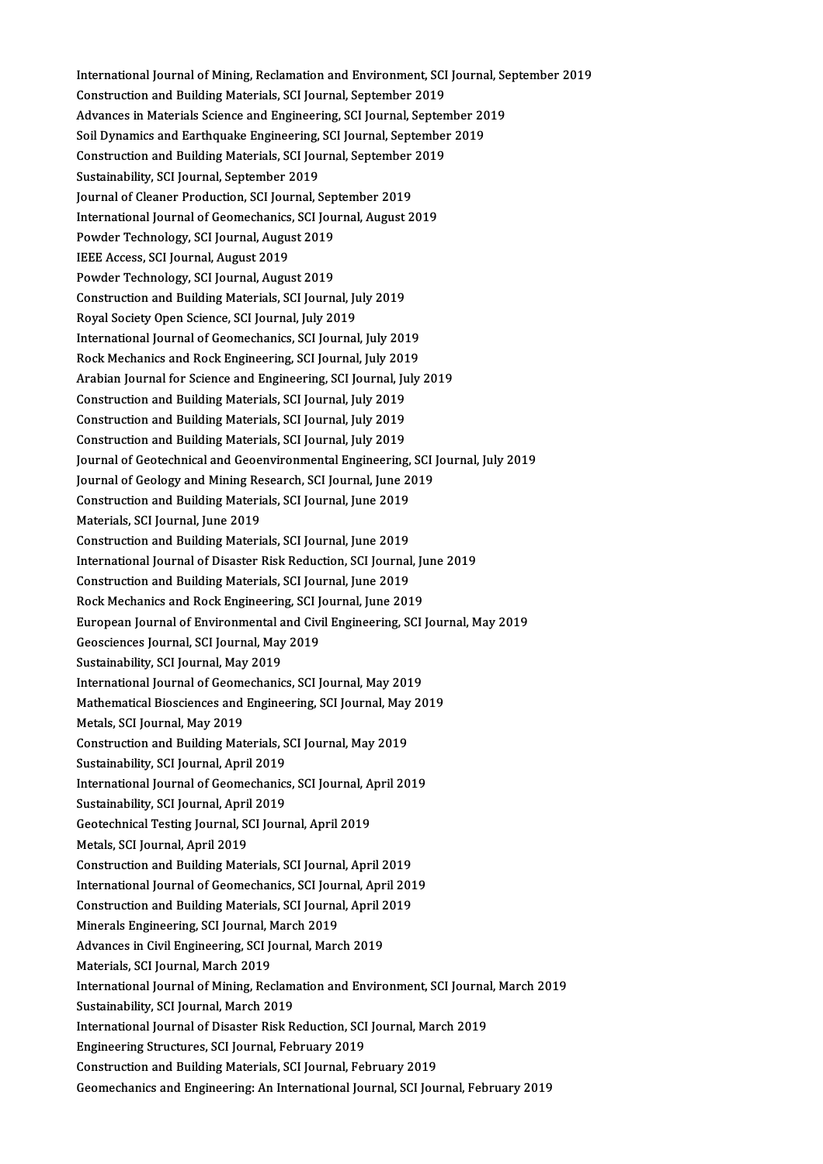International Journal of Mining, Reclamation and Environment, SCI Journal, September 2019<br>Construction and Building Materials, SCI Journal, September 2019 International Journal of Mining, Reclamation and Environment, SCI<br>Construction and Building Materials, SCI Journal, September 2019<br>Advances in Materials Science and Engineering, SCI Journal, Septem International Journal of Mining, Reclamation and Environment, SCI Journal, Se<br>Construction and Building Materials, SCI Journal, September 2019<br>Advances in Materials Science and Engineering, SCI Journal, September 2019<br>Seil Construction and Building Materials, SCI Journal, September 2019<br>Advances in Materials Science and Engineering, SCI Journal, September 20<br>Soil Dynamics and Earthquake Engineering, SCI Journal, September 2019<br>Construction a Advances in Materials Science and Engineering, SCI Journal, Septen<br>Soil Dynamics and Earthquake Engineering, SCI Journal, September<br>Construction and Building Materials, SCI Journal, September 2019<br>Sustainability, SCI Journ Soil Dynamics and Earthquake Engineering,<br>Construction and Building Materials, SCI Journal<br>Sustainability, SCI Journal, September 2019<br>Journal of Cleaner Production, SCI Journal S Construction and Building Materials, SCI Journal, September 2019<br>Sustainability, SCI Journal, September 2019 International Journal of Geomechanics, SCI Journal, August 2019<br>Powder Technology, SCI Journal, August 2019 Journal of Cleaner Production, SCI Journal, September 2019 IEEE Access, SCI Journal, August 2019 Powder Technology, SCI Journal, August 2019 Construction and Building Materials, SCI Journal, July 2019 Royal Society Open Science, SCI Journal, July 2019 Construction and Building Materials, SCI Journal, July 2019<br>Royal Society Open Science, SCI Journal, July 2019<br>International Journal of Geomechanics, SCI Journal, July 2019<br>Rock Mechanics and Rock Engineering, SCI Journal, Royal Society Open Science, SCI Journal, July 2019<br>International Journal of Geomechanics, SCI Journal, July 2019<br>Rock Mechanics and Rock Engineering, SCI Journal, July 2019<br>Arabian Journal for Science and Engineering, SCI International Journal of Geomechanics, SCI Journal, July 2019<br>Rock Mechanics and Rock Engineering, SCI Journal, July 2019<br>Arabian Journal for Science and Engineering, SCI Journal, July 2019<br>Construction and Building Materi Rock Mechanics and Rock Engineering, SCI Journal, July 2019<br>Arabian Journal for Science and Engineering, SCI Journal, July<br>Construction and Building Materials, SCI Journal, July 2019<br>Construction and Building Materials, SC Arabian Journal for Science and Engineering, SCI Journal, July<br>Construction and Building Materials, SCI Journal, July 2019<br>Construction and Building Materials, SCI Journal, July 2019<br>Construction and Building Materials, SC Construction and Building Materials, SCI Journal, July 2019<br>Construction and Building Materials, SCI Journal, July 2019<br>Construction and Building Materials, SCI Journal, July 2019 Construction and Building Materials, SCI Journal, July 2019<br>Construction and Building Materials, SCI Journal, July 2019<br>Journal of Geotechnical and Geoenvironmental Engineering, SCI Journal, July 2019<br>Journal of Geolegy an Construction and Building Materials, SCI Journal, July 2019<br>Journal of Geotechnical and Geoenvironmental Engineering, SCI Journal of Geology and Mining Research, SCI Journal, June 2019<br>Construction and Building Materials, Journal of Geotechnical and Geoenvironmental Engineering,<br>Journal of Geology and Mining Research, SCI Journal, June 2019<br>Construction and Building Materials, SCI Journal, June 2019<br>Materials, SCI Journal, June 2019 Journal of Geology and Mining Research, SCI Journal, June 2019<br>Construction and Building Materials, SCI Journal, June 2019<br>Materials, SCI Journal, June 2019 Construction and Building Materials, SCI Journal, June 2019<br>Materials, SCI Journal, June 2019<br>Construction and Building Materials, SCI Journal, June 2019<br>International Journal of Disaster Bisk Beduction, SCI Journal International Journal of Disaster Risk Reduction, SCI Journal, June 2019 Construction and Building Materials, SCI Journal, June 2019<br>International Journal of Disaster Risk Reduction, SCI Journal<br>Construction and Building Materials, SCI Journal, June 2019<br>Rock Mechanics and Bock Engineering, SCI Construction and Building Materials, SCI Journal, June 2019<br>Rock Mechanics and Rock Engineering, SCI Journal, June 2019 European Journal of Environmental and Civil Engineering, SCI Journal, May 2019 Rock Mechanics and Rock Engineering, SCI J<br>European Journal of Environmental and Civi<br>Geosciences Journal, SCI Journal, May 2019<br>Sustainshility, SCI Journal, May 2019 European Journal of Environmental a<br>Geosciences Journal, SCI Journal, May<br>Sustainability, SCI Journal, May 2019<br>International Journal of Coomechanis Sustainability, SCI Journal, May 2019<br>International Journal of Geomechanics, SCI Journal, May 2019 Sustainability, SCI Journal, May 2019<br>International Journal of Geomechanics, SCI Journal, May 2019<br>Mathematical Biosciences and Engineering, SCI Journal, May 2019<br>Matala SCI Journal May 2019 International Journal of Geome<br>Mathematical Biosciences and<br>Metals, SCI Journal, May 2019<br>Construction and Building Mat Mathematical Biosciences and Engineering, SCI Journal, May<br>Metals, SCI Journal, May 2019<br>Construction and Building Materials, SCI Journal, May 2019<br>Sustainability, SCI Journal, April 2019 Metals, SCI Journal, May 2019<br>Construction and Building Materials, SCI Journal, May 2019<br>Sustainability, SCI Journal, April 2019 Construction and Building Materials, SCI Journal, May 2019<br>Sustainability, SCI Journal, April 2019<br>International Journal of Geomechanics, SCI Journal, April 2019<br>Sustainability, SCI Journal, April 2019 Sustainability, SCI Journal, April 2019<br>International Journal of Geomechanics<br>Sustainability, SCI Journal, April 2019<br>Ceotechnical Testing Journal, SCI Jour International Journal of Geomechanics, SCI Journal, A<br>Sustainability, SCI Journal, April 2019<br>Geotechnical Testing Journal, SCI Journal, April 2019<br>Metals, SCI Journal, April 2019 Sustainability, SCI Journal, April<br>Geotechnical Testing Journal, S<br>Metals, SCI Journal, April 2019<br>Construction and Building Mate Geotechnical Testing Journal, SCI Journal, April 2019<br>Metals, SCI Journal, April 2019<br>Construction and Building Materials, SCI Journal, April 2019<br>International Journal of Coomechanise, SCI Journal, April 2019 Metals, SCI Journal, April 2019<br>Construction and Building Materials, SCI Journal, April 2019<br>International Journal of Geomechanics, SCI Journal, April 2019<br>Construction and Building Materials, SCI Journal, April 2019 Construction and Building Materials, SCI Journal, April 2019<br>International Journal of Geomechanics, SCI Journal, April 201<br>Construction and Building Materials, SCI Journal, April 2019<br>Minerals Engineering, SCI Journal, Mar International Journal of Geomechanics, SCI Journa<br>Construction and Building Materials, SCI Journa<br>Minerals Engineering, SCI Journal, March 2019<br>Advances in Civil Engineering, SCI Journal, Marc Construction and Building Materials, SCI Journal, April 2<br>Minerals Engineering, SCI Journal, March 2019<br>Advances in Civil Engineering, SCI Journal, March 2019<br>Materials, SCI Journal, March 2019 Minerals Engineering, SCI Journal, March 2019<br>Advances in Civil Engineering, SCI Journal, March 2019<br>Materials, SCI Journal, March 2019 Advances in Civil Engineering, SCI Journal, March 2019<br>Materials, SCI Journal, March 2019<br>International Journal of Mining, Reclamation and Environment, SCI Journal, March 2019<br>Sustainability, SCI Journal, March 2019 Materials, SCI Journal, March 2019<br>International Journal of Mining, Reclam<br>Sustainability, SCI Journal, March 2019<br>International Journal of Digaster Bick B International Journal of Mining, Reclamation and Environment, SCI Journal<br>Sustainability, SCI Journal, March 2019<br>International Journal of Disaster Risk Reduction, SCI Journal, March 2019<br>Engineering Strugtuges SCI Journal Sustainability, SCI Journal, March 2019<br>International Journal of Disaster Risk Reduction, SCI<br>Engineering Structures, SCI Journal, February 2019<br>Construction and Building Materials, SCI Journal, Eek International Journal of Disaster Risk Reduction, SCI Journal, Mar<br>Engineering Structures, SCI Journal, February 2019<br>Construction and Building Materials, SCI Journal, February 2019<br>Coemeshaniss and Engineering: An Interna Engineering Structures, SCI Journal, February 2019<br>Construction and Building Materials, SCI Journal, February 2019<br>Geomechanics and Engineering: An International Journal, SCI Journal, February 2019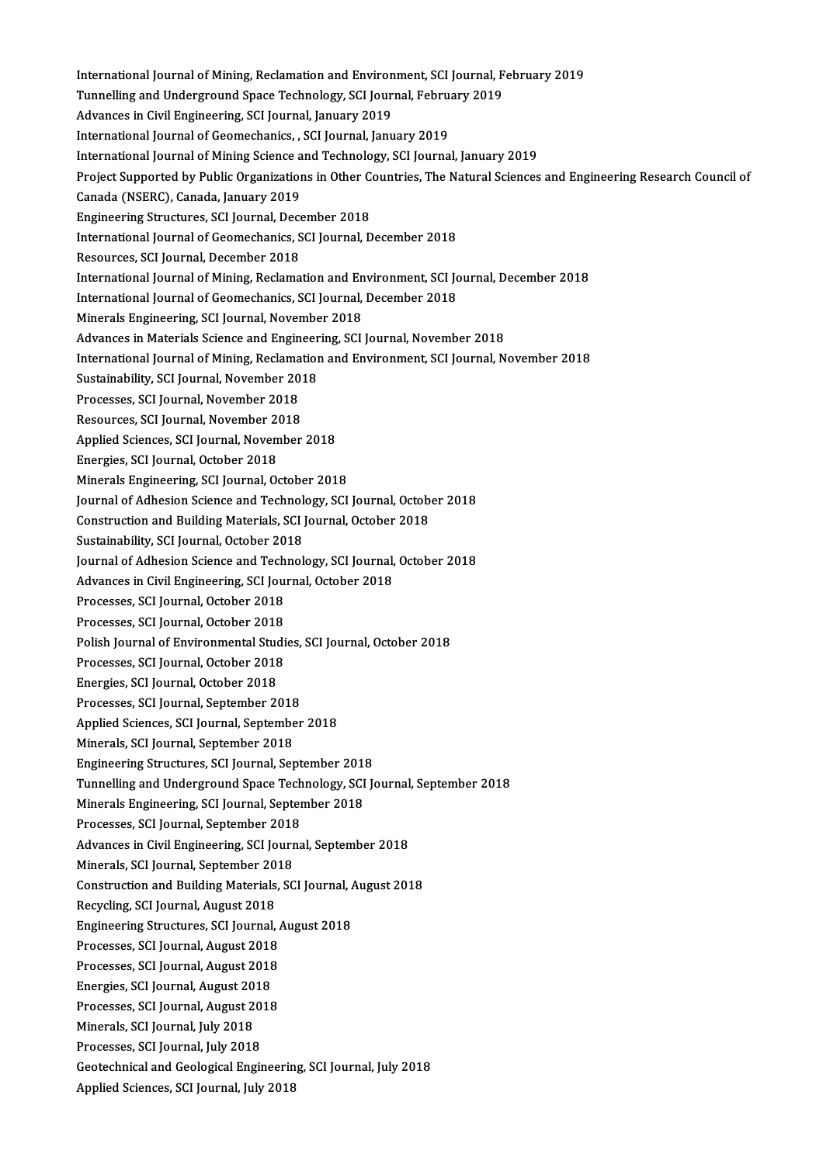International Journal of Mining, Reclamation and Environment, SCI Journal, February 2019<br>Tunnelling and Underground Space Technology, SCI Journal, February 2019 International Journal of Mining, Reclamation and Environment, SCI Journal, F<br>Tunnelling and Underground Space Technology, SCI Journal, February 2019<br>Advances in Civil Engineering, SCI Journal, Jonuary 2019 International Journal of Mining, Reclamation and Environ<br>Tunnelling and Underground Space Technology, SCI Journ<br>Advances in Civil Engineering, SCI Journal, January 2019<br>International Journal of Ceomophonics - SCI Journal, Tunnelling and Underground Space Technology, SCI Journal, February 2019<br>Advances in Civil Engineering, SCI Journal, January 2019<br>International Journal of Geomechanics, , SCI Journal, January 2019 Advances in Civil Engineering, SCI Journal, January 2019<br>International Journal of Geomechanics, , SCI Journal, January 2019<br>International Journal of Mining Science and Technology, SCI Journal, January 2019<br>Project Sunnerte International Journal of Geomechanics, , SCI Journal, January 2019<br>International Journal of Mining Science and Technology, SCI Journal, January 2019<br>Project Supported by Public Organizations in Other Countries, The Natural International Journal of Mining Science a<br>Project Supported by Public Organization<br>Canada (NSERC), Canada, January 2019<br>Engineering Structures, SCI Journal, Dece Project Supported by Public Organizations in Other C<br>Canada (NSERC), Canada, January 2019<br>Engineering Structures, SCI Journal, December 2018<br>International Journal of Coomechanics, SCI Journal, D Canada (NSERC), Canada, January 2019<br>Engineering Structures, SCI Journal, December 2018<br>International Journal of Geomechanics, SCI Journal, December 2018 Resources, SCI Journal, December 2018 International Journal of Geomechanics, SCI Journal, December 2018<br>Resources, SCI Journal, December 2018<br>International Journal of Mining, Reclamation and Environment, SCI Journal, December 2018<br>International Journal of Ceom Resources, SCI Journal, December 2018<br>International Journal of Mining, Reclamation and Environment, SCI Jo<br>International Journal of Geomechanics, SCI Journal, December 2018<br>Minerals Engineering, SCI Journal, Nevember 2018 International Journal of Mining, Reclamation and En<br>International Journal of Geomechanics, SCI Journal,<br>Minerals Engineering, SCI Journal, November 2018<br>Advances in Materials Science and Engineering, SCI International Journal of Geomechanics, SCI Journal, December 2018<br>Minerals Engineering, SCI Journal, November 2018<br>Advances in Materials Science and Engineering, SCI Journal, November 2018<br>International Journal of Mining, Minerals Engineering, SCI Journal, November 2018<br>Advances in Materials Science and Engineering, SCI Journal, November 2018<br>International Journal of Mining, Reclamation and Environment, SCI Journal, November 2018<br>Sustainshi Advances in Materials Science and Engineer<br>International Journal of Mining, Reclamation<br>Sustainability, SCI Journal, November 2018<br>Prosesses SCI Journal, November 2018 International Journal of Mining, Reclama<br>Sustainability, SCI Journal, November 20<br>Processes, SCI Journal, November 2018<br>Resourses, SCI Journal, November 2018 Sustainability, SCI Journal, November 2018<br>Processes, SCI Journal, November 2018<br>Resources, SCI Journal, November 2018 Processes, SCI Journal, November 2018<br>Resources, SCI Journal, November 2018<br>Applied Sciences, SCI Journal, November 2018<br>Energies, SCI Journal, October 2019 Resources, SCI Journal, November 2018<br>Applied Sciences, SCI Journal, Novem<br>Energies, SCI Journal, October 2018<br>Minerala Engineering, SCI Journal, O Applied Sciences, SCI Journal, November 2018<br>Energies, SCI Journal, October 2018<br>Minerals Engineering, SCI Journal, October 2018<br>Journal of Adhesian Science and Technology, SCI Energies, SCI Journal, October 2018<br>Minerals Engineering, SCI Journal, October 2018<br>Journal of Adhesion Science and Technology, SCI Journal, October 2018 Minerals Engineering, SCI Journal, October 2018<br>Journal of Adhesion Science and Technology, SCI Journal, Octobe<br>Construction and Building Materials, SCI Journal, October 2018<br>Sustainability, SCI Journal, October 2018 Journal of Adhesion Science and Technol<br>Construction and Building Materials, SCI<br>Sustainability, SCI Journal, October 2018<br>Journal of Adhesion Science and Technol Construction and Building Materials, SCI Journal, October 2018<br>Sustainability, SCI Journal, October 2018<br>Journal of Adhesion Science and Technology, SCI Journal, October 2018<br>Advances in Civil Engineering, SCI Journal, Oct Sustainability, SCI Journal, October 2018<br>Journal of Adhesion Science and Technology, SCI Journal,<br>Advances in Civil Engineering, SCI Journal, October 2018<br>Prosesses SCI Journal, October 2018 Journal of Adhesion Science and Tech<br>Advances in Civil Engineering, SCI Journ<br>Processes, SCI Journal, October 2018<br>Processes, SCI Journal, October 2019 Advances in Civil Engineering, SCI Journal, October 2018<br>Processes, SCI Journal, October 2018<br>Processes, SCI Journal, October 2018 Polish Journal of Environmental Studies, SCI Journal, October 2018 Processes, SCI Journal, October 2018<br>Polish Journal of Environmental Studi<br>Processes, SCI Journal, October 2018<br>Energies, SCI Journal, October 2019 Polish Journal of Environmental Studen<br>Processes, SCI Journal, October 2018<br>Energies, SCI Journal, October 2018<br>Processes, SCI Journal, Santamber 20 Processes, SCI Journal, October 2018<br>Energies, SCI Journal, October 2018<br>Processes, SCI Journal, September 2018<br>Annlied Sciences, SCI Journal, September Energies, SCI Journal, October 2018<br>Processes, SCI Journal, September 2018<br>Applied Sciences, SCI Journal, September 2018<br>Minerals, SCI Journal, September 2018 Processes, SCI Journal, September 2018 Applied Sciences, SCI Journal, September 2018<br>Minerals, SCI Journal, September 2018<br>Engineering Structures, SCI Journal, September 2018<br>Tunnelling and Underground Space Technology, SCI I Tunnelling and Underground Space Technology, SCI Journal, September 2018<br>Minerals Engineering, SCI Journal, September 2018 Engineering Structures, SCI Journal, September 2011<br>Tunnelling and Underground Space Technology, SCI<br>Minerals Engineering, SCI Journal, September 2018<br>Prosesses, SCI Journal, September 2018 Tunnelling and Underground Space Tech<br>Minerals Engineering, SCI Journal, Septer<br>Processes, SCI Journal, September 2018<br>Advances in Civil Engineering, SCI Journa Advances in Civil Engineering, SCI Journal, September 2018<br>Minerals, SCI Journal, September 2018 Processes, SCI Journal, September 2018<br>Advances in Civil Engineering, SCI Journ<br>Minerals, SCI Journal, September 2018<br>Construction and Building Materials, SC Advances in Civil Engineering, SCI Journal, September 2018<br>Minerals, SCI Journal, September 2018<br>Construction and Building Materials, SCI Journal, August 2018<br>Regysling, SCI Journal, August 2019 Minerals, SCI Journal, September 20<br>Construction and Building Materials,<br>Recycling, SCI Journal, August 2018 Construction and Building Materials, SCI Journal, A<br>Recycling, SCI Journal, August 2018<br>Engineering Structures, SCI Journal, August 2018<br>Prosesses, SCI Journal, August 2018 Recycling, SCI Journal, August 2018<br>Engineering Structures, SCI Journal, August 2018<br>Processes, SCI Journal, August 2018 Engineering Structures, SCI Journal, A<br>Processes, SCI Journal, August 2018<br>Processes, SCI Journal, August 2018<br>Energies, SCI Journal, August 2018 Processes, SCI Journal, August 2018<br>Processes, SCI Journal, August 2018<br>Energies, SCI Journal, August 2018<br>Processes, SCI Journal, August 2018 Processes, SCI Journal, August 2018<br>Energies, SCI Journal, August 2018<br>Processes, SCI Journal, August 2018<br>Minerala SCI Journal, July 2019 Energies, SCI Journal, August 2018<br>Processes, SCI Journal, August 201<br>Minerals, SCI Journal, July 2018<br>Processes, SCI Journal, July 2018 Processes, SCI Journal, August 2018 Geotechnical and Geological Engineering, SCI Journal, July 2018 Applied Sciences, SCI Journal, July 2018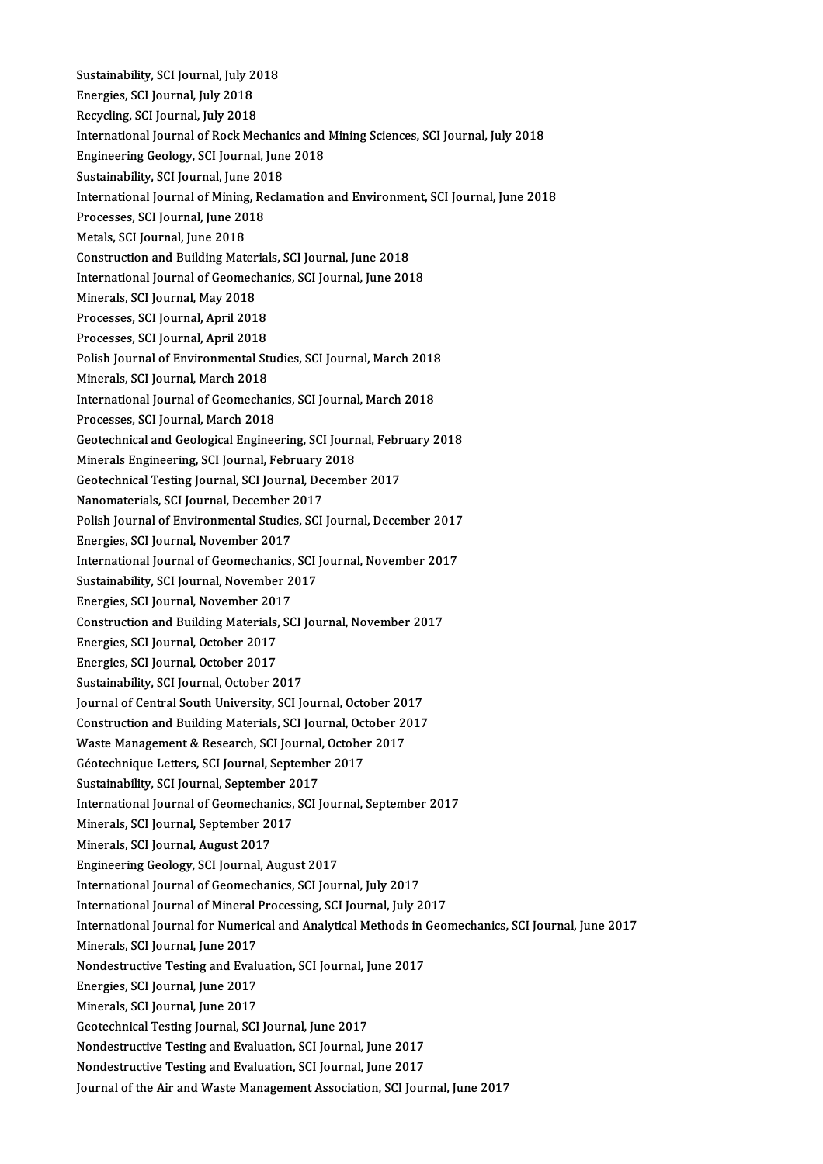Sustainability, SCI Journal, July 2018<br>Franciae SCI Journal, July 2018<br>Franciae SCI Journal, July 2019 Sustainability, SCI Journal, July 2<br>Energies, SCI Journal, July 2018<br>Regysling SCI Journal, July 2018 Sustainability, SCI Journal, July 20<br>Energies, SCI Journal, July 2018<br>Recycling, SCI Journal, July 2018<br>International Journal of Book Mo Energies, SCI Journal, July 2018<br>Recycling, SCI Journal, July 2018<br>International Journal of Rock Mechanics and Mining Sciences, SCI Journal, July 2018 Recycling, SCI Journal, July 2018<br>International Journal of Rock Mechanics and<br>Engineering Geology, SCI Journal, June 2018<br>Sustainability, SCI Journal, June 2018 International Journal of Rock Mechan<br>Engineering Geology, SCI Journal, June<br>Sustainability, SCI Journal, June 2018<br>International Journal of Mining, Bosla Engineering Geology, SCI Journal, June 2018<br>Sustainability, SCI Journal, June 2018<br>International Journal of Mining, Reclamation and Environment, SCI Journal, June 2018<br>Presesses, SCI Journal, June 2019 Sustainability, SCI Journal, June 2018<br>International Journal of Mining, Recla<br>Processes, SCI Journal, June 2018<br>Metals, SCI Journal, Iune 2018 International Journal of Mining<br>Processes, SCI Journal, June 20<br>Metals, SCI Journal, June 2018<br>Construction and Building Mat Processes, SCI Journal, June 2018<br>Metals, SCI Journal, June 2018<br>Construction and Building Materials, SCI Journal, June 2018<br>International Journal of Coomechanise, SCI Journal, June 2018 Metals, SCI Journal, June 2018<br>Construction and Building Materials, SCI Journal, June 2018<br>International Journal of Geomechanics, SCI Journal, June 2018<br>Minerals, SCI Journal, May 2019 Construction and Building Mater<br>International Journal of Geomech<br>Minerals, SCI Journal, May 2018<br>Prosesses SCI Journal, April 201 International Journal of Geomecha<br>Minerals, SCI Journal, May 2018<br>Processes, SCI Journal, April 2018<br>Processes, SCI Journal, April 2019 Minerals, SCI Journal, May 2018<br>Processes, SCI Journal, April 2018<br>Processes, SCI Journal, April 2018<br>Polish Journal of Environmental St Processes, SCI Journal, April 2018<br>Processes, SCI Journal, April 2018<br>Polish Journal of Environmental Studies, SCI Journal, March 2018<br>Minerals, SCI Journal, March 2019 Processes, SCI Journal, April 2018<br>Polish Journal of Environmental St<br>Minerals, SCI Journal, March 2018<br>International Journal of Geometha Polish Journal of Environmental Studies, SCI Journal, March 2018<br>Minerals, SCI Journal, March 2018<br>International Journal of Geomechanics, SCI Journal, March 2018<br>Prosesses, SCI Journal, Marsh 2019 Minerals, SCI Journal, March 2018<br>International Journal of Geomechanics, SCI Journal, March 2018<br>Processes, SCI Journal, March 2018 International Journal of Geomechanics, SCI Journal, March 2018<br>Processes, SCI Journal, March 2018<br>Geotechnical and Geological Engineering, SCI Journal, February 2018<br>Minarala Engineering, SCI Journal, February 2019 Processes, SCI Journal, March 2018<br>Geotechnical and Geological Engineering, SCI Journ<br>Minerals Engineering, SCI Journal, February 2018<br>Cestesbnisal Testing Journal, SCI Journal, Desembe Geotechnical and Geological Engineering, SCI Journal, Febr<br>Minerals Engineering, SCI Journal, February 2018<br>Geotechnical Testing Journal, SCI Journal, December 2017<br>Nanomaterials, SCI Journal, December 2017 Minerals Engineering, SCI Journal, February 2018<br>Geotechnical Testing Journal, SCI Journal, December 2017<br>Nanomaterials, SCI Journal, December 2017 Geotechnical Testing Journal, SCI Journal, December 2017<br>Nanomaterials, SCI Journal, December 2017<br>Polish Journal of Environmental Studies, SCI Journal, December 2017<br>Frergies, SCI Journal, November 2017 Nanomaterials, SCI Journal, December 2<br>Polish Journal of Environmental Studie<br>Energies, SCI Journal, November 2017<br>International Journal of Coomeshanies Polish Journal of Environmental Studies, SCI Journal, December 2017<br>Energies, SCI Journal, November 2017<br>International Journal of Geomechanics, SCI Journal, November 2017<br>Sustainability, SCI Journal, November 2017 Energies, SCI Journal, November 2017<br>International Journal of Geomechanics, SCI J<br>Sustainability, SCI Journal, November 2017<br>Energies, SCI Journal, November 2017 International Journal of Geomechanics,<br>Sustainability, SCI Journal, November 2<br>Energies, SCI Journal, November 2017<br>Construction and Building Materials, SC Sustainability, SCI Journal, November 2017<br>Energies, SCI Journal, November 2017<br>Construction and Building Materials, SCI Journal, November 2017 Energies, SCI Journal, November 201<br>Construction and Building Materials,<br>Energies, SCI Journal, October 2017<br>Energies, SCI Journal, October 2017 Construction and Building Materials,<br>Energies, SCI Journal, October 2017<br>Energies, SCI Journal, October 2017<br>Sustainability, SCI Journal, Ostober 2 Energies, SCI Journal, October 2017<br>Energies, SCI Journal, October 2017<br>Sustainability, SCI Journal, October 2017<br>Journal of Contral South University, SCI Jo Energies, SCI Journal, October 2017<br>Sustainability, SCI Journal, October 2017<br>Journal of Central South University, SCI Journal, October 2017<br>Construction and Building Materials, SCI Journal, October 2017 Sustainability, SCI Journal, October 2017<br>Journal of Central South University, SCI Journal, October 2017<br>Construction and Building Materials, SCI Journal, October 2017<br>Weste Manassment & Bessarsh, SCI Journal, October 2017 Journal of Central South University, SCI Journal, October 20<br>Construction and Building Materials, SCI Journal, October 20<br>Waste Management & Research, SCI Journal, October 2017<br>Céstesbnique Lettere SCI Journal, Sontember 2 Construction and Building Materials, SCI Journal, Oct<br>Waste Management & Research, SCI Journal, Octobe<br>Géotechnique Letters, SCI Journal, September 2017<br>Sustainability, SCI Journal, September 2017 Waste Management & Research, SCI Journal, October 2017<br>Géotechnique Letters, SCI Journal, September 2017<br>Sustainability, SCI Journal, September 2017 International Journal of Geomechanics, SCI Journal, September 2017 Sustainability, SCI Journal, September 2<br>International Journal of Geomechanics,<br>Minerals, SCI Journal, September 2017<br>Minerals, SCI Journal, August 2017 International Journal of Geomechar<br>Minerals, SCI Journal, September 20<br>Minerals, SCI Journal, August 2017<br>Engineering Ceelegy, SCI Journal, A Minerals, SCI Journal, August 2017<br>Engineering Geology, SCI Journal, August 2017 International Journal of Geomechanics, SCI Journal, July 2017 Engineering Geology, SCI Journal, August 2017<br>International Journal of Geomechanics, SCI Journal, July 2017<br>International Journal of Mineral Processing, SCI Journal, July 2017<br>International Journal for Numerical and Analyt International Journal of Geomechanics, SCI Journal, July 2017<br>International Journal of Mineral Processing, SCI Journal, July 2017<br>International Journal for Numerical and Analytical Methods in Geomechanics, SCI Journal, Jun International Journal of Mineral I<br>International Journal for Numeri<br>Minerals, SCI Journal, June 2017<br>Nondestrustive Testins and Eval. International Journal for Numerical and Analytical Methods in (<br>Minerals, SCI Journal, June 2017<br>Nondestructive Testing and Evaluation, SCI Journal, June 2017<br>Energies, SCI Journal, June 2017 Minerals, SCI Journal, June 2017<br>Nondestructive Testing and Evalu<br>Energies, SCI Journal, June 2017<br>Minerals, SCI Journal, June 2017 Nondestructive Testing and Eval<mark>t</mark><br>Energies, SCI Journal, June 2017<br>Minerals, SCI Journal, June 2017<br>Cestesbnisal Testing Journal, SCI Minerals, SCI Journal, June 2017<br>Geotechnical Testing Journal, SCI Journal, June 2017 Minerals, SCI Journal, June 2017<br>Geotechnical Testing Journal, SCI Journal, June 2017<br>Nondestructive Testing and Evaluation, SCI Journal, June 2017<br>Nondestructive Testing and Evaluation, SCI Journal, June 2017 Geotechnical Testing Journal, SCI Journal, June 2017<br>Nondestructive Testing and Evaluation, SCI Journal, June 2017<br>Nondestructive Testing and Evaluation, SCI Journal, June 2017<br>Journal of the Air and Weste Management Assoc Nondestructive Testing and Evaluation, SCI Journal, June 2017<br>Journal of the Air and Waste Management Association, SCI Journal, June 2017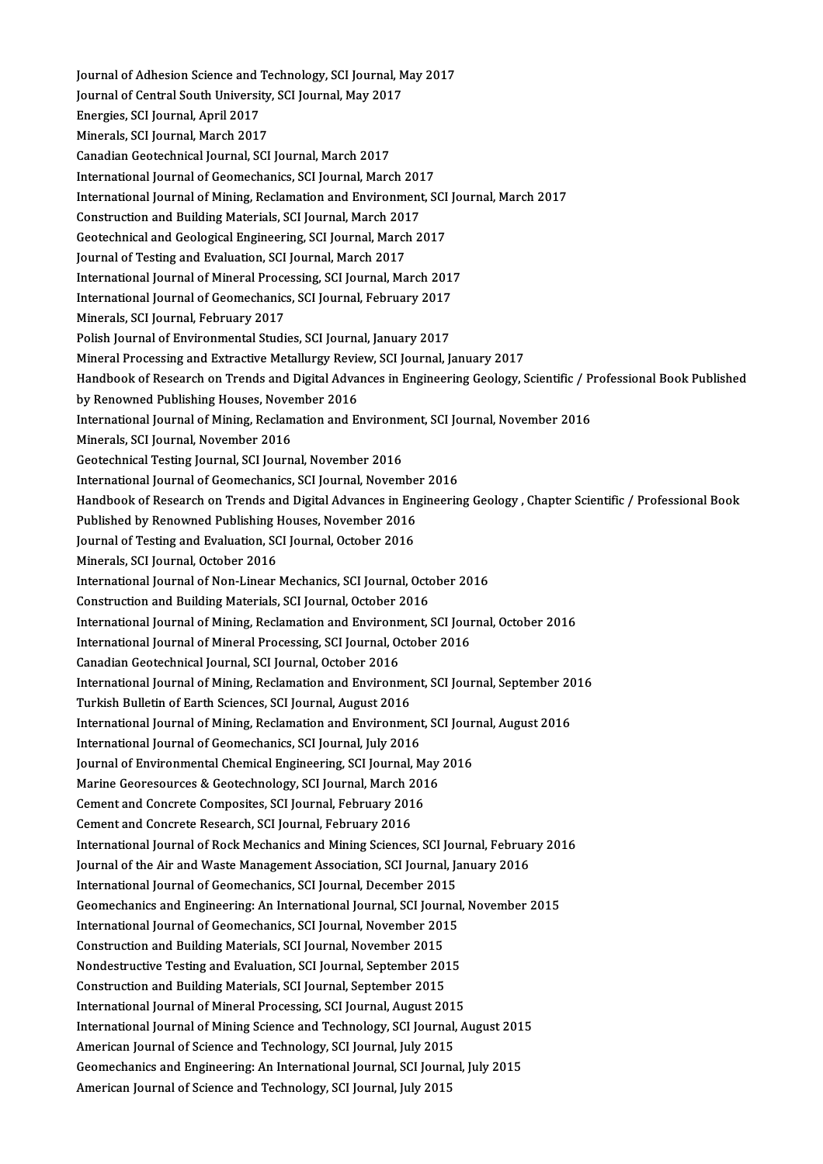Journal of Adhesion Science and Technology, SCI Journal, May 2017<br>Journal of Contral South University, SCI Journal, May 2017 Journal of Adhesion Science and Technology, SCI Journal, M<br>Journal of Central South University, SCI Journal, May 2017<br>Energies, SCI Journal, April 2017 Journal of Adhesion Science and<br>Journal of Central South Universit<br>Energies, SCI Journal, April 2017<br>Minarala, SCI Journal, March 2017 Journal of Central South University, SCI Journal, May 2017<br>Energies, SCI Journal, April 2017<br>Minerals, SCI Journal, March 2017 Canadian Geotechnical Journal, SCI Journal, March 2017 International Journal of Geomechanics, SCI Journal, March 2017 Canadian Geotechnical Journal, SCI Journal, March 2017<br>International Journal of Geomechanics, SCI Journal, March 2017<br>International Journal of Mining, Reclamation and Environment, SCI Journal, March 2017<br>Construction and B International Journal of Geomechanics, SCI Journal, March 2014<br>International Journal of Mining, Reclamation and Environment<br>Construction and Building Materials, SCI Journal, March 2017<br>Contechnical and Coological Engineeri International Journal of Mining, Reclamation and Environment, SCI<br>Construction and Building Materials, SCI Journal, March 2017<br>Geotechnical and Geological Engineering, SCI Journal, March 2017<br>Journal of Testing and Evaluat Construction and Building Materials, SCI Journal, March 2017<br>Geotechnical and Geological Engineering, SCI Journal, March 2017<br>Journal of Testing and Evaluation, SCI Journal, March 2017 Geotechnical and Geological Engineering, SCI Journal, March 2017<br>Journal of Testing and Evaluation, SCI Journal, March 2017<br>International Journal of Mineral Processing, SCI Journal, March 2017<br>International Journal of Ceom Journal of Testing and Evaluation, SCI Journal, March 2017<br>International Journal of Mineral Processing, SCI Journal, March 2011<br>International Journal of Geomechanics, SCI Journal, February 2017<br>Minerals, SCI Journal, Febru International Journal of Mineral Proce<br>International Journal of Geomechanics<br>Minerals, SCI Journal, February 2017<br>Polish Journal of Environmental Studi International Journal of Geomechanics, SCI Journal, February 2017<br>Minerals, SCI Journal, February 2017<br>Polish Journal of Environmental Studies, SCI Journal, January 2017 Minerals, SCI Journal, February 2017<br>Polish Journal of Environmental Studies, SCI Journal, January 2017<br>Mineral Processing and Extractive Metallurgy Review, SCI Journal, January 2017<br>Handbook of Pessersh on Trands and Disi Polish Journal of Environmental Studies, SCI Journal, January 2017<br>Mineral Processing and Extractive Metallurgy Review, SCI Journal, January 2017<br>Handbook of Research on Trends and Digital Advances in Engineering Geology, Mineral Processing and Extractive Metallurgy Revie<br>Handbook of Research on Trends and Digital Adva<br>by Renowned Publishing Houses, November 2016<br>International Journal of Mining, Bockmation and E Handbook of Research on Trends and Digital Advances in Engineering Geology, Scientific / P<br>by Renowned Publishing Houses, November 2016<br>International Journal of Mining, Reclamation and Environment, SCI Journal, November 20 by Renowned Publishing Houses, November 2016<br>International Journal of Mining, Reclamation and Environn<br>Minerals, SCI Journal, November 2016<br>Geotechnical Testing Journal, SCI Journal, November 2016 International Journal of Mining, Reclamation and Environment, SCI Journal, November 2016 International Journal of Geomechanics, SCI Journal, November 2016 Handbook of Research on Trends and Digital Advances in Engineering Geology, Chapter Scientific / Professional Book International Journal of Geomechanics, SCI Journal, November<br>Handbook of Research on Trends and Digital Advances in Eng<br>Published by Renowned Publishing Houses, November 2016<br>Journal of Testing and Evaluation, SCI Journal, Handbook of Research on Trends and Digital Advances in Eng<br>Published by Renowned Publishing Houses, November 2016<br>Journal of Testing and Evaluation, SCI Journal, October 2016<br>Minerals, SCI Journal, October 2016 Published by Renowned Publishing I<br>Journal of Testing and Evaluation, SC<br>Minerals, SCI Journal, October 2016<br>International Journal of Non Linear Journal of Testing and Evaluation, SCI Journal, October 2016<br>Minerals, SCI Journal, October 2016<br>International Journal of Non-Linear Mechanics, SCI Journal, October 2016<br>Construction and Building Materials, SCI Journal, Oc Minerals, SCI Journal, October 2016<br>International Journal of Non-Linear Mechanics, SCI Journal, Octo<br>Construction and Building Materials, SCI Journal, October 2016<br>International Journal of Mining, Bockpostion and Environme Construction and Building Materials, SCI Journal, October 2016<br>International Journal of Mining, Reclamation and Environment, SCI Journal, October 2016 Construction and Building Materials, SCI Journal, October 2016<br>International Journal of Mining, Reclamation and Environment, SCI Jour<br>International Journal of Mineral Processing, SCI Journal, October 2016<br>Canadian Costechn International Journal of Mining, Reclamation and Environn<br>International Journal of Mineral Processing, SCI Journal, O<br>Canadian Geotechnical Journal, SCI Journal, October 2016<br>International Journal of Mining, Beclamation an International Journal of Mineral Processing, SCI Journal, October 2016<br>Canadian Geotechnical Journal, SCI Journal, October 2016<br>International Journal of Mining, Reclamation and Environment, SCI Journal, September 2016<br>Turk Canadian Geotechnical Journal, SCI Journal, October 2016<br>International Journal of Mining, Reclamation and Environme<br>Turkish Bulletin of Earth Sciences, SCI Journal, August 2016<br>International Journal of Mining, Beclamation International Journal of Mining, Reclamation and Environment, SCI Journal, September 20<br>Turkish Bulletin of Earth Sciences, SCI Journal, August 2016<br>International Journal of Mining, Reclamation and Environment, SCI Journal Turkish Bulletin of Earth Sciences, SCI Journal, August 2016<br>International Journal of Mining, Reclamation and Environment<br>International Journal of Geomechanics, SCI Journal, July 2016<br>Journal of Environmental Chamical Engi International Journal of Mining, Reclamation and Environment, SCI Journal, August 2016<br>International Journal of Geomechanics, SCI Journal, July 2016<br>Journal of Environmental Chemical Engineering, SCI Journal, May 2016<br>Mari International Journal of Geomechanics, SCI Journal, July 2016<br>Journal of Environmental Chemical Engineering, SCI Journal, May<br>Marine Georesources & Geotechnology, SCI Journal, March 2016<br>Cement and Congrate Composites, SCI Journal of Environmental Chemical Engineering, SCI Journal, M.<br>Marine Georesources & Geotechnology, SCI Journal, March 201<br>Cement and Concrete Composites, SCI Journal, February 2016<br>Cement and Concrete Pessarsh, SCI Journa Cement and Concrete Composites, SCI Journal, February 2016<br>Cement and Concrete Research, SCI Journal, February 2016 Cement and Concrete Composites, SCI Journal, February 2016<br>Cement and Concrete Research, SCI Journal, February 2016<br>International Journal of Rock Mechanics and Mining Sciences, SCI Journal, February 2016<br>Journal of the Air Cement and Concrete Research, SCI Journal, February 2016<br>International Journal of Rock Mechanics and Mining Sciences, SCI Journal, Februar<br>Journal of the Air and Waste Management Association, SCI Journal, January 2016<br>Inte International Journal of Rock Mechanics and Mining Sciences, SCI Jou<br>Journal of the Air and Waste Management Association, SCI Journal, Ja<br>International Journal of Geomechanics, SCI Journal, December 2015<br>Coemechanics and E Journal of the Air and Waste Management Association, SCI Journal, January 2016<br>International Journal of Geomechanics, SCI Journal, December 2015<br>Geomechanics and Engineering: An International Journal, SCI Journal, November International Journal of Geomechanics, SCI Journal, December 2015<br>Geomechanics and Engineering: An International Journal, SCI Journal<br>International Journal of Geomechanics, SCI Journal, November 2015<br>Construction and Build Geomechanics and Engineering: An International Journal, SCI Journal<br>International Journal of Geomechanics, SCI Journal, November 201<br>Construction and Building Materials, SCI Journal, November 2015<br>Nondestructive Testing an International Journal of Geomechanics, SCI Journal, November 2015<br>Construction and Building Materials, SCI Journal, November 2015<br>Nondestructive Testing and Evaluation, SCI Journal, September 2015<br>Construction and Building Construction and Building Materials, SCI Journal, November 2015<br>Nondestructive Testing and Evaluation, SCI Journal, September 201<br>Construction and Building Materials, SCI Journal, September 2015<br>International Journal of Mi Construction and Building Materials, SCI Journal, September 2015<br>International Journal of Mineral Processing, SCI Journal, August 2015 Construction and Building Materials, SCI Journal, September 2015<br>International Journal of Mineral Processing, SCI Journal, August 2015<br>International Journal of Mining Science and Technology, SCI Journal, August 2015<br>Americ International Journal of Mineral Processing, SCI Journal, August 201<br>International Journal of Mining Science and Technology, SCI Journal,<br>American Journal of Science and Technology, SCI Journal, July 2015<br>Coemschapiss and International Journal of Mining Science and Technology, SCI Journal, August 201.<br>American Journal of Science and Technology, SCI Journal, July 2015<br>Geomechanics and Engineering: An International Journal, SCI Journal, July American Journal of Science and Technology, SCI Journal, July 2015<br>Geomechanics and Engineering: An International Journal, SCI Journal, July 2015<br>American Journal of Science and Technology, SCI Journal, July 2015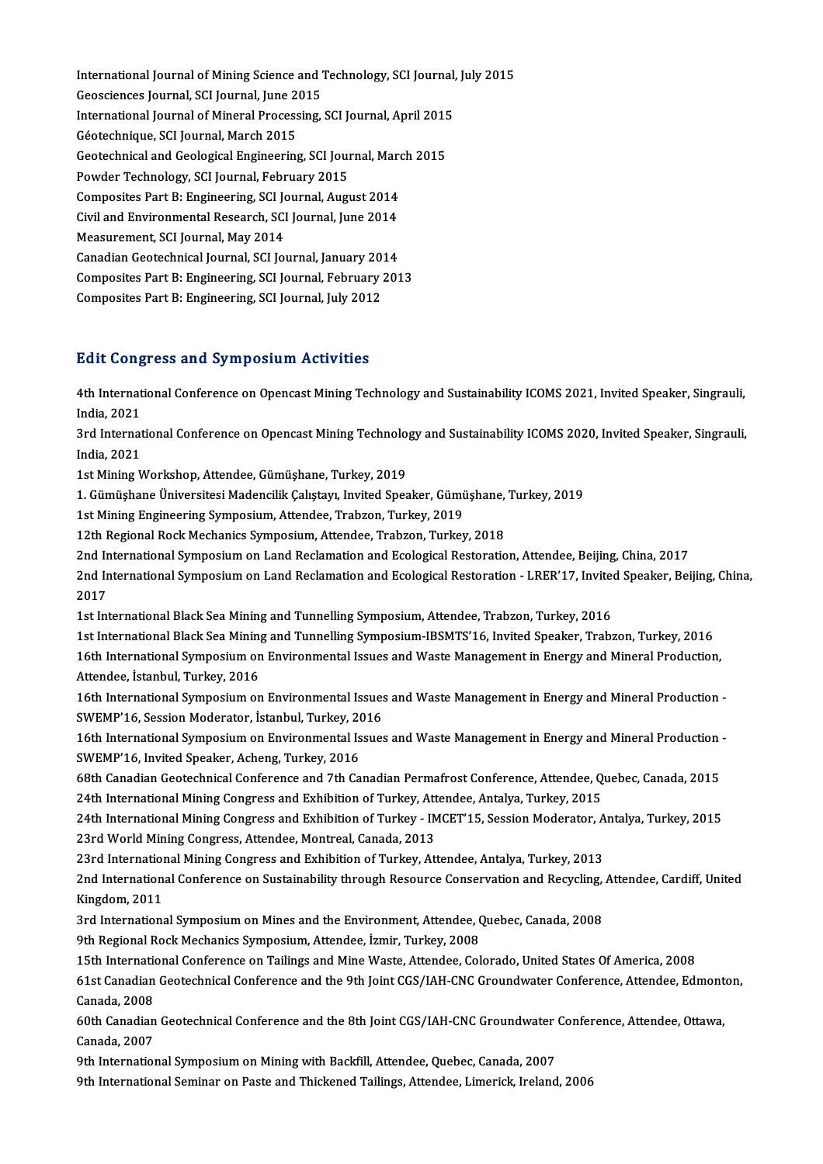International Journal of Mining Science and Technology, SCI Journal, July 2015<br>Coossianses Journal, SCI Journal, June 2015 International Journal of Mining Science and T<br>Geosciences Journal, SCI Journal, June 2015<br>International Journal of Mineral Processing International Journal of Mining Science and Technology, SCI Journal,<br>Geosciences Journal, SCI Journal, June 2015<br>International Journal of Mineral Processing, SCI Journal, April 2015<br>Céstesbnique, SCI Journal, March 2015 Geosciences Journal, SCI Journal, June 2015<br>International Journal of Mineral Processing, SCI Journal, April 2015<br>Géotechnique, SCI Journal, March 2015 International Journal of Mineral Processing, SCI Journal, April 2015<br>Géotechnique, SCI Journal, March 2015<br>Geotechnical and Geological Engineering, SCI Journal, March 2015<br>Pourder Technology, SCI Journal, February 2015 Géotechnique, SCI Journal, March 2015<br>Geotechnical and Geological Engineering, SCI Jour<br>Powder Technology, SCI Journal, February 2015<br>Composites Part B. Engineering, SCI Journal, Augu Geotechnical and Geological Engineering, SCI Journal, Marc<br>Powder Technology, SCI Journal, February 2015<br>Composites Part B: Engineering, SCI Journal, August 2014<br>Civil and Environmental Besearch, SCI Journal, June 2014 Powder Technology, SCI Journal, February 2015<br>Composites Part B: Engineering, SCI Journal, August 2014<br>Civil and Environmental Research, SCI Journal, June 2014<br>Measurement, SCI Journal, May 2014 Composites Part B: Engineering, SCI Journal, May<br>2013 Civil and Environmental Research, SCI<br>Measurement, SCI Journal, May 2014<br>Canadian Costesbnisel Journal, SCI Jou Civil and Environmental Research, SCI Journal, June 2014<br>Measurement, SCI Journal, May 2014<br>Canadian Geotechnical Journal, SCI Journal, January 2014<br>Composites Part B: Engineering, SCI Journal, January 2014 Measurement, SCI Journal, May 2014<br>Canadian Geotechnical Journal, SCI Journal, January 2014<br>Composites Part B: Engineering, SCI Journal, February 2013<br>Composites Part B: Engineering, SCI Journal, July 2012 Canadian Geotechnical Journal, SCI Journal, January 20<br>Composites Part B: Engineering, SCI Journal, February :<br>Composites Part B: Engineering, SCI Journal, July 2012 Composites Part B: Engineering, SCI Journal, July 2012<br>Edit Congress and Symposium Activities

Edit Congress and Symposium Activities<br>4th International Conference on Opencast Mining Technology and Sustainability ICOMS 2021, Invited Speaker, Singrauli, Eure Cong<br>4th Internat<br>India, 2021 4th International Conference on Opencast Mining Technology and Sustainability ICOMS 2021, Invited Speaker, Singrauli,<br>India, 2021<br>3rd International Conference on Opencast Mining Technology and Sustainability ICOMS 2020, In

India, 2021<br>3rd International Conference on Opencast Mining Technology and Sustainability ICOMS 2020, Invited Speaker, Singrauli,<br>India, 2021 India, 2021<br>1st Mining Workshop, Attendee, Gümüşhane, Turkey, 2019<br>1. Gümüşhane Üniversitesi Madencilik Çalıştayı, Invited Speaker, Gümüşhane, Turkey, 2019<br>1st Mining Engineering Symposium, Attendee, Trabgen, Turkey, 2019

1st Mining Workshop, Attendee, Gümüşhane, Turkey, 2019

1st Mining Workshop, Attendee, Gümüşhane, Turkey, 2019<br>1. Gümüşhane Üniversitesi Madencilik Çalıştayı, Invited Speaker, Gümü<br>1st Mining Engineering Symposium, Attendee, Trabzon, Turkey, 2019<br>12th Begianal Bask Meshaniss Sy

1st Mining Engineering Symposium, Attendee, Trabzon, Turkey, 2019<br>12th Regional Rock Mechanics Symposium, Attendee, Trabzon, Turkey, 2018

1st Mining Engineering Symposium, Attendee, Trabzon, Turkey, 2019<br>12th Regional Rock Mechanics Symposium, Attendee, Trabzon, Turkey, 2018<br>2nd International Symposium on Land Reclamation and Ecological Restoration, Attendee

12th Regional Rock Mechanics Symposium, Attendee, Trabzon, Turkey, 2018<br>2nd International Symposium on Land Reclamation and Ecological Restoration, Attendee, Beijing, China, 2017<br>2nd International Symposium on Land Reclama 2nd Ir<br>2nd Ir<br>2017<br>1st Iri 2nd International Symposium on Land Reclamation and Ecological Restoration - LRER'17, Invited<br>2017<br>1st International Black Sea Mining and Tunnelling Symposium, Attendee, Trabzon, Turkey, 2016<br>1st International Black Sea Mi 2017<br>1st International Black Sea Mining and Tunnelling Symposium, Attendee, Trabzon, Turkey, 2016<br>1st International Black Sea Mining and Tunnelling Symposium-IBSMTS'16, Invited Speaker, Trabzon, Turkey, 2016

1st International Black Sea Mining and Tunnelling Symposium, Attendee, Trabzon, Turkey, 2016<br>1st International Black Sea Mining and Tunnelling Symposium-IBSMTS'16, Invited Speaker, Trabzon, Turkey, 2016<br>16th International 1st International Black Sea Mining<br>16th International Symposium on<br>Attendee, İstanbul, Turkey, 2016<br>16th International Symposium on 16th International Symposium on Environmental Issues and Waste Management in Energy and Mineral Production,<br>Attendee, İstanbul, Turkey, 2016<br>16th International Symposium on Environmental Issues and Waste Management in Ener

Attendee, İstanbul, Turkey, 2016<br>16th International Symposium on Environmental Issues<br>SWEMP'16, Session Moderator, İstanbul, Turkey, 2016<br>16th International Symposium on Environmental Issues

16th International Symposium on Environmental Issues and Waste Management in Energy and Mineral Production -<br>SWEMP'16, Session Moderator, İstanbul, Turkey, 2016<br>16th International Symposium on Environmental Issues and Wast SWEMP'16, Session Moderator, İstanbul, Turkey, 2016<br>16th International Symposium on Environmental Is<br>SWEMP'16, Invited Speaker, Acheng, Turkey, 2016 16th International Symposium on Environmental Issues and Waste Management in Energy and Mineral Production<br>SWEMP'16, Invited Speaker, Acheng, Turkey, 2016<br>68th Canadian Geotechnical Conference and 7th Canadian Permafrost C

SWEMP'16, Invited Speaker, Acheng, Turkey, 2016<br>68th Canadian Geotechnical Conference and 7th Canadian Permafrost Conference, Attendee, Q<br>24th International Mining Congress and Exhibition of Turkey, Attendee, Antalya, Turk 68th Canadian Geotechnical Conference and 7th Canadian Permafrost Conference, Attendee, Quebec, Canada, 2015<br>24th International Mining Congress and Exhibition of Turkey, Attendee, Antalya, Turkey, 2015<br>24th International M

24th International Mining Congress and Exhibition of Turkey, Attendee, Antalya, Turkey, 2015<br>24th International Mining Congress and Exhibition of Turkey - IMCET'15, Session Moderator, *A*<br>23rd World Mining Congress, Attend 24th International Mining Congress and Exhibition of Turkey - IMCET'15, Session Moderator, A<br>23rd World Mining Congress, Attendee, Montreal, Canada, 2013<br>23rd International Mining Congress and Exhibition of Turkey, Attende

23rd World Mining Congress, Attendee, Montreal, Canada, 2013<br>23rd International Mining Congress and Exhibition of Turkey, Attendee, Antalya, Turkey, 2013<br>2nd International Conference on Sustainability through Resource Cons 23rd Internation<br>2nd Internation<br>Kingdom, 2011<br>2nd Internations 2nd International Conference on Sustainability through Resource Conservation and Recycling,<br>Kingdom, 2011<br>3rd International Symposium on Mines and the Environment, Attendee, Quebec, Canada, 2008<br>9th Begional Bosk Meshaniss

Kingdom, 2011<br>3rd International Symposium on Mines and the Environment, Attendee, Quebec, Canada, 2008<br>9th Regional Rock Mechanics Symposium, Attendee, İzmir, Turkey, 2008

3rd International Symposium on Mines and the Environment, Attendee, Quebec, Canada, 2008<br>9th Regional Rock Mechanics Symposium, Attendee, İzmir, Turkey, 2008<br>15th International Conference on Tailings and Mine Waste, Attend

9th Regional Rock Mechanics Symposium, Attendee, İzmir, Turkey, 2008<br>15th International Conference on Tailings and Mine Waste, Attendee, Colorado, United States Of America, 2008<br>61st Canadian Geotechnical Conference and th 15th Internation<br>61st Canadian<br>Canada, 2008 61st Canadian Geotechnical Conference and the 9th Joint CGS/IAH-CNC Groundwater Conference, Attendee, Edmont<br>Canada, 2008<br>60th Canadian Geotechnical Conference and the 8th Joint CGS/IAH-CNC Groundwater Conference, Attendee

Canada, 2008<br>60th Canadian<br>Canada, 2007<br><sup>Oth Internation</sup> 60th Canadian Geotechnical Conference and the 8th Joint CGS/IAH-CNC Groundwater<br>Canada, 2007<br>9th International Symposium on Mining with Backfill, Attendee, Quebec, Canada, 2007<br>9th International Seminer on Paste and Thisli

Canada, 2007<br>9th International Symposium on Mining with Backfill, Attendee, Quebec, Canada, 2007<br>9th International Seminar on Paste and Thickened Tailings, Attendee, Limerick, Ireland, 2006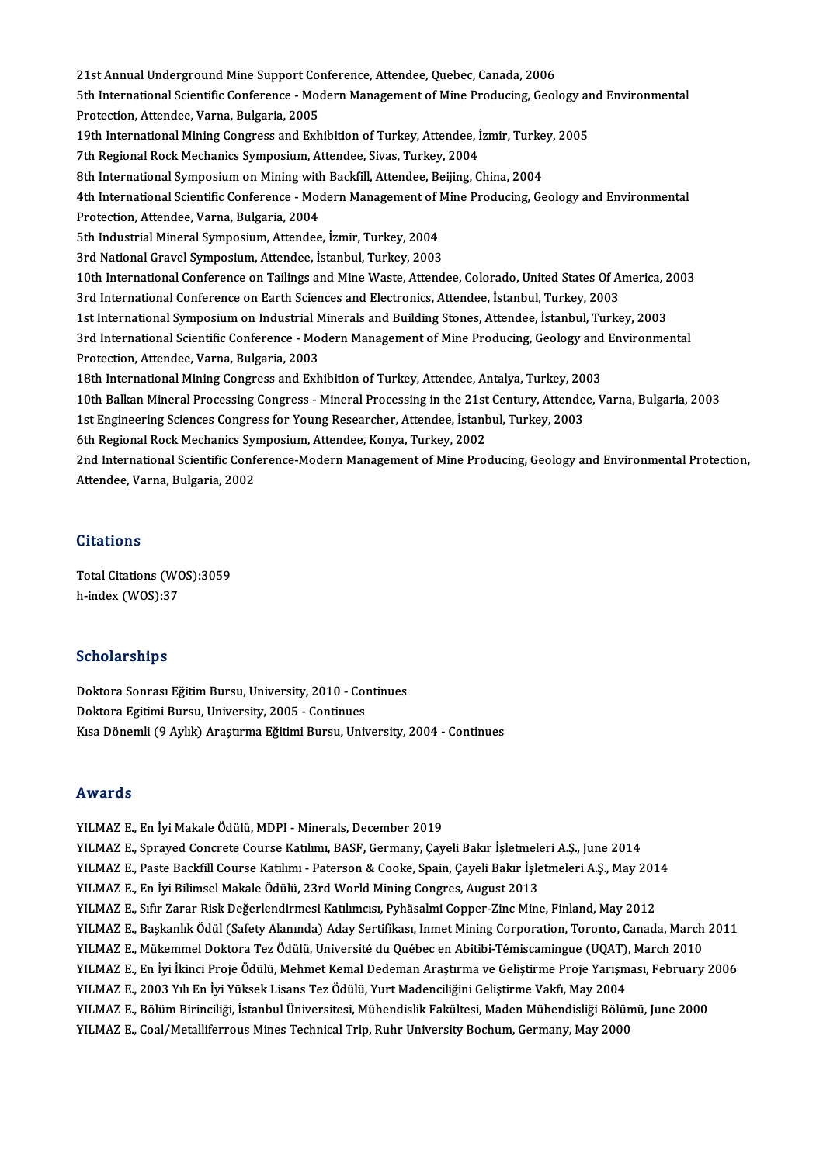21st Annual Underground Mine Support Conference, Attendee, Quebec, Canada, 2006<br>Eth International Scientific Conference, Modern Management of Mine Producing, Cool 21st Annual Underground Mine Support Conference, Attendee, Quebec, Canada, 2006<br>5th International Scientific Conference - Modern Management of Mine Producing, Geology and Environmental<br>Pretestion, Attordee Verne, Pulsaria, 21st Annual Underground Mine Support Co.<br>5th International Scientific Conference - Moo<br>Protection, Attendee, Varna, Bulgaria, 2005<br>10th International Mining Congress and Eub 5th International Scientific Conference - Modern Management of Mine Producing, Geology ar<br>Protection, Attendee, Varna, Bulgaria, 2005<br>19th International Mining Congress and Exhibition of Turkey, Attendee, İzmir, Turkey, 20 Protection, Attendee, Varna, Bulgaria, 2005<br>19th International Mining Congress and Exhibition of Turkey, Attendee, İ<br>7th Regional Rock Mechanics Symposium, Attendee, Sivas, Turkey, 2004<br>8th International Symposium on Minin 19th International Mining Congress and Exhibition of Turkey, Attendee, İzmir, Turke<br>7th Regional Rock Mechanics Symposium, Attendee, Sivas, Turkey, 2004<br>8th International Symposium on Mining with Backfill, Attendee, Beijin 7th Regional Rock Mechanics Symposium, Attendee, Sivas, Turkey, 2004<br>8th International Symposium on Mining with Backfill, Attendee, Beijing, China, 2004<br>4th International Scientific Conference - Modern Management of Mine P 8th International Symposium on Mining with<br>4th International Scientific Conference - Moo<br>Protection, Attendee, Varna, Bulgaria, 2004<br>5th Industrial Mineral Symposium, Attendee 4th International Scientific Conference - Modern Management of I<br>Protection, Attendee, Varna, Bulgaria, 2004<br>5th Industrial Mineral Symposium, Attendee, İzmir, Turkey, 2004<br><sup>2rd</sup> National Cravel Symposium, Attendee, İzmir, 9 Protection, Attendee, Varna, Bulgaria, 2004<br>5th Industrial Mineral Symposium, Attendee, İzmir, Turkey, 2004<br>3rd National Gravel Symposium, Attendee, İstanbul, Turkey, 2003 5th Industrial Mineral Symposium, Attendee, İzmir, Turkey, 2004<br>3rd National Gravel Symposium, Attendee, İstanbul, Turkey, 2003<br>10th International Conference on Tailings and Mine Waste, Attendee, Colorado, United States Of 3rd National Gravel Symposium, Attendee, İstanbul, Turkey, 2003<br>10th International Conference on Tailings and Mine Waste, Attendee, Colorado, United States Of A<br>3rd International Conference on Earth Sciences and Electronic 10th International Conference on Tailings and Mine Waste, Attendee, Colorado, United States Of America, 2<br>3rd International Conference on Earth Sciences and Electronics, Attendee, İstanbul, Turkey, 2003<br>1st International S 3rd International Conference on Earth Sciences and Electronics, Attendee, İstanbul, Turkey, 2003<br>1st International Symposium on Industrial Minerals and Building Stones, Attendee, İstanbul, Turkey, 2003<br>3rd International Sc 1st International Symposium on Industrial N<br>3rd International Scientific Conference - Mo<br>Protection, Attendee, Varna, Bulgaria, 2003<br>19th International Mining Congress and Eub 3rd International Scientific Conference - Modern Management of Mine Producing, Geology and<br>Protection, Attendee, Varna, Bulgaria, 2003<br>18th International Mining Congress and Exhibition of Turkey, Attendee, Antalya, Turkey, Protection, Attendee, Varna, Bulgaria, 2003<br>18th International Mining Congress and Exhibition of Turkey, Attendee, Antalya, Turkey, 2003<br>10th Balkan Mineral Processing Congress - Mineral Processing in the 21st Century, Att 18th International Mining Congress and Exhibition of Turkey, Attendee, Antalya, Turkey, 2003 1st Engineering Sciences Congress for Young Researcher, Attendee, İstanbul, Turkey, 2003 2nd International Scientific Conference-Modern Management of Mine Producing, Geology and Environmental Protection,<br>Attendee, Varna, Bulgaria, 2002 6th Regional Rock Mechanics Symposium, Attendee, Konya, Turkey, 2002

### **Citations**

Total Citations (WOS):3059 h-index (WOS):37

### Scholarships

S<mark>cholarships</mark><br>Doktora Sonrası Eğitim Bursu, University, 2010 - Continues<br>Doktora Faitimi Bursu, University, 2005 - Continues Doktora Sonrası Eğitim Bursu, University, 2010 - Continues<br>Doktora Egitimi Bursu, University, 2005 - Continues<br>Kısa Dönemli (Q Arlık) Anastuma Eğitimi Burgu, Univ Doktora Egitimi Bursu, University, 2005 - Continues<br>Kısa Dönemli (9 Aylık) Araştırma Eğitimi Bursu, University, 2004 - Continues

### Awards

YILMAZ E., En İyi Makale Ödülü, MDPI - Minerals, December 2019 YILMAZ E., Sprayed Concrete Course Katılımı, BASF, Germany, Çayeli Bakır İşletmeleri A.Ş., June 2014 YILMAZ E., En İyi Makale Ödülü, MDPI - Minerals, December 2019<br>YILMAZ E., Sprayed Concrete Course Katılımı, BASF, Germany, Çayeli Bakır İşletmeleri A.Ş., June 2014<br>YILMAZ E., Paste Backfill Course Katılımı - Paterson & Coo YILMAZ E., Sprayed Concrete Course Katılımı, BASF, Germany, Çayeli Bakır İşletmele<br>YILMAZ E., Paste Backfill Course Katılımı - Paterson & Cooke, Spain, Çayeli Bakır İşle<br>YILMAZ E., En İyi Bilimsel Makale Ödülü, 23rd World YILMAZ E., Paste Backfill Course Katılımı - Paterson & Cooke, Spain, Çayeli Bakır İşletmeleri A.Ş., May 201<br>YILMAZ E., En İyi Bilimsel Makale Ödülü, 23rd World Mining Congres, August 2013<br>YILMAZ E., Sıfır Zarar Risk Değerl YILMAZ E., En İyi Bilimsel Makale Ödülü, 23rd World Mining Congres, August 2013<br>YILMAZ E., Sıfır Zarar Risk Değerlendirmesi Katılımcısı, Pyhäsalmi Copper-Zinc Mine, Finland, May 2012<br>YILMAZ E., Başkanlık Ödül (Safety Alanı YILMAZ E., Sıfır Zarar Risk Değerlendirmesi Katılımcısı, Pyhäsalmi Copper-Zinc Mine, Finland, May 2012<br>YILMAZ E., Başkanlık Ödül (Safety Alanında) Aday Sertifikası, Inmet Mining Corporation, Toronto, Canada, March<br>YILMAZ E YILMAZ E., Başkanlık Ödül (Safety Alanında) Aday Sertifikası, Inmet Mining Corporation, Toronto, Canada, March 2011<br>YILMAZ E., Mükemmel Doktora Tez Ödülü, Université du Québec en Abitibi-Témiscamingue (UQAT), March 2010<br>YI YILMAZ E., Mükemmel Doktora Tez Ödülü, Université du Québec en Abitibi-Témiscamingue (UQAT),<br>YILMAZ E., En İyi İkinci Proje Ödülü, Mehmet Kemal Dedeman Araştırma ve Geliştirme Proje Yarışm<br>YILMAZ E., 2003 Yılı En İyi Yükse YILMAZ E., En İyi İkinci Proje Ödülü, Mehmet Kemal Dedeman Araştırma ve Geliştirme Proje Yarışması, February 2006<br>YILMAZ E., 2003 Yılı En İyi Yüksek Lisans Tez Ödülü, Yurt Madenciliğini Geliştirme Vakfı, May 2004<br>YILMAZ E. YILMAZ E., 2003 Yılı En İyi Yüksek Lisans Tez Ödülü, Yurt Madenciliğini Geliştirme Vakfı, May 2004<br>YILMAZ E., Bölüm Birinciliği, İstanbul Üniversitesi, Mühendislik Fakültesi, Maden Mühendisliği Bölür<br>YILMAZ E., Coal/Metall